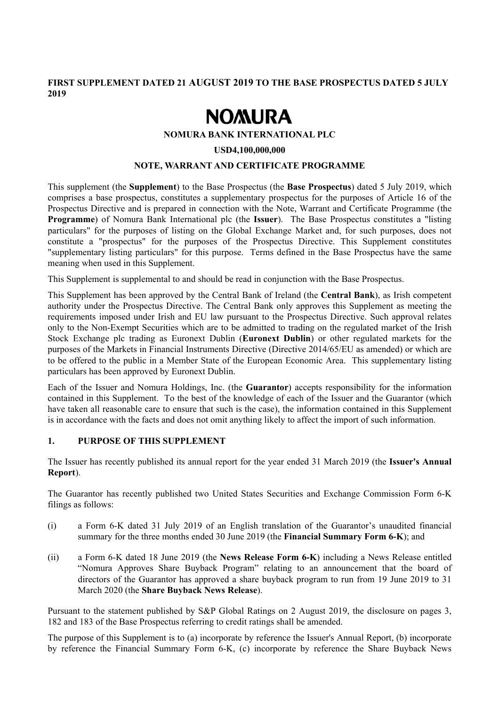**FIRST SUPPLEMENT DATED 21 AUGUST 2019 TO THE BASE PROSPECTUS DATED 5 JULY 2019** 

# **NOMURA**

## **NOMURA BANK INTERNATIONAL PLC**

#### **USD4,100,000,000**

#### **NOTE, WARRANT AND CERTIFICATE PROGRAMME**

This supplement (the **Supplement**) to the Base Prospectus (the **Base Prospectus**) dated 5 July 2019, which comprises a base prospectus, constitutes a supplementary prospectus for the purposes of Article 16 of the Prospectus Directive and is prepared in connection with the Note, Warrant and Certificate Programme (the **Programme**) of Nomura Bank International plc (the **Issuer**). The Base Prospectus constitutes a "listing particulars" for the purposes of listing on the Global Exchange Market and, for such purposes, does not constitute a "prospectus" for the purposes of the Prospectus Directive. This Supplement constitutes "supplementary listing particulars" for this purpose. Terms defined in the Base Prospectus have the same meaning when used in this Supplement.

This Supplement is supplemental to and should be read in conjunction with the Base Prospectus.

This Supplement has been approved by the Central Bank of Ireland (the **Central Bank**), as Irish competent authority under the Prospectus Directive. The Central Bank only approves this Supplement as meeting the requirements imposed under Irish and EU law pursuant to the Prospectus Directive. Such approval relates only to the Non-Exempt Securities which are to be admitted to trading on the regulated market of the Irish Stock Exchange plc trading as Euronext Dublin (**Euronext Dublin**) or other regulated markets for the purposes of the Markets in Financial Instruments Directive (Directive 2014/65/EU as amended) or which are to be offered to the public in a Member State of the European Economic Area. This supplementary listing particulars has been approved by Euronext Dublin.

Each of the Issuer and Nomura Holdings, Inc. (the **Guarantor**) accepts responsibility for the information contained in this Supplement. To the best of the knowledge of each of the Issuer and the Guarantor (which have taken all reasonable care to ensure that such is the case), the information contained in this Supplement is in accordance with the facts and does not omit anything likely to affect the import of such information.

#### **1. PURPOSE OF THIS SUPPLEMENT**

The Issuer has recently published its annual report for the year ended 31 March 2019 (the **Issuer's Annual Report**).

The Guarantor has recently published two United States Securities and Exchange Commission Form 6-K filings as follows:

- (i) a Form 6-K dated 31 July 2019 of an English translation of the Guarantor's unaudited financial summary for the three months ended 30 June 2019 (the **Financial Summary Form 6-K**); and
- (ii) a Form 6-K dated 18 June 2019 (the **News Release Form 6-K**) including a News Release entitled "Nomura Approves Share Buyback Program" relating to an announcement that the board of directors of the Guarantor has approved a share buyback program to run from 19 June 2019 to 31 March 2020 (the **Share Buyback News Release**).

Pursuant to the statement published by S&P Global Ratings on 2 August 2019, the disclosure on pages 3, 182 and 183 of the Base Prospectus referring to credit ratings shall be amended.

The purpose of this Supplement is to (a) incorporate by reference the Issuer's Annual Report, (b) incorporate by reference the Financial Summary Form 6-K, (c) incorporate by reference the Share Buyback News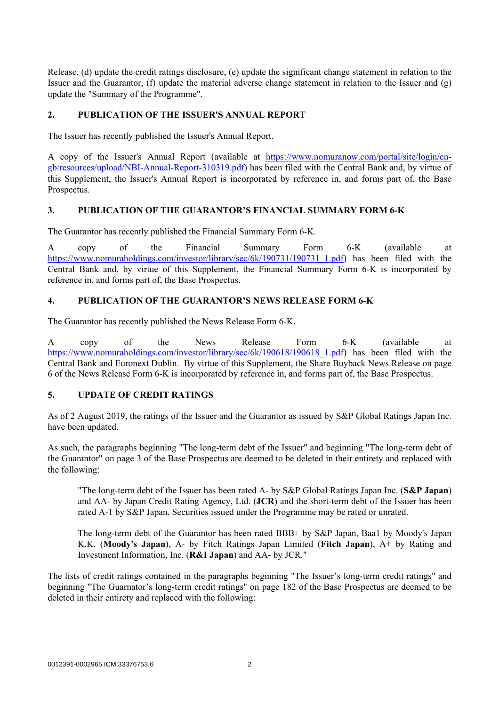Release, (d) update the credit ratings disclosure, (e) update the significant change statement in relation to the Issuer and the Guarantor, (f) update the material adverse change statement in relation to the Issuer and (g) update the "Summary of the Programme".

# **2. PUBLICATION OF THE ISSUER'S ANNUAL REPORT**

The Issuer has recently published the Issuer's Annual Report.

A copy of the Issuer's Annual Report (available at https://www.nomuranow.com/portal/site/login/engb/resources/upload/NBI-Annual-Report-310319.pdf) has been filed with the Central Bank and, by virtue of this Supplement, the Issuer's Annual Report is incorporated by reference in, and forms part of, the Base Prospectus.

# **3. PUBLICATION OF THE GUARANTOR'S FINANCIAL SUMMARY FORM 6-K**

The Guarantor has recently published the Financial Summary Form 6-K.

A copy of the Financial Summary Form 6-K (available at https://www.nomuraholdings.com/investor/library/sec/6k/190731/190731\_1.pdf) has been filed with the Central Bank and, by virtue of this Supplement, the Financial Summary Form 6-K is incorporated by reference in, and forms part of, the Base Prospectus.

# **4. PUBLICATION OF THE GUARANTOR'S NEWS RELEASE FORM 6-K**

The Guarantor has recently published the News Release Form 6-K.

A copy of the News Release Form 6-K (available at https://www.nomuraholdings.com/investor/library/sec/6k/190618/190618 1.pdf) has been filed with the Central Bank and Euronext Dublin. By virtue of this Supplement, the Share Buyback News Release on page 6 of the News Release Form 6-K is incorporated by reference in, and forms part of, the Base Prospectus.

# **5. UPDATE OF CREDIT RATINGS**

As of 2 August 2019, the ratings of the Issuer and the Guarantor as issued by S&P Global Ratings Japan Inc. have been updated.

As such, the paragraphs beginning "The long-term debt of the Issuer" and beginning "The long-term debt of the Guarantor" on page 3 of the Base Prospectus are deemed to be deleted in their entirety and replaced with the following:

"The long-term debt of the Issuer has been rated A- by S&P Global Ratings Japan Inc. (**S&P Japan**) and AA- by Japan Credit Rating Agency, Ltd. (**JCR**) and the short-term debt of the Issuer has been rated A-1 by S&P Japan. Securities issued under the Programme may be rated or unrated.

The long-term debt of the Guarantor has been rated BBB+ by S&P Japan, Baa1 by Moody's Japan K.K. (**Moody's Japan**), A- by Fitch Ratings Japan Limited (**Fitch Japan**), A+ by Rating and Investment Information, Inc. (**R&I Japan**) and AA- by JCR."

The lists of credit ratings contained in the paragraphs beginning "The Issuer's long-term credit ratings" and beginning "The Guarnator's long-term credit ratings" on page 182 of the Base Prospectus are deemed to be deleted in their entirety and replaced with the following: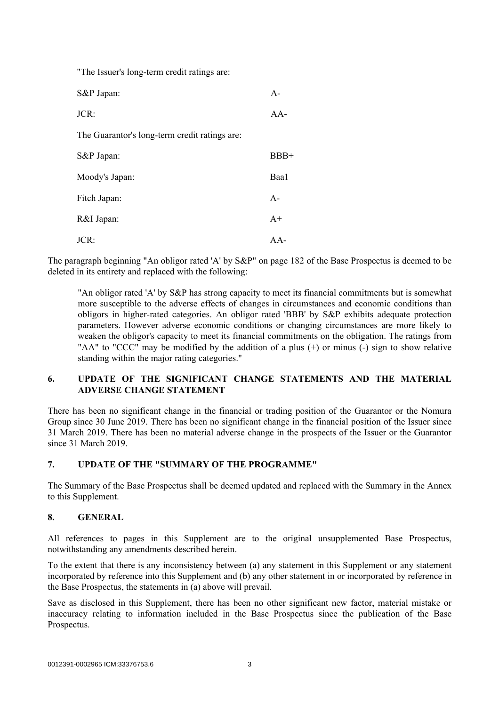"The Issuer's long-term credit ratings are: S&P Japan: A-JCR: AA-The Guarantor's long-term credit ratings are: S&P Japan: BBB+ Moody's Japan: Baa1 Fitch Japan: A-R&I Japan: A+ JCR: AA-

The paragraph beginning "An obligor rated 'A' by S&P" on page 182 of the Base Prospectus is deemed to be deleted in its entirety and replaced with the following:

"An obligor rated 'A' by S&P has strong capacity to meet its financial commitments but is somewhat more susceptible to the adverse effects of changes in circumstances and economic conditions than obligors in higher-rated categories. An obligor rated 'BBB' by S&P exhibits adequate protection parameters. However adverse economic conditions or changing circumstances are more likely to weaken the obligor's capacity to meet its financial commitments on the obligation. The ratings from "AA" to "CCC" may be modified by the addition of a plus (+) or minus (-) sign to show relative standing within the major rating categories."

# **6. UPDATE OF THE SIGNIFICANT CHANGE STATEMENTS AND THE MATERIAL ADVERSE CHANGE STATEMENT**

There has been no significant change in the financial or trading position of the Guarantor or the Nomura Group since 30 June 2019. There has been no significant change in the financial position of the Issuer since 31 March 2019. There has been no material adverse change in the prospects of the Issuer or the Guarantor since 31 March 2019.

# **7. UPDATE OF THE "SUMMARY OF THE PROGRAMME"**

The Summary of the Base Prospectus shall be deemed updated and replaced with the Summary in the Annex to this Supplement.

#### **8. GENERAL**

All references to pages in this Supplement are to the original unsupplemented Base Prospectus, notwithstanding any amendments described herein.

To the extent that there is any inconsistency between (a) any statement in this Supplement or any statement incorporated by reference into this Supplement and (b) any other statement in or incorporated by reference in the Base Prospectus, the statements in (a) above will prevail.

Save as disclosed in this Supplement, there has been no other significant new factor, material mistake or inaccuracy relating to information included in the Base Prospectus since the publication of the Base Prospectus.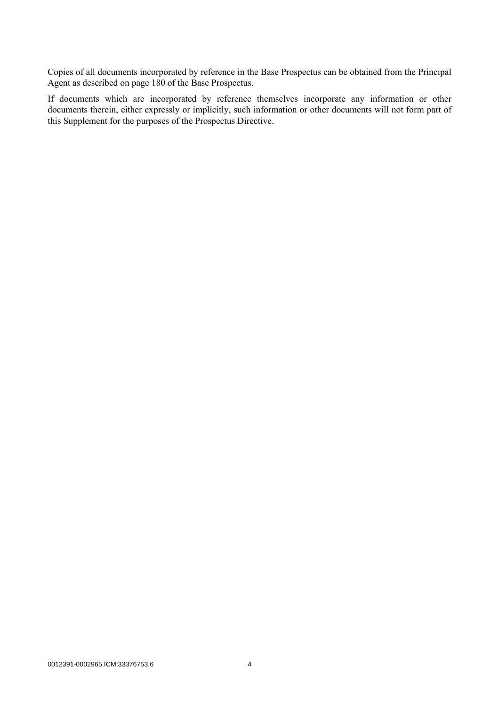Copies of all documents incorporated by reference in the Base Prospectus can be obtained from the Principal Agent as described on page 180 of the Base Prospectus.

If documents which are incorporated by reference themselves incorporate any information or other documents therein, either expressly or implicitly, such information or other documents will not form part of this Supplement for the purposes of the Prospectus Directive.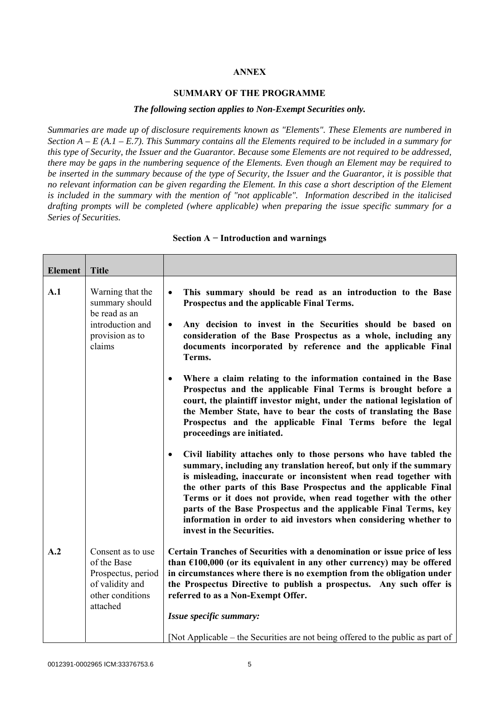#### **ANNEX**

#### **SUMMARY OF THE PROGRAMME**

#### *The following section applies to Non-Exempt Securities only.*

*Summaries are made up of disclosure requirements known as "Elements". These Elements are numbered in Section A – E (A.1 – E.7). This Summary contains all the Elements required to be included in a summary for this type of Security, the Issuer and the Guarantor. Because some Elements are not required to be addressed, there may be gaps in the numbering sequence of the Elements. Even though an Element may be required to be inserted in the summary because of the type of Security, the Issuer and the Guarantor, it is possible that no relevant information can be given regarding the Element. In this case a short description of the Element is included in the summary with the mention of "not applicable". Information described in the italicised drafting prompts will be completed (where applicable) when preparing the issue specific summary for a Series of Securities.*

| Element | <b>Title</b>                                                                                              |                                                                                                                                                                                                                                                                                                                                                                                                                                                                                                                                         |  |
|---------|-----------------------------------------------------------------------------------------------------------|-----------------------------------------------------------------------------------------------------------------------------------------------------------------------------------------------------------------------------------------------------------------------------------------------------------------------------------------------------------------------------------------------------------------------------------------------------------------------------------------------------------------------------------------|--|
| A.1     | Warning that the<br>summary should<br>be read as an<br>introduction and<br>provision as to<br>claims      | This summary should be read as an introduction to the Base<br>$\bullet$<br>Prospectus and the applicable Final Terms.<br>Any decision to invest in the Securities should be based on<br>$\bullet$<br>consideration of the Base Prospectus as a whole, including any<br>documents incorporated by reference and the applicable Final                                                                                                                                                                                                     |  |
|         |                                                                                                           | Terms.                                                                                                                                                                                                                                                                                                                                                                                                                                                                                                                                  |  |
|         |                                                                                                           | Where a claim relating to the information contained in the Base<br>Prospectus and the applicable Final Terms is brought before a<br>court, the plaintiff investor might, under the national legislation of<br>the Member State, have to bear the costs of translating the Base<br>Prospectus and the applicable Final Terms before the legal<br>proceedings are initiated.                                                                                                                                                              |  |
|         |                                                                                                           | Civil liability attaches only to those persons who have tabled the<br>$\bullet$<br>summary, including any translation hereof, but only if the summary<br>is misleading, inaccurate or inconsistent when read together with<br>the other parts of this Base Prospectus and the applicable Final<br>Terms or it does not provide, when read together with the other<br>parts of the Base Prospectus and the applicable Final Terms, key<br>information in order to aid investors when considering whether to<br>invest in the Securities. |  |
| A.2     | Consent as to use<br>of the Base<br>Prospectus, period<br>of validity and<br>other conditions<br>attached | Certain Tranches of Securities with a denomination or issue price of less<br>than $£100,000$ (or its equivalent in any other currency) may be offered<br>in circumstances where there is no exemption from the obligation under<br>the Prospectus Directive to publish a prospectus. Any such offer is<br>referred to as a Non-Exempt Offer.                                                                                                                                                                                            |  |
|         |                                                                                                           | Issue specific summary:                                                                                                                                                                                                                                                                                                                                                                                                                                                                                                                 |  |
|         |                                                                                                           | [Not Applicable – the Securities are not being offered to the public as part of                                                                                                                                                                                                                                                                                                                                                                                                                                                         |  |

**Section A − Introduction and warnings**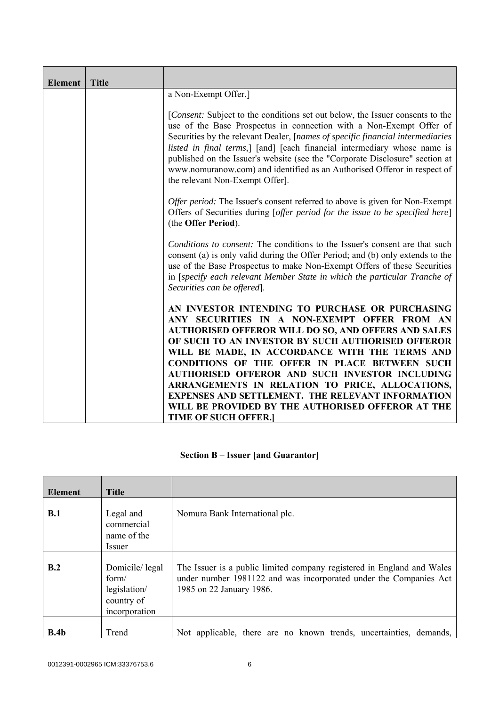| <b>Element</b> | <b>Title</b> |                                                                                                                                                                                                                                                                                                                                                                                                                                                                                                                                                                                  |  |
|----------------|--------------|----------------------------------------------------------------------------------------------------------------------------------------------------------------------------------------------------------------------------------------------------------------------------------------------------------------------------------------------------------------------------------------------------------------------------------------------------------------------------------------------------------------------------------------------------------------------------------|--|
|                |              | a Non-Exempt Offer.]                                                                                                                                                                                                                                                                                                                                                                                                                                                                                                                                                             |  |
|                |              | [ <i>Consent:</i> Subject to the conditions set out below, the Issuer consents to the<br>use of the Base Prospectus in connection with a Non-Exempt Offer of<br>Securities by the relevant Dealer, [names of specific financial intermediaries<br>listed in final terms,] [and] [each financial intermediary whose name is<br>published on the Issuer's website (see the "Corporate Disclosure" section at<br>www.nomuranow.com) and identified as an Authorised Offeror in respect of<br>the relevant Non-Exempt Offer].                                                        |  |
|                |              | Offer period: The Issuer's consent referred to above is given for Non-Exempt<br>Offers of Securities during [offer period for the issue to be specified here]<br>(the Offer Period).                                                                                                                                                                                                                                                                                                                                                                                             |  |
|                |              | Conditions to consent: The conditions to the Issuer's consent are that such<br>consent (a) is only valid during the Offer Period; and (b) only extends to the<br>use of the Base Prospectus to make Non-Exempt Offers of these Securities<br>in [specify each relevant Member State in which the particular Tranche of<br>Securities can be offered.                                                                                                                                                                                                                             |  |
|                |              | AN INVESTOR INTENDING TO PURCHASE OR PURCHASING<br>ANY SECURITIES IN A NON-EXEMPT OFFER FROM AN<br><b>AUTHORISED OFFEROR WILL DO SO, AND OFFERS AND SALES</b><br>OF SUCH TO AN INVESTOR BY SUCH AUTHORISED OFFEROR<br>WILL BE MADE, IN ACCORDANCE WITH THE TERMS AND<br><b>CONDITIONS OF THE OFFER IN PLACE BETWEEN SUCH</b><br>AUTHORISED OFFEROR AND SUCH INVESTOR INCLUDING<br>ARRANGEMENTS IN RELATION TO PRICE, ALLOCATIONS,<br><b>EXPENSES AND SETTLEMENT. THE RELEVANT INFORMATION</b><br>WILL BE PROVIDED BY THE AUTHORISED OFFEROR AT THE<br><b>TIME OF SUCH OFFER.</b> |  |

# **Section B – Issuer [and Guarantor]**

| <b>Element</b>   | <b>Title</b>                                                           |                                                                                                                                                                         |
|------------------|------------------------------------------------------------------------|-------------------------------------------------------------------------------------------------------------------------------------------------------------------------|
| B.1              | Legal and<br>commercial<br>name of the<br><i>Issuer</i>                | Nomura Bank International plc.                                                                                                                                          |
| B.2              | Domicile/legal<br>form/<br>legislation/<br>country of<br>incorporation | The Issuer is a public limited company registered in England and Wales<br>under number 1981122 and was incorporated under the Companies Act<br>1985 on 22 January 1986. |
| B.4 <sub>b</sub> | Trend                                                                  | Not applicable, there are no known trends, uncertainties, demands,                                                                                                      |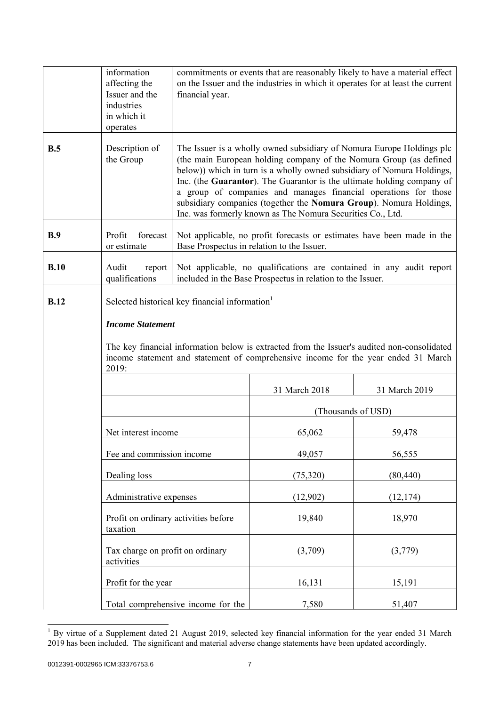|             | information<br>affecting the<br>Issuer and the<br>industries<br>in which it<br>operates | financial year.                                                                                                                                                                                                                                                                                                                                                                                                                                                                                        | commitments or events that are reasonably likely to have a material effect<br>on the Issuer and the industries in which it operates for at least the current |                    |
|-------------|-----------------------------------------------------------------------------------------|--------------------------------------------------------------------------------------------------------------------------------------------------------------------------------------------------------------------------------------------------------------------------------------------------------------------------------------------------------------------------------------------------------------------------------------------------------------------------------------------------------|--------------------------------------------------------------------------------------------------------------------------------------------------------------|--------------------|
| B.5         | Description of<br>the Group                                                             | The Issuer is a wholly owned subsidiary of Nomura Europe Holdings plc<br>(the main European holding company of the Nomura Group (as defined<br>below)) which in turn is a wholly owned subsidiary of Nomura Holdings,<br>Inc. (the Guarantor). The Guarantor is the ultimate holding company of<br>a group of companies and manages financial operations for those<br>subsidiary companies (together the Nomura Group). Nomura Holdings,<br>Inc. was formerly known as The Nomura Securities Co., Ltd. |                                                                                                                                                              |                    |
| B.9         | Profit<br>forecast<br>or estimate                                                       | Not applicable, no profit forecasts or estimates have been made in the<br>Base Prospectus in relation to the Issuer.                                                                                                                                                                                                                                                                                                                                                                                   |                                                                                                                                                              |                    |
| B.10        | Audit<br>report<br>qualifications                                                       |                                                                                                                                                                                                                                                                                                                                                                                                                                                                                                        | Not applicable, no qualifications are contained in any audit report<br>included in the Base Prospectus in relation to the Issuer.                            |                    |
| <b>B.12</b> | <b>Income Statement</b><br>2019:                                                        | Selected historical key financial information <sup>1</sup><br>The key financial information below is extracted from the Issuer's audited non-consolidated<br>income statement and statement of comprehensive income for the year ended 31 March                                                                                                                                                                                                                                                        |                                                                                                                                                              |                    |
|             |                                                                                         | 31 March 2018<br>31 March 2019                                                                                                                                                                                                                                                                                                                                                                                                                                                                         |                                                                                                                                                              |                    |
|             |                                                                                         |                                                                                                                                                                                                                                                                                                                                                                                                                                                                                                        |                                                                                                                                                              | (Thousands of USD) |
|             | Net interest income                                                                     |                                                                                                                                                                                                                                                                                                                                                                                                                                                                                                        | 65,062                                                                                                                                                       | 59,478             |
|             | Fee and commission income                                                               |                                                                                                                                                                                                                                                                                                                                                                                                                                                                                                        | 49,057                                                                                                                                                       | 56,555             |
|             | Dealing loss                                                                            |                                                                                                                                                                                                                                                                                                                                                                                                                                                                                                        | (75, 320)                                                                                                                                                    | (80, 440)          |
|             | Administrative expenses                                                                 |                                                                                                                                                                                                                                                                                                                                                                                                                                                                                                        | (12,902)                                                                                                                                                     | (12, 174)          |
|             | Profit on ordinary activities before<br>taxation                                        |                                                                                                                                                                                                                                                                                                                                                                                                                                                                                                        | 19,840                                                                                                                                                       | 18,970             |
|             | Tax charge on profit on ordinary<br>activities                                          |                                                                                                                                                                                                                                                                                                                                                                                                                                                                                                        | (3,709)                                                                                                                                                      | (3,779)            |
|             | Profit for the year                                                                     |                                                                                                                                                                                                                                                                                                                                                                                                                                                                                                        | 16,131                                                                                                                                                       | 15,191             |
|             |                                                                                         | Total comprehensive income for the                                                                                                                                                                                                                                                                                                                                                                                                                                                                     | 7,580                                                                                                                                                        | 51,407             |

<sup>&</sup>lt;sup>1</sup> By virtue of a Supplement dated 21 August 2019, selected key financial information for the year ended 31 March 2019 has been included. The significant and material adverse change statements have been updated accordingly.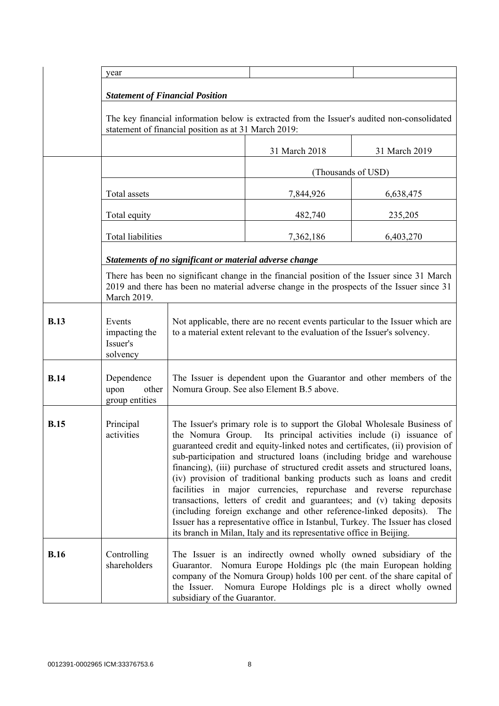|             | year                                                                                                                                                |                                                                                                                                                                                                                                                                                                                                                                                                                                                                                                                                                                                                                                                                                                                                                                                                                                                        |                    |               |
|-------------|-----------------------------------------------------------------------------------------------------------------------------------------------------|--------------------------------------------------------------------------------------------------------------------------------------------------------------------------------------------------------------------------------------------------------------------------------------------------------------------------------------------------------------------------------------------------------------------------------------------------------------------------------------------------------------------------------------------------------------------------------------------------------------------------------------------------------------------------------------------------------------------------------------------------------------------------------------------------------------------------------------------------------|--------------------|---------------|
|             |                                                                                                                                                     |                                                                                                                                                                                                                                                                                                                                                                                                                                                                                                                                                                                                                                                                                                                                                                                                                                                        |                    |               |
|             | <b>Statement of Financial Position</b>                                                                                                              |                                                                                                                                                                                                                                                                                                                                                                                                                                                                                                                                                                                                                                                                                                                                                                                                                                                        |                    |               |
|             | The key financial information below is extracted from the Issuer's audited non-consolidated<br>statement of financial position as at 31 March 2019: |                                                                                                                                                                                                                                                                                                                                                                                                                                                                                                                                                                                                                                                                                                                                                                                                                                                        |                    |               |
|             |                                                                                                                                                     |                                                                                                                                                                                                                                                                                                                                                                                                                                                                                                                                                                                                                                                                                                                                                                                                                                                        | 31 March 2018      | 31 March 2019 |
|             |                                                                                                                                                     |                                                                                                                                                                                                                                                                                                                                                                                                                                                                                                                                                                                                                                                                                                                                                                                                                                                        | (Thousands of USD) |               |
|             | Total assets                                                                                                                                        |                                                                                                                                                                                                                                                                                                                                                                                                                                                                                                                                                                                                                                                                                                                                                                                                                                                        | 7,844,926          | 6,638,475     |
|             | Total equity                                                                                                                                        |                                                                                                                                                                                                                                                                                                                                                                                                                                                                                                                                                                                                                                                                                                                                                                                                                                                        | 482,740            | 235,205       |
|             | Total liabilities                                                                                                                                   |                                                                                                                                                                                                                                                                                                                                                                                                                                                                                                                                                                                                                                                                                                                                                                                                                                                        | 7,362,186          | 6,403,270     |
|             |                                                                                                                                                     | Statements of no significant or material adverse change                                                                                                                                                                                                                                                                                                                                                                                                                                                                                                                                                                                                                                                                                                                                                                                                |                    |               |
|             | March 2019.                                                                                                                                         | There has been no significant change in the financial position of the Issuer since 31 March<br>2019 and there has been no material adverse change in the prospects of the Issuer since 31                                                                                                                                                                                                                                                                                                                                                                                                                                                                                                                                                                                                                                                              |                    |               |
| <b>B.13</b> | Events<br>impacting the<br>Issuer's<br>solvency                                                                                                     | Not applicable, there are no recent events particular to the Issuer which are<br>to a material extent relevant to the evaluation of the Issuer's solvency.                                                                                                                                                                                                                                                                                                                                                                                                                                                                                                                                                                                                                                                                                             |                    |               |
| <b>B.14</b> | Dependence<br>upon<br>other<br>group entities                                                                                                       | The Issuer is dependent upon the Guarantor and other members of the<br>Nomura Group. See also Element B.5 above.                                                                                                                                                                                                                                                                                                                                                                                                                                                                                                                                                                                                                                                                                                                                       |                    |               |
| <b>B.15</b> | Principal<br>activities                                                                                                                             | The Issuer's primary role is to support the Global Wholesale Business of<br>the Nomura Group. Its principal activities include (i) issuance of<br>guaranteed credit and equity-linked notes and certificates, (ii) provision of<br>sub-participation and structured loans (including bridge and warehouse<br>financing), (iii) purchase of structured credit assets and structured loans,<br>(iv) provision of traditional banking products such as loans and credit<br>facilities in major currencies, repurchase and reverse repurchase<br>transactions, letters of credit and guarantees; and (v) taking deposits<br>(including foreign exchange and other reference-linked deposits). The<br>Issuer has a representative office in Istanbul, Turkey. The Issuer has closed<br>its branch in Milan, Italy and its representative office in Beijing. |                    |               |
| <b>B.16</b> | Controlling<br>shareholders                                                                                                                         | The Issuer is an indirectly owned wholly owned subsidiary of the<br>Guarantor. Nomura Europe Holdings plc (the main European holding<br>company of the Nomura Group) holds 100 per cent. of the share capital of<br>Nomura Europe Holdings plc is a direct wholly owned<br>the Issuer.<br>subsidiary of the Guarantor.                                                                                                                                                                                                                                                                                                                                                                                                                                                                                                                                 |                    |               |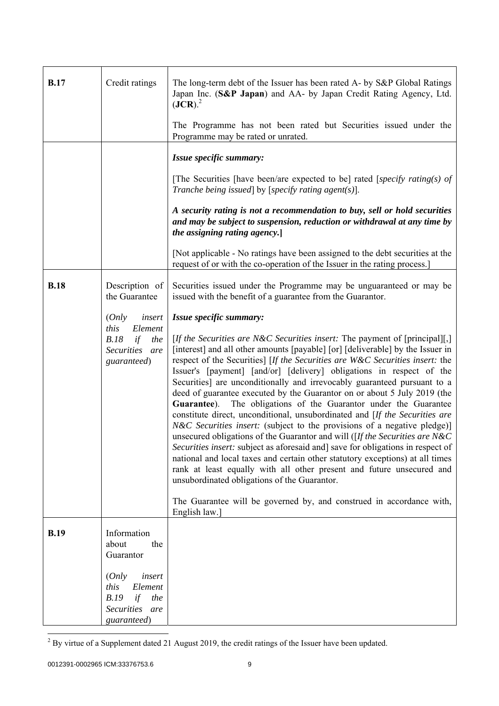| <b>B.17</b> | Credit ratings                                                                                     | The long-term debt of the Issuer has been rated A- by S&P Global Ratings<br>Japan Inc. (S&P Japan) and AA- by Japan Credit Rating Agency, Ltd.<br>$(JCR).$ <sup>2</sup><br>The Programme has not been rated but Securities issued under the<br>Programme may be rated or unrated.                                                                                                                                                                                                                                                                                                                                                                                                                                                                                                                                                                                                                                                                                                                                                                                                                                                                                                                                                       |  |
|-------------|----------------------------------------------------------------------------------------------------|-----------------------------------------------------------------------------------------------------------------------------------------------------------------------------------------------------------------------------------------------------------------------------------------------------------------------------------------------------------------------------------------------------------------------------------------------------------------------------------------------------------------------------------------------------------------------------------------------------------------------------------------------------------------------------------------------------------------------------------------------------------------------------------------------------------------------------------------------------------------------------------------------------------------------------------------------------------------------------------------------------------------------------------------------------------------------------------------------------------------------------------------------------------------------------------------------------------------------------------------|--|
|             |                                                                                                    | Issue specific summary:                                                                                                                                                                                                                                                                                                                                                                                                                                                                                                                                                                                                                                                                                                                                                                                                                                                                                                                                                                                                                                                                                                                                                                                                                 |  |
|             |                                                                                                    | [The Securities [have been/are expected to be] rated [specify rating(s) of<br>Tranche being issued] by [specify rating agent(s)].                                                                                                                                                                                                                                                                                                                                                                                                                                                                                                                                                                                                                                                                                                                                                                                                                                                                                                                                                                                                                                                                                                       |  |
|             |                                                                                                    | A security rating is not a recommendation to buy, sell or hold securities<br>and may be subject to suspension, reduction or withdrawal at any time by<br>the assigning rating agency.]                                                                                                                                                                                                                                                                                                                                                                                                                                                                                                                                                                                                                                                                                                                                                                                                                                                                                                                                                                                                                                                  |  |
|             |                                                                                                    | [Not applicable - No ratings have been assigned to the debt securities at the<br>request of or with the co-operation of the Issuer in the rating process.                                                                                                                                                                                                                                                                                                                                                                                                                                                                                                                                                                                                                                                                                                                                                                                                                                                                                                                                                                                                                                                                               |  |
| <b>B.18</b> | Description of<br>the Guarantee                                                                    | Securities issued under the Programme may be unguaranteed or may be<br>issued with the benefit of a guarantee from the Guarantor.                                                                                                                                                                                                                                                                                                                                                                                                                                                                                                                                                                                                                                                                                                                                                                                                                                                                                                                                                                                                                                                                                                       |  |
|             | insert<br>(Only<br>this<br>Element<br>B.18<br>if<br>the<br>Securities are<br>guaranteed)           | Issue specific summary:<br>[ <i>If the Securities are N&amp;C Securities insert:</i> The payment of [principal][,]<br>[interest] and all other amounts [payable] [or] [deliverable] by the Issuer in<br>respect of the Securities] [If the Securities are W&C Securities insert: the<br>Issuer's [payment] [and/or] [delivery] obligations in respect of the<br>Securities] are unconditionally and irrevocably guaranteed pursuant to a<br>deed of guarantee executed by the Guarantor on or about 5 July 2019 (the<br>Guarantee). The obligations of the Guarantor under the Guarantee<br>constitute direct, unconditional, unsubordinated and [If the Securities are<br><i>N&amp;C Securities insert:</i> (subject to the provisions of a negative pledge)]<br>unsecured obligations of the Guarantor and will ( $[If the Securities are N&C]$<br>Securities insert: subject as aforesaid and] save for obligations in respect of<br>national and local taxes and certain other statutory exceptions) at all times<br>rank at least equally with all other present and future unsecured and<br>unsubordinated obligations of the Guarantor.<br>The Guarantee will be governed by, and construed in accordance with,<br>English law.] |  |
| <b>B.19</b> | Information<br>about<br>the<br>Guarantor                                                           |                                                                                                                                                                                                                                                                                                                                                                                                                                                                                                                                                                                                                                                                                                                                                                                                                                                                                                                                                                                                                                                                                                                                                                                                                                         |  |
|             | (Only<br>insert<br>this<br>Element<br>B.19<br>if<br>the<br><b>Securities</b><br>are<br>guaranteed) |                                                                                                                                                                                                                                                                                                                                                                                                                                                                                                                                                                                                                                                                                                                                                                                                                                                                                                                                                                                                                                                                                                                                                                                                                                         |  |

<sup>&</sup>lt;sup>2</sup> By virtue of a Supplement dated 21 August 2019, the credit ratings of the Issuer have been updated.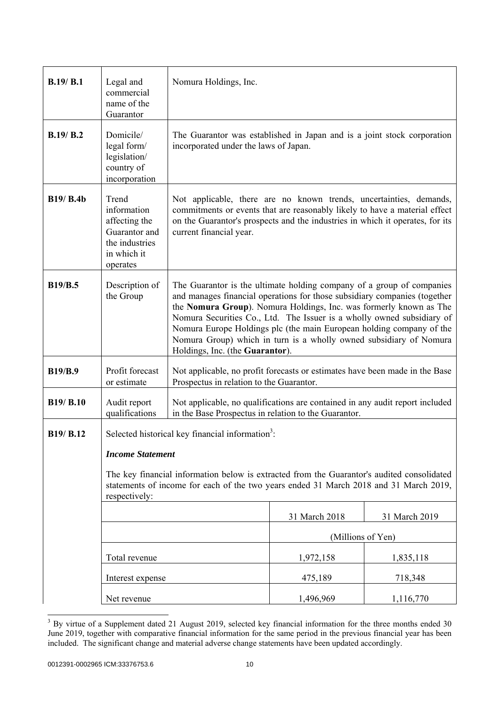| B.19/B.1         | Legal and<br>commercial<br>name of the<br>Guarantor                                                                                                                                                  | Nomura Holdings, Inc.                                                                                                                                                                                                                                                                                                                                                                                                                                                               |                   |               |
|------------------|------------------------------------------------------------------------------------------------------------------------------------------------------------------------------------------------------|-------------------------------------------------------------------------------------------------------------------------------------------------------------------------------------------------------------------------------------------------------------------------------------------------------------------------------------------------------------------------------------------------------------------------------------------------------------------------------------|-------------------|---------------|
| B.19/ B.2        | Domicile/<br>legal form/<br>legislation/<br>country of<br>incorporation                                                                                                                              | The Guarantor was established in Japan and is a joint stock corporation<br>incorporated under the laws of Japan.                                                                                                                                                                                                                                                                                                                                                                    |                   |               |
| <b>B19/ B.4b</b> | Trend<br>information<br>affecting the<br>Guarantor and<br>the industries<br>in which it<br>operates                                                                                                  | Not applicable, there are no known trends, uncertainties, demands,<br>commitments or events that are reasonably likely to have a material effect<br>on the Guarantor's prospects and the industries in which it operates, for its<br>current financial year.                                                                                                                                                                                                                        |                   |               |
| <b>B19/B.5</b>   | Description of<br>the Group                                                                                                                                                                          | The Guarantor is the ultimate holding company of a group of companies<br>and manages financial operations for those subsidiary companies (together<br>the Nomura Group). Nomura Holdings, Inc. was formerly known as The<br>Nomura Securities Co., Ltd. The Issuer is a wholly owned subsidiary of<br>Nomura Europe Holdings plc (the main European holding company of the<br>Nomura Group) which in turn is a wholly owned subsidiary of Nomura<br>Holdings, Inc. (the Guarantor). |                   |               |
| <b>B19/B.9</b>   | Profit forecast<br>or estimate                                                                                                                                                                       | Not applicable, no profit forecasts or estimates have been made in the Base<br>Prospectus in relation to the Guarantor.                                                                                                                                                                                                                                                                                                                                                             |                   |               |
| <b>B19/ B.10</b> | Audit report<br>qualifications                                                                                                                                                                       | Not applicable, no qualifications are contained in any audit report included<br>in the Base Prospectus in relation to the Guarantor.                                                                                                                                                                                                                                                                                                                                                |                   |               |
| B19/ B.12        | Selected historical key financial information <sup>3</sup> :                                                                                                                                         |                                                                                                                                                                                                                                                                                                                                                                                                                                                                                     |                   |               |
|                  | <b>Income Statement</b>                                                                                                                                                                              |                                                                                                                                                                                                                                                                                                                                                                                                                                                                                     |                   |               |
|                  | The key financial information below is extracted from the Guarantor's audited consolidated<br>statements of income for each of the two years ended 31 March 2018 and 31 March 2019,<br>respectively: |                                                                                                                                                                                                                                                                                                                                                                                                                                                                                     |                   |               |
|                  |                                                                                                                                                                                                      |                                                                                                                                                                                                                                                                                                                                                                                                                                                                                     | 31 March 2018     | 31 March 2019 |
|                  |                                                                                                                                                                                                      |                                                                                                                                                                                                                                                                                                                                                                                                                                                                                     | (Millions of Yen) |               |
|                  | Total revenue                                                                                                                                                                                        |                                                                                                                                                                                                                                                                                                                                                                                                                                                                                     | 1,972,158         | 1,835,118     |
|                  | Interest expense                                                                                                                                                                                     |                                                                                                                                                                                                                                                                                                                                                                                                                                                                                     | 475,189           | 718,348       |
|                  | Net revenue                                                                                                                                                                                          |                                                                                                                                                                                                                                                                                                                                                                                                                                                                                     | 1,496,969         | 1,116,770     |

<sup>&</sup>lt;sup>3</sup> By virtue of a Supplement dated 21 August 2019, selected key financial information for the three months ended 30 June 2019, together with comparative financial information for the same period in the previous financial year has been included. The significant change and material adverse change statements have been updated accordingly.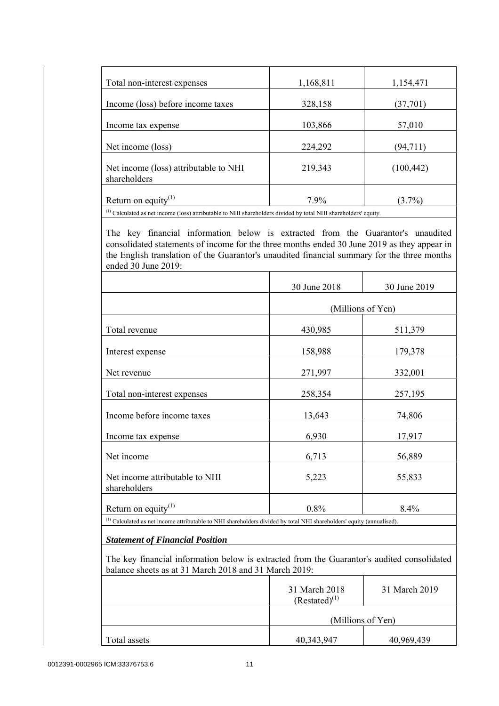| 1,168,811 | 1,154,471  |
|-----------|------------|
| 328,158   | (37,701)   |
| 103,866   | 57,010     |
| 224,292   | (94, 711)  |
| 219,343   | (100, 442) |
| 7.9%      | $(3.7\%)$  |
|           |            |

 The key financial information below is extracted from the Guarantor's unaudited consolidated statements of income for the three months ended 30 June 2019 as they appear in the English translation of the Guarantor's unaudited financial summary for the three months ended 30 June 2019:

|                                                                                                                                  | 30 June 2018 | 30 June 2019      |
|----------------------------------------------------------------------------------------------------------------------------------|--------------|-------------------|
|                                                                                                                                  |              | (Millions of Yen) |
| Total revenue                                                                                                                    | 430,985      | 511,379           |
| Interest expense                                                                                                                 | 158,988      | 179,378           |
| Net revenue                                                                                                                      | 271,997      | 332,001           |
| Total non-interest expenses                                                                                                      | 258,354      | 257,195           |
| Income before income taxes                                                                                                       | 13,643       | 74,806            |
| Income tax expense                                                                                                               | 6,930        | 17,917            |
| Net income                                                                                                                       | 6,713        | 56,889            |
| Net income attributable to NHI<br>shareholders                                                                                   | 5,223        | 55,833            |
| Return on equity $(1)$                                                                                                           | 0.8%         | 8.4%              |
| <sup>(1)</sup> Calculated as net income attributable to NHI shareholders divided by total NHI shareholders' equity (annualised). |              |                   |

# *Statement of Financial Position*

 The key financial information below is extracted from the Guarantor's audited consolidated balance sheets as at 31 March 2018 and 31 March 2019:

|              | 31 March 2018<br>$(Restated)^{(1)}$ | 31 March 2019 |
|--------------|-------------------------------------|---------------|
|              | (Millions of Yen)                   |               |
| Total assets | 40,343,947                          | 40,969,439    |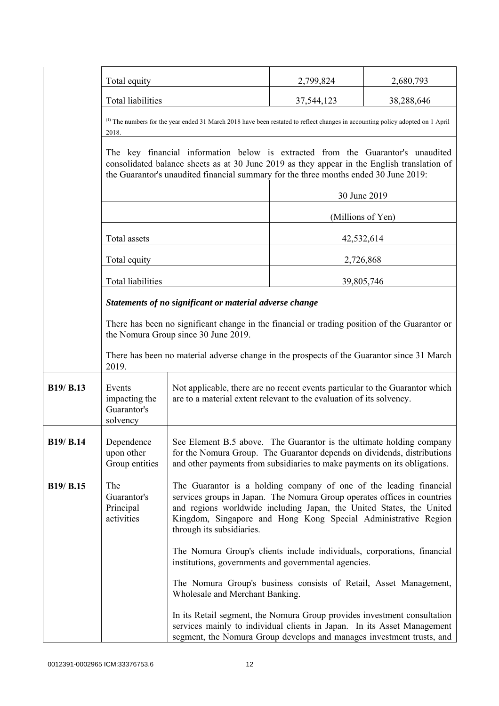|                  | Total equity                                                                                                                                                                                                                                                           |                                                                                                                                                                                                                                                                                                                       | 2,799,824  | 2,680,793  |
|------------------|------------------------------------------------------------------------------------------------------------------------------------------------------------------------------------------------------------------------------------------------------------------------|-----------------------------------------------------------------------------------------------------------------------------------------------------------------------------------------------------------------------------------------------------------------------------------------------------------------------|------------|------------|
|                  | <b>Total liabilities</b>                                                                                                                                                                                                                                               |                                                                                                                                                                                                                                                                                                                       | 37,544,123 | 38,288,646 |
|                  | <sup>(1)</sup> The numbers for the year ended 31 March 2018 have been restated to reflect changes in accounting policy adopted on 1 April<br>2018.                                                                                                                     |                                                                                                                                                                                                                                                                                                                       |            |            |
|                  | The key financial information below is extracted from the Guarantor's unaudited<br>consolidated balance sheets as at 30 June 2019 as they appear in the English translation of<br>the Guarantor's unaudited financial summary for the three months ended 30 June 2019: |                                                                                                                                                                                                                                                                                                                       |            |            |
|                  | 30 June 2019                                                                                                                                                                                                                                                           |                                                                                                                                                                                                                                                                                                                       |            |            |
|                  | (Millions of Yen)                                                                                                                                                                                                                                                      |                                                                                                                                                                                                                                                                                                                       |            |            |
|                  | Total assets                                                                                                                                                                                                                                                           |                                                                                                                                                                                                                                                                                                                       | 42,532,614 |            |
|                  | Total equity                                                                                                                                                                                                                                                           |                                                                                                                                                                                                                                                                                                                       | 2,726,868  |            |
|                  | <b>Total liabilities</b>                                                                                                                                                                                                                                               |                                                                                                                                                                                                                                                                                                                       | 39,805,746 |            |
|                  |                                                                                                                                                                                                                                                                        | Statements of no significant or material adverse change                                                                                                                                                                                                                                                               |            |            |
|                  | There has been no significant change in the financial or trading position of the Guarantor or<br>the Nomura Group since 30 June 2019.                                                                                                                                  |                                                                                                                                                                                                                                                                                                                       |            |            |
|                  | 2019.                                                                                                                                                                                                                                                                  | There has been no material adverse change in the prospects of the Guarantor since 31 March                                                                                                                                                                                                                            |            |            |
| B19/ B.13        | Events<br>impacting the<br>Guarantor's<br>solvency                                                                                                                                                                                                                     | Not applicable, there are no recent events particular to the Guarantor which<br>are to a material extent relevant to the evaluation of its solvency.                                                                                                                                                                  |            |            |
| <b>B19/ B.14</b> | Dependence<br>upon other<br>Group entities                                                                                                                                                                                                                             | See Element B.5 above. The Guarantor is the ultimate holding company<br>for the Nomura Group. The Guarantor depends on dividends, distributions<br>and other payments from subsidiaries to make payments on its obligations.                                                                                          |            |            |
| B19/ B.15        | The<br>Guarantor's<br>Principal<br>activities                                                                                                                                                                                                                          | The Guarantor is a holding company of one of the leading financial<br>services groups in Japan. The Nomura Group operates offices in countries<br>and regions worldwide including Japan, the United States, the United<br>Kingdom, Singapore and Hong Kong Special Administrative Region<br>through its subsidiaries. |            |            |
|                  |                                                                                                                                                                                                                                                                        | The Nomura Group's clients include individuals, corporations, financial<br>institutions, governments and governmental agencies.                                                                                                                                                                                       |            |            |
|                  |                                                                                                                                                                                                                                                                        | The Nomura Group's business consists of Retail, Asset Management,<br>Wholesale and Merchant Banking.                                                                                                                                                                                                                  |            |            |
|                  |                                                                                                                                                                                                                                                                        | In its Retail segment, the Nomura Group provides investment consultation<br>services mainly to individual clients in Japan. In its Asset Management<br>segment, the Nomura Group develops and manages investment trusts, and                                                                                          |            |            |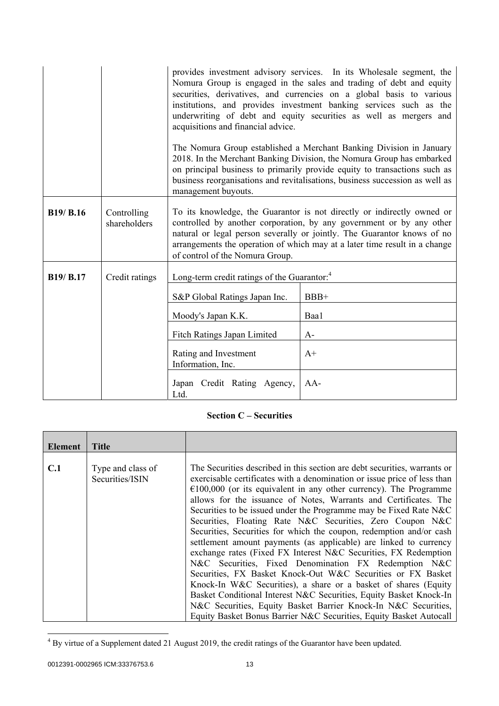|                  |                             | acquisitions and financial advice.<br>management buyouts.                                                                                                                                                                                                                                                                                  | provides investment advisory services. In its Wholesale segment, the<br>Nomura Group is engaged in the sales and trading of debt and equity<br>securities, derivatives, and currencies on a global basis to various<br>institutions, and provides investment banking services such as the<br>underwriting of debt and equity securities as well as mergers and<br>The Nomura Group established a Merchant Banking Division in January<br>2018. In the Merchant Banking Division, the Nomura Group has embarked<br>on principal business to primarily provide equity to transactions such as<br>business reorganisations and revitalisations, business succession as well as |
|------------------|-----------------------------|--------------------------------------------------------------------------------------------------------------------------------------------------------------------------------------------------------------------------------------------------------------------------------------------------------------------------------------------|-----------------------------------------------------------------------------------------------------------------------------------------------------------------------------------------------------------------------------------------------------------------------------------------------------------------------------------------------------------------------------------------------------------------------------------------------------------------------------------------------------------------------------------------------------------------------------------------------------------------------------------------------------------------------------|
| <b>B19/ B.16</b> | Controlling<br>shareholders | To its knowledge, the Guarantor is not directly or indirectly owned or<br>controlled by another corporation, by any government or by any other<br>natural or legal person severally or jointly. The Guarantor knows of no<br>arrangements the operation of which may at a later time result in a change<br>of control of the Nomura Group. |                                                                                                                                                                                                                                                                                                                                                                                                                                                                                                                                                                                                                                                                             |
| <b>B19/ B.17</b> | Credit ratings              | Long-term credit ratings of the Guarantor: <sup>4</sup>                                                                                                                                                                                                                                                                                    |                                                                                                                                                                                                                                                                                                                                                                                                                                                                                                                                                                                                                                                                             |
|                  |                             | S&P Global Ratings Japan Inc.                                                                                                                                                                                                                                                                                                              | $BBB+$                                                                                                                                                                                                                                                                                                                                                                                                                                                                                                                                                                                                                                                                      |
|                  |                             | Moody's Japan K.K.                                                                                                                                                                                                                                                                                                                         | Baa1                                                                                                                                                                                                                                                                                                                                                                                                                                                                                                                                                                                                                                                                        |
|                  |                             | Fitch Ratings Japan Limited<br>$A-$                                                                                                                                                                                                                                                                                                        |                                                                                                                                                                                                                                                                                                                                                                                                                                                                                                                                                                                                                                                                             |
|                  |                             | Rating and Investment<br>Information, Inc.                                                                                                                                                                                                                                                                                                 | $A+$                                                                                                                                                                                                                                                                                                                                                                                                                                                                                                                                                                                                                                                                        |
|                  |                             | Japan Credit Rating Agency,<br>Ltd.                                                                                                                                                                                                                                                                                                        | $AA-$                                                                                                                                                                                                                                                                                                                                                                                                                                                                                                                                                                                                                                                                       |

# **Section C – Securities**

| <b>Element</b> | <b>Title</b>                         |                                                                                                                                                                                                                                                                                                                                                                                                                                                                                                                                                                                                                                                                                                                                                                                                                                                                                                                                                                                                                                                                   |
|----------------|--------------------------------------|-------------------------------------------------------------------------------------------------------------------------------------------------------------------------------------------------------------------------------------------------------------------------------------------------------------------------------------------------------------------------------------------------------------------------------------------------------------------------------------------------------------------------------------------------------------------------------------------------------------------------------------------------------------------------------------------------------------------------------------------------------------------------------------------------------------------------------------------------------------------------------------------------------------------------------------------------------------------------------------------------------------------------------------------------------------------|
|                |                                      |                                                                                                                                                                                                                                                                                                                                                                                                                                                                                                                                                                                                                                                                                                                                                                                                                                                                                                                                                                                                                                                                   |
| C.1            | Type and class of<br>Securities/ISIN | The Securities described in this section are debt securities, warrants or<br>exercisable certificates with a denomination or issue price of less than<br>$\epsilon$ 100,000 (or its equivalent in any other currency). The Programme<br>allows for the issuance of Notes, Warrants and Certificates. The<br>Securities to be issued under the Programme may be Fixed Rate N&C<br>Securities, Floating Rate N&C Securities, Zero Coupon N&C<br>Securities, Securities for which the coupon, redemption and/or cash<br>settlement amount payments (as applicable) are linked to currency<br>exchange rates (Fixed FX Interest N&C Securities, FX Redemption<br>N&C Securities, Fixed Denomination FX Redemption N&C<br>Securities, FX Basket Knock-Out W&C Securities or FX Basket<br>Knock-In W&C Securities), a share or a basket of shares (Equity<br>Basket Conditional Interest N&C Securities, Equity Basket Knock-In<br>N&C Securities, Equity Basket Barrier Knock-In N&C Securities,<br>Equity Basket Bonus Barrier N&C Securities, Equity Basket Autocall |

<sup>&</sup>lt;sup>4</sup> By virtue of a Supplement dated 21 August 2019, the credit ratings of the Guarantor have been updated.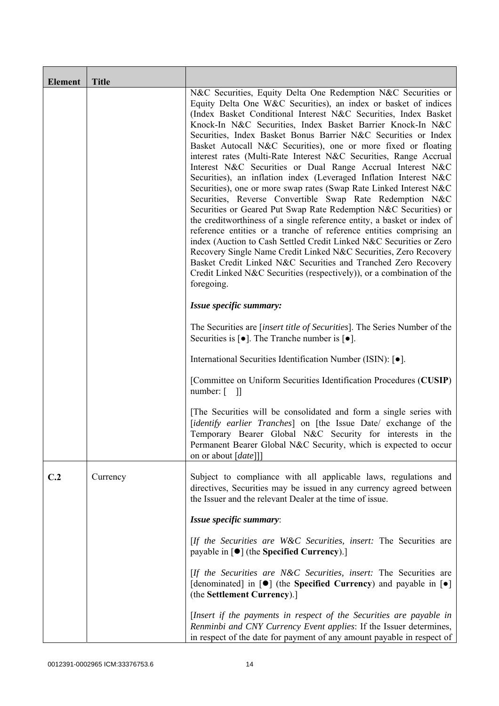| <b>Element</b> | <b>Title</b> |                                                                                                                                                                                                                                                                                                                                                                                                                                                                                                                                                                                                                                                                                                                                                                                                                                                                                                                                                                                                                                                                                                                                                                                                                                                                           |
|----------------|--------------|---------------------------------------------------------------------------------------------------------------------------------------------------------------------------------------------------------------------------------------------------------------------------------------------------------------------------------------------------------------------------------------------------------------------------------------------------------------------------------------------------------------------------------------------------------------------------------------------------------------------------------------------------------------------------------------------------------------------------------------------------------------------------------------------------------------------------------------------------------------------------------------------------------------------------------------------------------------------------------------------------------------------------------------------------------------------------------------------------------------------------------------------------------------------------------------------------------------------------------------------------------------------------|
|                |              | N&C Securities, Equity Delta One Redemption N&C Securities or<br>Equity Delta One W&C Securities), an index or basket of indices<br>(Index Basket Conditional Interest N&C Securities, Index Basket<br>Knock-In N&C Securities, Index Basket Barrier Knock-In N&C<br>Securities, Index Basket Bonus Barrier N&C Securities or Index<br>Basket Autocall N&C Securities), one or more fixed or floating<br>interest rates (Multi-Rate Interest N&C Securities, Range Accrual<br>Interest N&C Securities or Dual Range Accrual Interest N&C<br>Securities), an inflation index (Leveraged Inflation Interest N&C<br>Securities), one or more swap rates (Swap Rate Linked Interest N&C<br>Securities, Reverse Convertible Swap Rate Redemption N&C<br>Securities or Geared Put Swap Rate Redemption N&C Securities) or<br>the creditworthiness of a single reference entity, a basket or index of<br>reference entities or a tranche of reference entities comprising an<br>index (Auction to Cash Settled Credit Linked N&C Securities or Zero<br>Recovery Single Name Credit Linked N&C Securities, Zero Recovery<br>Basket Credit Linked N&C Securities and Tranched Zero Recovery<br>Credit Linked N&C Securities (respectively)), or a combination of the<br>foregoing. |
|                |              | Issue specific summary:                                                                                                                                                                                                                                                                                                                                                                                                                                                                                                                                                                                                                                                                                                                                                                                                                                                                                                                                                                                                                                                                                                                                                                                                                                                   |
|                |              | The Securities are <i>[insert title of Securities]</i> . The Series Number of the<br>Securities is $\lceil \bullet \rceil$ . The Tranche number is $\lceil \bullet \rceil$ .                                                                                                                                                                                                                                                                                                                                                                                                                                                                                                                                                                                                                                                                                                                                                                                                                                                                                                                                                                                                                                                                                              |
|                |              | International Securities Identification Number (ISIN): [ $\bullet$ ].                                                                                                                                                                                                                                                                                                                                                                                                                                                                                                                                                                                                                                                                                                                                                                                                                                                                                                                                                                                                                                                                                                                                                                                                     |
|                |              | [Committee on Uniform Securities Identification Procedures (CUSIP)<br>number: $\begin{bmatrix} 1 \end{bmatrix}$                                                                                                                                                                                                                                                                                                                                                                                                                                                                                                                                                                                                                                                                                                                                                                                                                                                                                                                                                                                                                                                                                                                                                           |
|                |              | [The Securities will be consolidated and form a single series with<br>[identify earlier Tranches] on [the Issue Date/ exchange of the<br>Temporary Bearer Global N&C Security for interests in the<br>Permanent Bearer Global N&C Security, which is expected to occur<br>on or about [date]]]                                                                                                                                                                                                                                                                                                                                                                                                                                                                                                                                                                                                                                                                                                                                                                                                                                                                                                                                                                            |
| C.2            | Currency     | Subject to compliance with all applicable laws, regulations and<br>directives, Securities may be issued in any currency agreed between<br>the Issuer and the relevant Dealer at the time of issue.                                                                                                                                                                                                                                                                                                                                                                                                                                                                                                                                                                                                                                                                                                                                                                                                                                                                                                                                                                                                                                                                        |
|                |              | Issue specific summary:                                                                                                                                                                                                                                                                                                                                                                                                                                                                                                                                                                                                                                                                                                                                                                                                                                                                                                                                                                                                                                                                                                                                                                                                                                                   |
|                |              | [If the Securities are W&C Securities, insert: The Securities are<br>payable in $\lceil \bullet \rceil$ (the Specified Currency).]                                                                                                                                                                                                                                                                                                                                                                                                                                                                                                                                                                                                                                                                                                                                                                                                                                                                                                                                                                                                                                                                                                                                        |
|                |              | [If the Securities are N&C Securities, insert: The Securities are<br>[denominated] in [ $\bullet$ ] (the Specified Currency) and payable in [ $\bullet$ ]<br>(the Settlement Currency).]                                                                                                                                                                                                                                                                                                                                                                                                                                                                                                                                                                                                                                                                                                                                                                                                                                                                                                                                                                                                                                                                                  |
|                |              | [Insert if the payments in respect of the Securities are payable in<br>Renminbi and CNY Currency Event applies: If the Issuer determines,<br>in respect of the date for payment of any amount payable in respect of                                                                                                                                                                                                                                                                                                                                                                                                                                                                                                                                                                                                                                                                                                                                                                                                                                                                                                                                                                                                                                                       |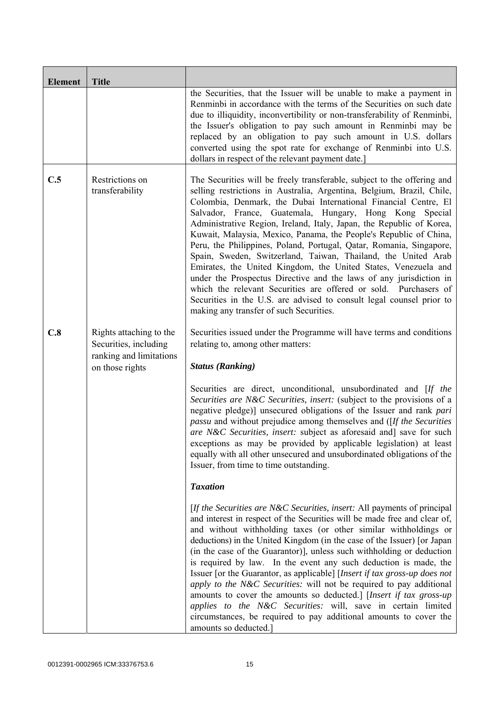| <b>Element</b> | <b>Title</b>                                                                |                                                                                                                                                                                                                                                                                                                                                                                                                                                                                                                                                                                                                                                                                                                                                                                                                                                                                                    |
|----------------|-----------------------------------------------------------------------------|----------------------------------------------------------------------------------------------------------------------------------------------------------------------------------------------------------------------------------------------------------------------------------------------------------------------------------------------------------------------------------------------------------------------------------------------------------------------------------------------------------------------------------------------------------------------------------------------------------------------------------------------------------------------------------------------------------------------------------------------------------------------------------------------------------------------------------------------------------------------------------------------------|
|                |                                                                             | the Securities, that the Issuer will be unable to make a payment in<br>Renminbi in accordance with the terms of the Securities on such date<br>due to illiquidity, inconvertibility or non-transferability of Renminbi,<br>the Issuer's obligation to pay such amount in Renminbi may be<br>replaced by an obligation to pay such amount in U.S. dollars<br>converted using the spot rate for exchange of Renminbi into U.S.<br>dollars in respect of the relevant payment date.]                                                                                                                                                                                                                                                                                                                                                                                                                  |
| C.5            | Restrictions on<br>transferability                                          | The Securities will be freely transferable, subject to the offering and<br>selling restrictions in Australia, Argentina, Belgium, Brazil, Chile,<br>Colombia, Denmark, the Dubai International Financial Centre, El<br>Salvador, France, Guatemala, Hungary, Hong Kong Special<br>Administrative Region, Ireland, Italy, Japan, the Republic of Korea,<br>Kuwait, Malaysia, Mexico, Panama, the People's Republic of China,<br>Peru, the Philippines, Poland, Portugal, Qatar, Romania, Singapore,<br>Spain, Sweden, Switzerland, Taiwan, Thailand, the United Arab<br>Emirates, the United Kingdom, the United States, Venezuela and<br>under the Prospectus Directive and the laws of any jurisdiction in<br>which the relevant Securities are offered or sold. Purchasers of<br>Securities in the U.S. are advised to consult legal counsel prior to<br>making any transfer of such Securities. |
| C.8            | Rights attaching to the<br>Securities, including<br>ranking and limitations | Securities issued under the Programme will have terms and conditions<br>relating to, among other matters:                                                                                                                                                                                                                                                                                                                                                                                                                                                                                                                                                                                                                                                                                                                                                                                          |
|                | on those rights                                                             | <b>Status (Ranking)</b>                                                                                                                                                                                                                                                                                                                                                                                                                                                                                                                                                                                                                                                                                                                                                                                                                                                                            |
|                |                                                                             | Securities are direct, unconditional, unsubordinated and [If the<br>Securities are N&C Securities, insert: (subject to the provisions of a<br>negative pledge)] unsecured obligations of the Issuer and rank pari<br><i>passu</i> and without prejudice among themselves and ([If the Securities]<br>are N&C Securities, insert: subject as aforesaid and] save for such<br>exceptions as may be provided by applicable legislation) at least<br>equally with all other unsecured and unsubordinated obligations of the<br>Issuer, from time to time outstanding.                                                                                                                                                                                                                                                                                                                                  |
|                |                                                                             | <b>Taxation</b>                                                                                                                                                                                                                                                                                                                                                                                                                                                                                                                                                                                                                                                                                                                                                                                                                                                                                    |
|                |                                                                             | [If the Securities are N&C Securities, insert: All payments of principal<br>and interest in respect of the Securities will be made free and clear of,<br>and without withholding taxes (or other similar withholdings or<br>deductions) in the United Kingdom (in the case of the Issuer) [or Japan<br>(in the case of the Guarantor)], unless such withholding or deduction<br>is required by law. In the event any such deduction is made, the<br>Issuer [or the Guarantor, as applicable] [Insert if tax gross-up does not<br>apply to the N&C Securities: will not be required to pay additional<br>amounts to cover the amounts so deducted.] [Insert if tax gross-up<br>applies to the N&C Securities: will, save in certain limited<br>circumstances, be required to pay additional amounts to cover the<br>amounts so deducted.]                                                           |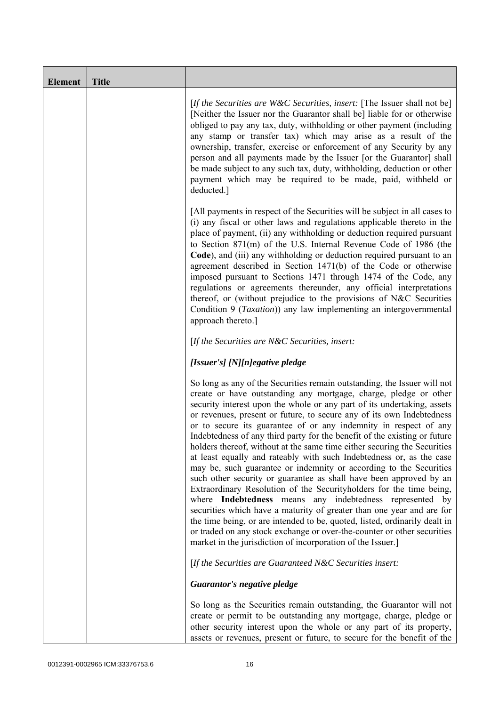| <b>Element</b> | <b>Title</b> |                                                                                                                                                                                                                                                                                                                                                                                                                                                                                                                                                                                                                                                                                                                                                                                                                                                                                                                                                                                                                                                                                                                                                                                       |
|----------------|--------------|---------------------------------------------------------------------------------------------------------------------------------------------------------------------------------------------------------------------------------------------------------------------------------------------------------------------------------------------------------------------------------------------------------------------------------------------------------------------------------------------------------------------------------------------------------------------------------------------------------------------------------------------------------------------------------------------------------------------------------------------------------------------------------------------------------------------------------------------------------------------------------------------------------------------------------------------------------------------------------------------------------------------------------------------------------------------------------------------------------------------------------------------------------------------------------------|
|                |              | [If the Securities are W&C Securities, insert: [The Issuer shall not be]<br>[Neither the Issuer nor the Guarantor shall be] liable for or otherwise<br>obliged to pay any tax, duty, withholding or other payment (including<br>any stamp or transfer tax) which may arise as a result of the<br>ownership, transfer, exercise or enforcement of any Security by any<br>person and all payments made by the Issuer [or the Guarantor] shall<br>be made subject to any such tax, duty, withholding, deduction or other<br>payment which may be required to be made, paid, withheld or<br>deducted.]                                                                                                                                                                                                                                                                                                                                                                                                                                                                                                                                                                                    |
|                |              | [All payments in respect of the Securities will be subject in all cases to<br>(i) any fiscal or other laws and regulations applicable thereto in the<br>place of payment, (ii) any withholding or deduction required pursuant<br>to Section 871(m) of the U.S. Internal Revenue Code of 1986 (the<br>Code), and (iii) any withholding or deduction required pursuant to an<br>agreement described in Section 1471(b) of the Code or otherwise<br>imposed pursuant to Sections 1471 through 1474 of the Code, any<br>regulations or agreements thereunder, any official interpretations<br>thereof, or (without prejudice to the provisions of N&C Securities<br>Condition 9 ( <i>Taxation</i> )) any law implementing an intergovernmental<br>approach thereto.]                                                                                                                                                                                                                                                                                                                                                                                                                      |
|                |              | [If the Securities are N&C Securities, insert:                                                                                                                                                                                                                                                                                                                                                                                                                                                                                                                                                                                                                                                                                                                                                                                                                                                                                                                                                                                                                                                                                                                                        |
|                |              | [Issuer's] [N][n]egative pledge                                                                                                                                                                                                                                                                                                                                                                                                                                                                                                                                                                                                                                                                                                                                                                                                                                                                                                                                                                                                                                                                                                                                                       |
|                |              | So long as any of the Securities remain outstanding, the Issuer will not<br>create or have outstanding any mortgage, charge, pledge or other<br>security interest upon the whole or any part of its undertaking, assets<br>or revenues, present or future, to secure any of its own Indebtedness<br>or to secure its guarantee of or any indemnity in respect of any<br>Indebtedness of any third party for the benefit of the existing or future<br>holders thereof, without at the same time either securing the Securities<br>at least equally and rateably with such Indebtedness or, as the case<br>may be, such guarantee or indemnity or according to the Securities<br>such other security or guarantee as shall have been approved by an<br>Extraordinary Resolution of the Securityholders for the time being,<br>where Indebtedness means any indebtedness represented by<br>securities which have a maturity of greater than one year and are for<br>the time being, or are intended to be, quoted, listed, ordinarily dealt in<br>or traded on any stock exchange or over-the-counter or other securities<br>market in the jurisdiction of incorporation of the Issuer.] |
|                |              | [If the Securities are Guaranteed N&C Securities insert:                                                                                                                                                                                                                                                                                                                                                                                                                                                                                                                                                                                                                                                                                                                                                                                                                                                                                                                                                                                                                                                                                                                              |
|                |              | Guarantor's negative pledge                                                                                                                                                                                                                                                                                                                                                                                                                                                                                                                                                                                                                                                                                                                                                                                                                                                                                                                                                                                                                                                                                                                                                           |
|                |              | So long as the Securities remain outstanding, the Guarantor will not<br>create or permit to be outstanding any mortgage, charge, pledge or<br>other security interest upon the whole or any part of its property,<br>assets or revenues, present or future, to secure for the benefit of the                                                                                                                                                                                                                                                                                                                                                                                                                                                                                                                                                                                                                                                                                                                                                                                                                                                                                          |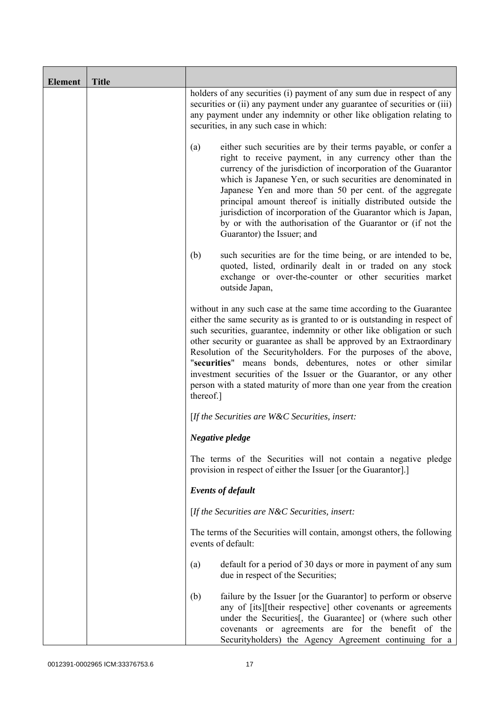| <b>Element</b> | <b>Title</b> |                                                                                                                                                                                                                                                                                                                                                                                                                                                                                                                                                                                                      |
|----------------|--------------|------------------------------------------------------------------------------------------------------------------------------------------------------------------------------------------------------------------------------------------------------------------------------------------------------------------------------------------------------------------------------------------------------------------------------------------------------------------------------------------------------------------------------------------------------------------------------------------------------|
|                |              | holders of any securities (i) payment of any sum due in respect of any<br>securities or (ii) any payment under any guarantee of securities or (iii)<br>any payment under any indemnity or other like obligation relating to<br>securities, in any such case in which:                                                                                                                                                                                                                                                                                                                                |
|                |              | either such securities are by their terms payable, or confer a<br>(a)<br>right to receive payment, in any currency other than the<br>currency of the jurisdiction of incorporation of the Guarantor<br>which is Japanese Yen, or such securities are denominated in<br>Japanese Yen and more than 50 per cent. of the aggregate<br>principal amount thereof is initially distributed outside the<br>jurisdiction of incorporation of the Guarantor which is Japan,<br>by or with the authorisation of the Guarantor or (if not the<br>Guarantor) the Issuer; and                                     |
|                |              | (b)<br>such securities are for the time being, or are intended to be,<br>quoted, listed, ordinarily dealt in or traded on any stock<br>exchange or over-the-counter or other securities market<br>outside Japan,                                                                                                                                                                                                                                                                                                                                                                                     |
|                |              | without in any such case at the same time according to the Guarantee<br>either the same security as is granted to or is outstanding in respect of<br>such securities, guarantee, indemnity or other like obligation or such<br>other security or guarantee as shall be approved by an Extraordinary<br>Resolution of the Securityholders. For the purposes of the above,<br>"securities" means bonds, debentures, notes or other similar<br>investment securities of the Issuer or the Guarantor, or any other<br>person with a stated maturity of more than one year from the creation<br>thereof.] |
|                |              | [If the Securities are W&C Securities, insert:                                                                                                                                                                                                                                                                                                                                                                                                                                                                                                                                                       |
|                |              | Negative pledge                                                                                                                                                                                                                                                                                                                                                                                                                                                                                                                                                                                      |
|                |              | The terms of the Securities will not contain a negative pledge<br>provision in respect of either the Issuer [or the Guarantor].]                                                                                                                                                                                                                                                                                                                                                                                                                                                                     |
|                |              | <b>Events of default</b>                                                                                                                                                                                                                                                                                                                                                                                                                                                                                                                                                                             |
|                |              | [If the Securities are $N\&C$ Securities, insert:                                                                                                                                                                                                                                                                                                                                                                                                                                                                                                                                                    |
|                |              | The terms of the Securities will contain, amongst others, the following<br>events of default:                                                                                                                                                                                                                                                                                                                                                                                                                                                                                                        |
|                |              | default for a period of 30 days or more in payment of any sum<br>(a)<br>due in respect of the Securities;                                                                                                                                                                                                                                                                                                                                                                                                                                                                                            |
|                |              | failure by the Issuer [or the Guarantor] to perform or observe<br>(b)<br>any of [its][their respective] other covenants or agreements<br>under the Securities[, the Guarantee] or (where such other<br>covenants or agreements are for the benefit of the<br>Securityholders) the Agency Agreement continuing for a                                                                                                                                                                                                                                                                                  |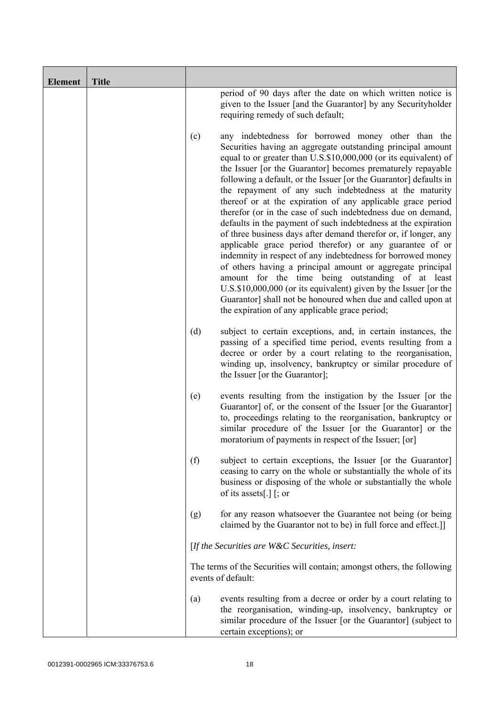| <b>Element</b> | <b>Title</b> |     |                                                                                                                                                                                                                                                                                                                                                                                                                                                                                                                                                                                                                                                                                                                                                                                                                                                                                                                                                                                                                                                                                             |
|----------------|--------------|-----|---------------------------------------------------------------------------------------------------------------------------------------------------------------------------------------------------------------------------------------------------------------------------------------------------------------------------------------------------------------------------------------------------------------------------------------------------------------------------------------------------------------------------------------------------------------------------------------------------------------------------------------------------------------------------------------------------------------------------------------------------------------------------------------------------------------------------------------------------------------------------------------------------------------------------------------------------------------------------------------------------------------------------------------------------------------------------------------------|
|                |              |     | period of 90 days after the date on which written notice is<br>given to the Issuer [and the Guarantor] by any Securityholder<br>requiring remedy of such default;                                                                                                                                                                                                                                                                                                                                                                                                                                                                                                                                                                                                                                                                                                                                                                                                                                                                                                                           |
|                |              | (c) | any indebtedness for borrowed money other than the<br>Securities having an aggregate outstanding principal amount<br>equal to or greater than U.S.\$10,000,000 (or its equivalent) of<br>the Issuer [or the Guarantor] becomes prematurely repayable<br>following a default, or the Issuer [or the Guarantor] defaults in<br>the repayment of any such indebtedness at the maturity<br>thereof or at the expiration of any applicable grace period<br>therefor (or in the case of such indebtedness due on demand,<br>defaults in the payment of such indebtedness at the expiration<br>of three business days after demand therefor or, if longer, any<br>applicable grace period therefor) or any guarantee of or<br>indemnity in respect of any indebtedness for borrowed money<br>of others having a principal amount or aggregate principal<br>amount for the time being outstanding of at least<br>U.S.\$10,000,000 (or its equivalent) given by the Issuer [or the<br>Guarantor] shall not be honoured when due and called upon at<br>the expiration of any applicable grace period; |
|                |              | (d) | subject to certain exceptions, and, in certain instances, the<br>passing of a specified time period, events resulting from a<br>decree or order by a court relating to the reorganisation,<br>winding up, insolvency, bankruptcy or similar procedure of<br>the Issuer [or the Guarantor];                                                                                                                                                                                                                                                                                                                                                                                                                                                                                                                                                                                                                                                                                                                                                                                                  |
|                |              | (e) | events resulting from the instigation by the Issuer [or the<br>Guarantor] of, or the consent of the Issuer [or the Guarantor]<br>to, proceedings relating to the reorganisation, bankruptcy or<br>similar procedure of the Issuer [or the Guarantor] or the<br>moratorium of payments in respect of the Issuer; [or]                                                                                                                                                                                                                                                                                                                                                                                                                                                                                                                                                                                                                                                                                                                                                                        |
|                |              | (f) | subject to certain exceptions, the Issuer [or the Guarantor]<br>ceasing to carry on the whole or substantially the whole of its<br>business or disposing of the whole or substantially the whole<br>of its assets[.] $\lceil$ ; or                                                                                                                                                                                                                                                                                                                                                                                                                                                                                                                                                                                                                                                                                                                                                                                                                                                          |
|                |              | (g) | for any reason whatsoever the Guarantee not being (or being<br>claimed by the Guarantor not to be) in full force and effect.]                                                                                                                                                                                                                                                                                                                                                                                                                                                                                                                                                                                                                                                                                                                                                                                                                                                                                                                                                               |
|                |              |     | [If the Securities are W&C Securities, insert:                                                                                                                                                                                                                                                                                                                                                                                                                                                                                                                                                                                                                                                                                                                                                                                                                                                                                                                                                                                                                                              |
|                |              |     | The terms of the Securities will contain; amongst others, the following<br>events of default:                                                                                                                                                                                                                                                                                                                                                                                                                                                                                                                                                                                                                                                                                                                                                                                                                                                                                                                                                                                               |
|                |              | (a) | events resulting from a decree or order by a court relating to<br>the reorganisation, winding-up, insolvency, bankruptcy or<br>similar procedure of the Issuer [or the Guarantor] (subject to<br>certain exceptions); or                                                                                                                                                                                                                                                                                                                                                                                                                                                                                                                                                                                                                                                                                                                                                                                                                                                                    |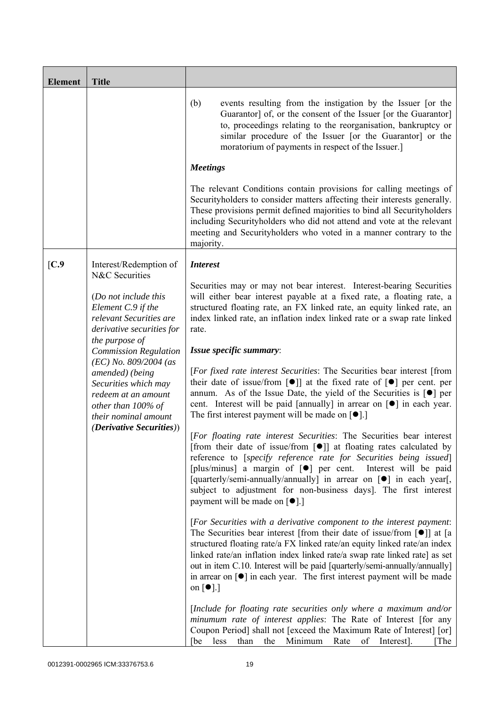| <b>Element</b>  | <b>Title</b>                                                                                                                            |                                                                                                                                                                                                                                                                                                                                                                                                                                                                                                                                 |
|-----------------|-----------------------------------------------------------------------------------------------------------------------------------------|---------------------------------------------------------------------------------------------------------------------------------------------------------------------------------------------------------------------------------------------------------------------------------------------------------------------------------------------------------------------------------------------------------------------------------------------------------------------------------------------------------------------------------|
|                 |                                                                                                                                         | (b)<br>events resulting from the instigation by the Issuer [or the<br>Guarantor] of, or the consent of the Issuer [or the Guarantor]<br>to, proceedings relating to the reorganisation, bankruptcy or<br>similar procedure of the Issuer [or the Guarantor] or the<br>moratorium of payments in respect of the Issuer.]                                                                                                                                                                                                         |
|                 |                                                                                                                                         | <b>Meetings</b>                                                                                                                                                                                                                                                                                                                                                                                                                                                                                                                 |
|                 |                                                                                                                                         | The relevant Conditions contain provisions for calling meetings of<br>Securityholders to consider matters affecting their interests generally.<br>These provisions permit defined majorities to bind all Securityholders<br>including Securityholders who did not attend and vote at the relevant<br>meeting and Securityholders who voted in a manner contrary to the<br>majority.                                                                                                                                             |
| $\mathcal{C}.9$ | Interest/Redemption of                                                                                                                  | <b>Interest</b>                                                                                                                                                                                                                                                                                                                                                                                                                                                                                                                 |
|                 | N&C Securities<br>(Do not include this<br>Element C.9 if the<br>relevant Securities are<br>derivative securities for<br>the purpose of  | Securities may or may not bear interest. Interest-bearing Securities<br>will either bear interest payable at a fixed rate, a floating rate, a<br>structured floating rate, an FX linked rate, an equity linked rate, an<br>index linked rate, an inflation index linked rate or a swap rate linked<br>rate.                                                                                                                                                                                                                     |
|                 | <b>Commission Regulation</b>                                                                                                            | Issue specific summary:                                                                                                                                                                                                                                                                                                                                                                                                                                                                                                         |
|                 | $(EC)$ No. 809/2004 (as<br>amended) (being<br>Securities which may<br>redeem at an amount<br>other than 100% of<br>their nominal amount | [For fixed rate interest Securities: The Securities bear interest [from<br>their date of issue/from $\lceil \bullet \rceil$ at the fixed rate of $\lceil \bullet \rceil$ per cent. per<br>annum. As of the Issue Date, the yield of the Securities is $\lceil \bullet \rceil$ per<br>cent. Interest will be paid [annually] in arrear on $\lceil \bullet \rceil$ in each year.<br>The first interest payment will be made on $\lceil \bullet \rceil$ .]                                                                         |
|                 | <i>(Derivative Securities))</i>                                                                                                         | [For floating rate interest Securities: The Securities bear interest<br>[from their date of issue/from $\lceil \bullet \rceil$ ] at floating rates calculated by<br>reference to [specify reference rate for Securities being issued]<br>[plus/minus] a margin of [ $\bullet$ ] per cent. Interest will be paid<br>[quarterly/semi-annually/annually] in arrear on [ $\bullet$ ] in each year[,<br>subject to adjustment for non-business days]. The first interest<br>payment will be made on $\lceil \bullet \rceil$ .]       |
|                 |                                                                                                                                         | [For Securities with a derivative component to the interest payment:<br>The Securities bear interest [from their date of issue/from [ $\bullet$ ]] at [a<br>structured floating rate/a FX linked rate/an equity linked rate/an index<br>linked rate/an inflation index linked rate/a swap rate linked rate] as set<br>out in item C.10. Interest will be paid [quarterly/semi-annually/annually]<br>in arrear on $\lceil \bullet \rceil$ in each year. The first interest payment will be made<br>on $\lceil \bullet \rceil$ .] |
|                 |                                                                                                                                         | [Include for floating rate securities only where a maximum and/or<br>minumum rate of interest applies: The Rate of Interest [for any<br>Coupon Period] shall not [exceed the Maximum Rate of Interest] [or]<br>Minimum<br>less<br>than<br>the<br>Rate<br>Interest].<br>[be<br>of<br>The                                                                                                                                                                                                                                         |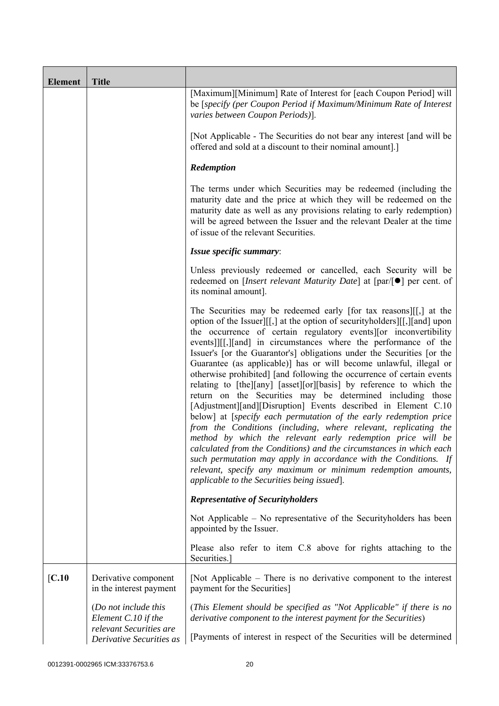| <b>Element</b> | <b>Title</b>                                                           |                                                                                                                                                                                                                                                                                                                                                                                                                                                                                                                                                                                                                                                                                                                                                                                                                                                                                                                                                                                                                                                                                                                                                                                      |
|----------------|------------------------------------------------------------------------|--------------------------------------------------------------------------------------------------------------------------------------------------------------------------------------------------------------------------------------------------------------------------------------------------------------------------------------------------------------------------------------------------------------------------------------------------------------------------------------------------------------------------------------------------------------------------------------------------------------------------------------------------------------------------------------------------------------------------------------------------------------------------------------------------------------------------------------------------------------------------------------------------------------------------------------------------------------------------------------------------------------------------------------------------------------------------------------------------------------------------------------------------------------------------------------|
|                |                                                                        | [Maximum][Minimum] Rate of Interest for [each Coupon Period] will<br>be [specify (per Coupon Period if Maximum/Minimum Rate of Interest<br>varies between Coupon Periods)].                                                                                                                                                                                                                                                                                                                                                                                                                                                                                                                                                                                                                                                                                                                                                                                                                                                                                                                                                                                                          |
|                |                                                                        | [Not Applicable - The Securities do not bear any interest [and will be<br>offered and sold at a discount to their nominal amount].]                                                                                                                                                                                                                                                                                                                                                                                                                                                                                                                                                                                                                                                                                                                                                                                                                                                                                                                                                                                                                                                  |
|                |                                                                        | Redemption                                                                                                                                                                                                                                                                                                                                                                                                                                                                                                                                                                                                                                                                                                                                                                                                                                                                                                                                                                                                                                                                                                                                                                           |
|                |                                                                        | The terms under which Securities may be redeemed (including the<br>maturity date and the price at which they will be redeemed on the<br>maturity date as well as any provisions relating to early redemption)<br>will be agreed between the Issuer and the relevant Dealer at the time<br>of issue of the relevant Securities.                                                                                                                                                                                                                                                                                                                                                                                                                                                                                                                                                                                                                                                                                                                                                                                                                                                       |
|                |                                                                        | Issue specific summary:                                                                                                                                                                                                                                                                                                                                                                                                                                                                                                                                                                                                                                                                                                                                                                                                                                                                                                                                                                                                                                                                                                                                                              |
|                |                                                                        | Unless previously redeemed or cancelled, each Security will be<br>redeemed on [Insert relevant Maturity Date] at [par/[●] per cent. of<br>its nominal amount].                                                                                                                                                                                                                                                                                                                                                                                                                                                                                                                                                                                                                                                                                                                                                                                                                                                                                                                                                                                                                       |
|                |                                                                        | The Securities may be redeemed early [for tax reasons][[,] at the<br>option of the Issuer][[,] at the option of securityholders][[,][and] upon<br>the occurrence of certain regulatory events or inconvertibility<br>events]][[,][and] in circumstances where the performance of the<br>Issuer's [or the Guarantor's] obligations under the Securities [or the<br>Guarantee (as applicable)] has or will become unlawful, illegal or<br>otherwise prohibited] [and following the occurrence of certain events<br>relating to [the][any] [asset][or][basis] by reference to which the<br>return on the Securities may be determined including those<br>[Adjustment][and][Disruption] Events described in Element C.10<br>below] at [specify each permutation of the early redemption price<br>from the Conditions (including, where relevant, replicating the<br>method by which the relevant early redemption price will be<br>calculated from the Conditions) and the circumstances in which each<br>such permutation may apply in accordance with the Conditions. If<br>relevant, specify any maximum or minimum redemption amounts,<br>applicable to the Securities being issued. |
|                |                                                                        | <b>Representative of Securityholders</b>                                                                                                                                                                                                                                                                                                                                                                                                                                                                                                                                                                                                                                                                                                                                                                                                                                                                                                                                                                                                                                                                                                                                             |
|                |                                                                        | Not Applicable – No representative of the Securityholders has been<br>appointed by the Issuer.                                                                                                                                                                                                                                                                                                                                                                                                                                                                                                                                                                                                                                                                                                                                                                                                                                                                                                                                                                                                                                                                                       |
|                |                                                                        | Please also refer to item C.8 above for rights attaching to the<br>Securities.                                                                                                                                                                                                                                                                                                                                                                                                                                                                                                                                                                                                                                                                                                                                                                                                                                                                                                                                                                                                                                                                                                       |
| [C.10]         | Derivative component<br>in the interest payment                        | [Not Applicable – There is no derivative component to the interest<br>payment for the Securities]                                                                                                                                                                                                                                                                                                                                                                                                                                                                                                                                                                                                                                                                                                                                                                                                                                                                                                                                                                                                                                                                                    |
|                | (Do not include this<br>Element C.10 if the<br>relevant Securities are | (This Element should be specified as "Not Applicable" if there is no<br>derivative component to the interest payment for the Securities)                                                                                                                                                                                                                                                                                                                                                                                                                                                                                                                                                                                                                                                                                                                                                                                                                                                                                                                                                                                                                                             |
|                | Derivative Securities as                                               | [Payments of interest in respect of the Securities will be determined                                                                                                                                                                                                                                                                                                                                                                                                                                                                                                                                                                                                                                                                                                                                                                                                                                                                                                                                                                                                                                                                                                                |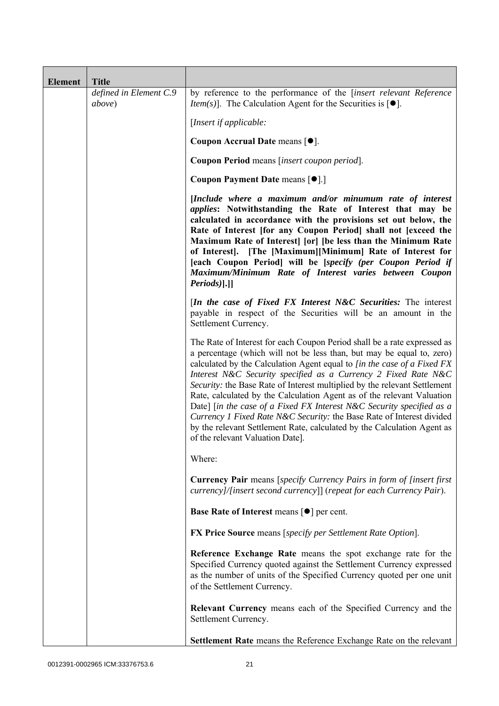| <b>Element</b> | <b>Title</b>                             |                                                                                                                                                                                                                                                                                                                                                                                                                                                                                                                                                                                                                                                                                                                        |
|----------------|------------------------------------------|------------------------------------------------------------------------------------------------------------------------------------------------------------------------------------------------------------------------------------------------------------------------------------------------------------------------------------------------------------------------------------------------------------------------------------------------------------------------------------------------------------------------------------------------------------------------------------------------------------------------------------------------------------------------------------------------------------------------|
|                | defined in Element C.9<br><i>above</i> ) | by reference to the performance of the [insert relevant Reference<br><i>Item(s)</i> ]. The Calculation Agent for the Securities is $[•]$ .                                                                                                                                                                                                                                                                                                                                                                                                                                                                                                                                                                             |
|                |                                          | [Insert if applicable:                                                                                                                                                                                                                                                                                                                                                                                                                                                                                                                                                                                                                                                                                                 |
|                |                                          | Coupon Accrual Date means [ $\bullet$ ].                                                                                                                                                                                                                                                                                                                                                                                                                                                                                                                                                                                                                                                                               |
|                |                                          | Coupon Period means [insert coupon period].                                                                                                                                                                                                                                                                                                                                                                                                                                                                                                                                                                                                                                                                            |
|                |                                          | Coupon Payment Date means [ $\bullet$ ].]                                                                                                                                                                                                                                                                                                                                                                                                                                                                                                                                                                                                                                                                              |
|                |                                          | [Include where a maximum and/or minumum rate of interest<br><i>applies:</i> Notwithstanding the Rate of Interest that may be<br>calculated in accordance with the provisions set out below, the<br>Rate of Interest [for any Coupon Period] shall not [exceed the<br>Maximum Rate of Interest [or] [be less than the Minimum Rate<br>of Interest]. [The [Maximum][Minimum] Rate of Interest for<br>[each Coupon Period] will be [specify (per Coupon Period if<br>Maximum/Minimum Rate of Interest varies between Coupon<br>Periods)].]]                                                                                                                                                                               |
|                |                                          | [In the case of Fixed FX Interest N&C Securities: The interest<br>payable in respect of the Securities will be an amount in the<br>Settlement Currency.                                                                                                                                                                                                                                                                                                                                                                                                                                                                                                                                                                |
|                |                                          | The Rate of Interest for each Coupon Period shall be a rate expressed as<br>a percentage (which will not be less than, but may be equal to, zero)<br>calculated by the Calculation Agent equal to [in the case of a Fixed FX<br>Interest N&C Security specified as a Currency 2 Fixed Rate N&C<br>Security: the Base Rate of Interest multiplied by the relevant Settlement<br>Rate, calculated by the Calculation Agent as of the relevant Valuation<br>Date] [in the case of a Fixed FX Interest N&C Security specified as a<br>Currency 1 Fixed Rate N&C Security: the Base Rate of Interest divided<br>by the relevant Settlement Rate, calculated by the Calculation Agent as<br>of the relevant Valuation Date]. |
|                |                                          | Where:                                                                                                                                                                                                                                                                                                                                                                                                                                                                                                                                                                                                                                                                                                                 |
|                |                                          | <b>Currency Pair</b> means [specify Currency Pairs in form of [insert first]<br>currency]/[insert second currency]] (repeat for each Currency Pair).                                                                                                                                                                                                                                                                                                                                                                                                                                                                                                                                                                   |
|                |                                          | Base Rate of Interest means [ $\bullet$ ] per cent.                                                                                                                                                                                                                                                                                                                                                                                                                                                                                                                                                                                                                                                                    |
|                |                                          | <b>FX Price Source</b> means [specify per Settlement Rate Option].                                                                                                                                                                                                                                                                                                                                                                                                                                                                                                                                                                                                                                                     |
|                |                                          | Reference Exchange Rate means the spot exchange rate for the<br>Specified Currency quoted against the Settlement Currency expressed<br>as the number of units of the Specified Currency quoted per one unit<br>of the Settlement Currency.                                                                                                                                                                                                                                                                                                                                                                                                                                                                             |
|                |                                          | <b>Relevant Currency</b> means each of the Specified Currency and the<br>Settlement Currency.                                                                                                                                                                                                                                                                                                                                                                                                                                                                                                                                                                                                                          |
|                |                                          | <b>Settlement Rate</b> means the Reference Exchange Rate on the relevant                                                                                                                                                                                                                                                                                                                                                                                                                                                                                                                                                                                                                                               |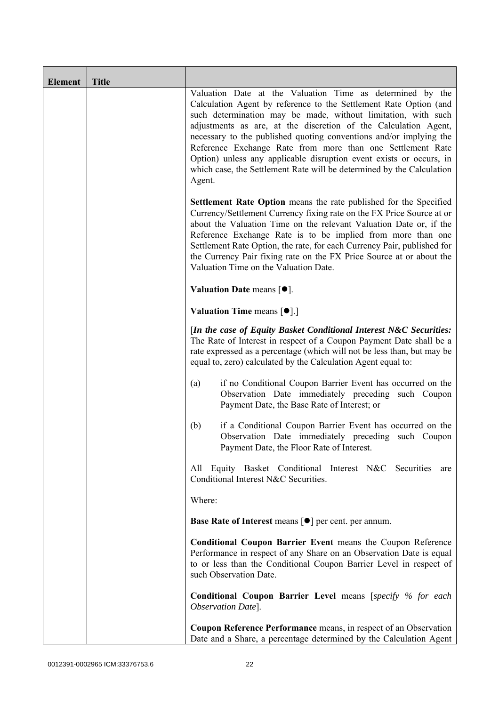| <b>Element</b> | <b>Title</b> |                                                                                                                                                                                                                                                                                                                                                                                                                                                                                                                                                                  |
|----------------|--------------|------------------------------------------------------------------------------------------------------------------------------------------------------------------------------------------------------------------------------------------------------------------------------------------------------------------------------------------------------------------------------------------------------------------------------------------------------------------------------------------------------------------------------------------------------------------|
|                |              | Valuation Date at the Valuation Time as determined by the<br>Calculation Agent by reference to the Settlement Rate Option (and<br>such determination may be made, without limitation, with such<br>adjustments as are, at the discretion of the Calculation Agent,<br>necessary to the published quoting conventions and/or implying the<br>Reference Exchange Rate from more than one Settlement Rate<br>Option) unless any applicable disruption event exists or occurs, in<br>which case, the Settlement Rate will be determined by the Calculation<br>Agent. |
|                |              | <b>Settlement Rate Option</b> means the rate published for the Specified<br>Currency/Settlement Currency fixing rate on the FX Price Source at or<br>about the Valuation Time on the relevant Valuation Date or, if the<br>Reference Exchange Rate is to be implied from more than one<br>Settlement Rate Option, the rate, for each Currency Pair, published for<br>the Currency Pair fixing rate on the FX Price Source at or about the<br>Valuation Time on the Valuation Date.                                                                               |
|                |              | Valuation Date means $[•]$ .                                                                                                                                                                                                                                                                                                                                                                                                                                                                                                                                     |
|                |              | <b>Valuation Time means <math>\lceil \bullet \rceil</math>.</b>                                                                                                                                                                                                                                                                                                                                                                                                                                                                                                  |
|                |              | [In the case of Equity Basket Conditional Interest N&C Securities:<br>The Rate of Interest in respect of a Coupon Payment Date shall be a<br>rate expressed as a percentage (which will not be less than, but may be<br>equal to, zero) calculated by the Calculation Agent equal to:                                                                                                                                                                                                                                                                            |
|                |              | if no Conditional Coupon Barrier Event has occurred on the<br>(a)<br>Observation Date immediately preceding such Coupon<br>Payment Date, the Base Rate of Interest; or                                                                                                                                                                                                                                                                                                                                                                                           |
|                |              | if a Conditional Coupon Barrier Event has occurred on the<br>(b)<br>Observation Date immediately preceding such Coupon<br>Payment Date, the Floor Rate of Interest.                                                                                                                                                                                                                                                                                                                                                                                              |
|                |              | All Equity Basket Conditional Interest N&C Securities<br>are<br>Conditional Interest N&C Securities.                                                                                                                                                                                                                                                                                                                                                                                                                                                             |
|                |              | Where:                                                                                                                                                                                                                                                                                                                                                                                                                                                                                                                                                           |
|                |              | <b>Base Rate of Interest means [<math>\bullet</math>] per cent. per annum.</b>                                                                                                                                                                                                                                                                                                                                                                                                                                                                                   |
|                |              | Conditional Coupon Barrier Event means the Coupon Reference<br>Performance in respect of any Share on an Observation Date is equal<br>to or less than the Conditional Coupon Barrier Level in respect of<br>such Observation Date.                                                                                                                                                                                                                                                                                                                               |
|                |              | Conditional Coupon Barrier Level means [specify % for each<br>Observation Date].                                                                                                                                                                                                                                                                                                                                                                                                                                                                                 |
|                |              | Coupon Reference Performance means, in respect of an Observation<br>Date and a Share, a percentage determined by the Calculation Agent                                                                                                                                                                                                                                                                                                                                                                                                                           |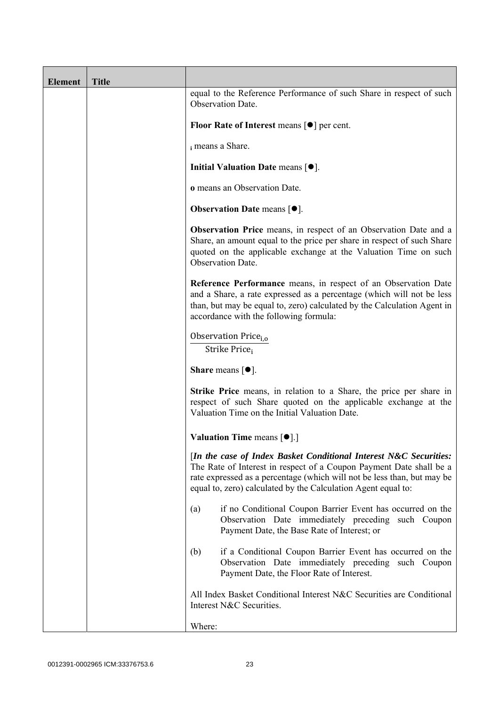| <b>Element</b> | <b>Title</b> |                                                                                                                                                                                                                                                                                      |
|----------------|--------------|--------------------------------------------------------------------------------------------------------------------------------------------------------------------------------------------------------------------------------------------------------------------------------------|
|                |              | equal to the Reference Performance of such Share in respect of such<br>Observation Date.                                                                                                                                                                                             |
|                |              | Floor Rate of Interest means $\lceil \bullet \rceil$ per cent.                                                                                                                                                                                                                       |
|                |              | i means a Share.                                                                                                                                                                                                                                                                     |
|                |              | Initial Valuation Date means [ $\bullet$ ].                                                                                                                                                                                                                                          |
|                |              | o means an Observation Date.                                                                                                                                                                                                                                                         |
|                |              | <b>Observation Date means <math>[•]</math>.</b>                                                                                                                                                                                                                                      |
|                |              | Observation Price means, in respect of an Observation Date and a<br>Share, an amount equal to the price per share in respect of such Share<br>quoted on the applicable exchange at the Valuation Time on such<br>Observation Date.                                                   |
|                |              | Reference Performance means, in respect of an Observation Date<br>and a Share, a rate expressed as a percentage (which will not be less<br>than, but may be equal to, zero) calculated by the Calculation Agent in<br>accordance with the following formula:                         |
|                |              | Observation Price <sub>i.o</sub><br>Strike Price;                                                                                                                                                                                                                                    |
|                |              | <b>Share</b> means $\lceil \bullet \rceil$ .                                                                                                                                                                                                                                         |
|                |              | <b>Strike Price</b> means, in relation to a Share, the price per share in<br>respect of such Share quoted on the applicable exchange at the<br>Valuation Time on the Initial Valuation Date.                                                                                         |
|                |              | Valuation Time means [ $\bullet$ ].]                                                                                                                                                                                                                                                 |
|                |              | [In the case of Index Basket Conditional Interest N&C Securities:<br>The Rate of Interest in respect of a Coupon Payment Date shall be a<br>rate expressed as a percentage (which will not be less than, but may be<br>equal to, zero) calculated by the Calculation Agent equal to: |
|                |              | if no Conditional Coupon Barrier Event has occurred on the<br>(a)<br>Observation Date immediately preceding such Coupon<br>Payment Date, the Base Rate of Interest; or                                                                                                               |
|                |              | if a Conditional Coupon Barrier Event has occurred on the<br>(b)<br>Observation Date immediately preceding such Coupon<br>Payment Date, the Floor Rate of Interest.                                                                                                                  |
|                |              | All Index Basket Conditional Interest N&C Securities are Conditional<br>Interest N&C Securities.                                                                                                                                                                                     |
|                |              | Where:                                                                                                                                                                                                                                                                               |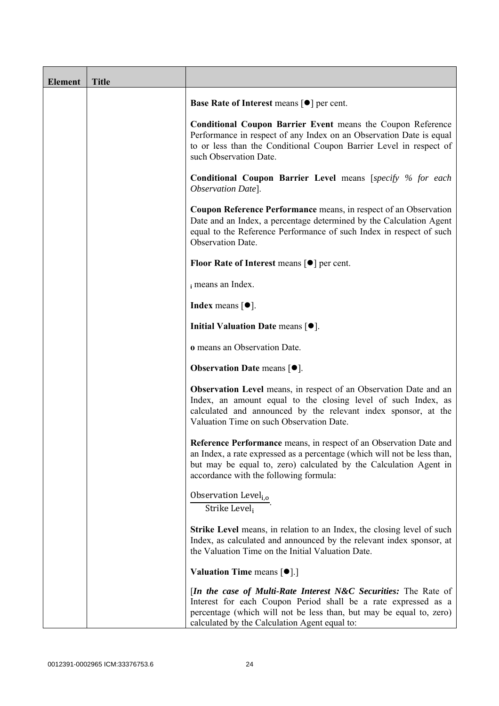| <b>Element</b> | <b>Title</b> |                                                                                                                                                                                                                                                                     |
|----------------|--------------|---------------------------------------------------------------------------------------------------------------------------------------------------------------------------------------------------------------------------------------------------------------------|
|                |              | <b>Base Rate of Interest means <math>\lceil \bullet \rceil</math> per cent.</b>                                                                                                                                                                                     |
|                |              | <b>Conditional Coupon Barrier Event means the Coupon Reference</b><br>Performance in respect of any Index on an Observation Date is equal<br>to or less than the Conditional Coupon Barrier Level in respect of<br>such Observation Date.                           |
|                |              | <b>Conditional Coupon Barrier Level means [specify % for each</b><br>Observation Date].                                                                                                                                                                             |
|                |              | <b>Coupon Reference Performance</b> means, in respect of an Observation<br>Date and an Index, a percentage determined by the Calculation Agent<br>equal to the Reference Performance of such Index in respect of such<br>Observation Date.                          |
|                |              | Floor Rate of Interest means $\lceil \bullet \rceil$ per cent.                                                                                                                                                                                                      |
|                |              | i means an Index.                                                                                                                                                                                                                                                   |
|                |              | <b>Index</b> means $[\bullet]$ .                                                                                                                                                                                                                                    |
|                |              | Initial Valuation Date means $[•]$ .                                                                                                                                                                                                                                |
|                |              | o means an Observation Date.                                                                                                                                                                                                                                        |
|                |              | <b>Observation Date means <math>\lceil \bullet \rceil</math>.</b>                                                                                                                                                                                                   |
|                |              | <b>Observation Level</b> means, in respect of an Observation Date and an<br>Index, an amount equal to the closing level of such Index, as<br>calculated and announced by the relevant index sponsor, at the<br>Valuation Time on such Observation Date.             |
|                |              | Reference Performance means, in respect of an Observation Date and<br>an Index, a rate expressed as a percentage (which will not be less than,<br>but may be equal to, zero) calculated by the Calculation Agent in<br>accordance with the following formula:       |
|                |              | Observation Level <sub>i.o</sub><br>Strike Level <sub>i</sub>                                                                                                                                                                                                       |
|                |              | <b>Strike Level</b> means, in relation to an Index, the closing level of such<br>Index, as calculated and announced by the relevant index sponsor, at<br>the Valuation Time on the Initial Valuation Date.                                                          |
|                |              | <b>Valuation Time means <math>\lceil \bullet \rceil</math>.</b>                                                                                                                                                                                                     |
|                |              | <i>In the case of Multi-Rate Interest N&amp;C Securities:</i> The Rate of<br>Interest for each Coupon Period shall be a rate expressed as a<br>percentage (which will not be less than, but may be equal to, zero)<br>calculated by the Calculation Agent equal to: |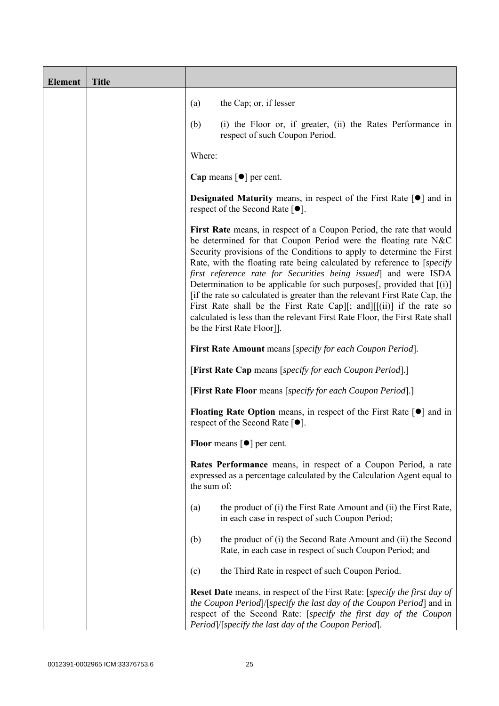| <b>Element</b> | <b>Title</b> |                                                                                                                                                                                                                                                                                                                                                                                                                                                                                                                                                                                                                                                                                                               |
|----------------|--------------|---------------------------------------------------------------------------------------------------------------------------------------------------------------------------------------------------------------------------------------------------------------------------------------------------------------------------------------------------------------------------------------------------------------------------------------------------------------------------------------------------------------------------------------------------------------------------------------------------------------------------------------------------------------------------------------------------------------|
|                |              | the Cap; or, if lesser<br>(a)                                                                                                                                                                                                                                                                                                                                                                                                                                                                                                                                                                                                                                                                                 |
|                |              | (b)<br>(i) the Floor or, if greater, (ii) the Rates Performance in<br>respect of such Coupon Period.                                                                                                                                                                                                                                                                                                                                                                                                                                                                                                                                                                                                          |
|                |              | Where:                                                                                                                                                                                                                                                                                                                                                                                                                                                                                                                                                                                                                                                                                                        |
|                |              | Cap means $\lceil \bullet \rceil$ per cent.                                                                                                                                                                                                                                                                                                                                                                                                                                                                                                                                                                                                                                                                   |
|                |              | <b>Designated Maturity</b> means, in respect of the First Rate $[\bullet]$ and in<br>respect of the Second Rate $[•]$ .                                                                                                                                                                                                                                                                                                                                                                                                                                                                                                                                                                                       |
|                |              | First Rate means, in respect of a Coupon Period, the rate that would<br>be determined for that Coupon Period were the floating rate N&C<br>Security provisions of the Conditions to apply to determine the First<br>Rate, with the floating rate being calculated by reference to [specify]<br>first reference rate for Securities being issued and were ISDA<br>Determination to be applicable for such purposes[, provided that $[(i)]$<br>[if the rate so calculated is greater than the relevant First Rate Cap, the<br>First Rate shall be the First Rate Cap][; and][[(ii)] if the rate so<br>calculated is less than the relevant First Rate Floor, the First Rate shall<br>be the First Rate Floor]]. |
|                |              | <b>First Rate Amount</b> means [specify for each Coupon Period].                                                                                                                                                                                                                                                                                                                                                                                                                                                                                                                                                                                                                                              |
|                |              | [First Rate Cap means [specify for each Coupon Period].]                                                                                                                                                                                                                                                                                                                                                                                                                                                                                                                                                                                                                                                      |
|                |              | [First Rate Floor means [specify for each Coupon Period].]                                                                                                                                                                                                                                                                                                                                                                                                                                                                                                                                                                                                                                                    |
|                |              | <b>Floating Rate Option</b> means, in respect of the First Rate $\lceil \bullet \rceil$ and in<br>respect of the Second Rate $[•]$ .                                                                                                                                                                                                                                                                                                                                                                                                                                                                                                                                                                          |
|                |              | Floor means $\lceil \bullet \rceil$ per cent.                                                                                                                                                                                                                                                                                                                                                                                                                                                                                                                                                                                                                                                                 |
|                |              | Rates Performance means, in respect of a Coupon Period, a rate<br>expressed as a percentage calculated by the Calculation Agent equal to<br>the sum of:                                                                                                                                                                                                                                                                                                                                                                                                                                                                                                                                                       |
|                |              | the product of (i) the First Rate Amount and (ii) the First Rate,<br>(a)<br>in each case in respect of such Coupon Period;                                                                                                                                                                                                                                                                                                                                                                                                                                                                                                                                                                                    |
|                |              | (b)<br>the product of (i) the Second Rate Amount and (ii) the Second<br>Rate, in each case in respect of such Coupon Period; and                                                                                                                                                                                                                                                                                                                                                                                                                                                                                                                                                                              |
|                |              | the Third Rate in respect of such Coupon Period.<br>(c)                                                                                                                                                                                                                                                                                                                                                                                                                                                                                                                                                                                                                                                       |
|                |              | <b>Reset Date</b> means, in respect of the First Rate: [ <i>specify the first day of</i><br>the Coupon Period) [specify the last day of the Coupon Period] and in<br>respect of the Second Rate: [specify the first day of the Coupon<br>Period /[specify the last day of the Coupon Period].                                                                                                                                                                                                                                                                                                                                                                                                                 |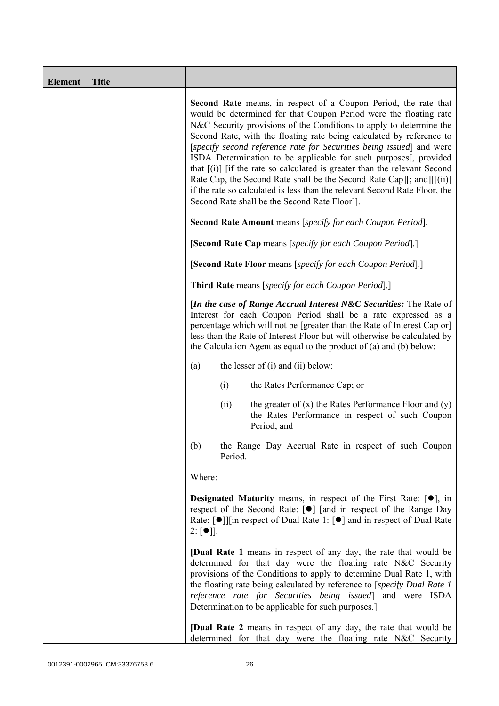| <b>Element</b> | <b>Title</b> |                                                                                                                                                                                                                                                                                                                                                                                                                                                                                                                                                                                                                                                                                                                              |
|----------------|--------------|------------------------------------------------------------------------------------------------------------------------------------------------------------------------------------------------------------------------------------------------------------------------------------------------------------------------------------------------------------------------------------------------------------------------------------------------------------------------------------------------------------------------------------------------------------------------------------------------------------------------------------------------------------------------------------------------------------------------------|
|                |              | <b>Second Rate</b> means, in respect of a Coupon Period, the rate that<br>would be determined for that Coupon Period were the floating rate<br>N&C Security provisions of the Conditions to apply to determine the<br>Second Rate, with the floating rate being calculated by reference to<br>[specify second reference rate for Securities being issued] and were<br>ISDA Determination to be applicable for such purposes[, provided<br>that $[(i)]$ if the rate so calculated is greater than the relevant Second<br>Rate Cap, the Second Rate shall be the Second Rate Cap][; and][[(ii)]<br>if the rate so calculated is less than the relevant Second Rate Floor, the<br>Second Rate shall be the Second Rate Floor]]. |
|                |              | <b>Second Rate Amount</b> means [specify for each Coupon Period].                                                                                                                                                                                                                                                                                                                                                                                                                                                                                                                                                                                                                                                            |
|                |              | [Second Rate Cap means [specify for each Coupon Period].]                                                                                                                                                                                                                                                                                                                                                                                                                                                                                                                                                                                                                                                                    |
|                |              | [Second Rate Floor means [specify for each Coupon Period].]                                                                                                                                                                                                                                                                                                                                                                                                                                                                                                                                                                                                                                                                  |
|                |              | <b>Third Rate</b> means [specify for each Coupon Period].]                                                                                                                                                                                                                                                                                                                                                                                                                                                                                                                                                                                                                                                                   |
|                |              | [In the case of Range Accrual Interest N&C Securities: The Rate of<br>Interest for each Coupon Period shall be a rate expressed as a<br>percentage which will not be [greater than the Rate of Interest Cap or]<br>less than the Rate of Interest Floor but will otherwise be calculated by<br>the Calculation Agent as equal to the product of $(a)$ and $(b)$ below:                                                                                                                                                                                                                                                                                                                                                       |
|                |              | the lesser of $(i)$ and $(ii)$ below:<br>(a)                                                                                                                                                                                                                                                                                                                                                                                                                                                                                                                                                                                                                                                                                 |
|                |              | (i)<br>the Rates Performance Cap; or                                                                                                                                                                                                                                                                                                                                                                                                                                                                                                                                                                                                                                                                                         |
|                |              | the greater of $(x)$ the Rates Performance Floor and $(y)$<br>(ii)<br>the Rates Performance in respect of such Coupon<br>Period; and                                                                                                                                                                                                                                                                                                                                                                                                                                                                                                                                                                                         |
|                |              | (b)<br>the Range Day Accrual Rate in respect of such Coupon<br>Period.                                                                                                                                                                                                                                                                                                                                                                                                                                                                                                                                                                                                                                                       |
|                |              | Where:                                                                                                                                                                                                                                                                                                                                                                                                                                                                                                                                                                                                                                                                                                                       |
|                |              | <b>Designated Maturity</b> means, in respect of the First Rate: $[•]$ , in<br>respect of the Second Rate: [●] [and in respect of the Range Day<br>Rate: [●]][in respect of Dual Rate 1: [●] and in respect of Dual Rate<br>$2: [\bullet]$ .                                                                                                                                                                                                                                                                                                                                                                                                                                                                                  |
|                |              | <b>[Dual Rate 1</b> means in respect of any day, the rate that would be<br>determined for that day were the floating rate N&C Security<br>provisions of the Conditions to apply to determine Dual Rate 1, with<br>the floating rate being calculated by reference to [specify Dual Rate 1<br>reference rate for Securities being issued] and were ISDA<br>Determination to be applicable for such purposes.]                                                                                                                                                                                                                                                                                                                 |
|                |              | <b>[Dual Rate 2</b> means in respect of any day, the rate that would be<br>determined for that day were the floating rate N&C Security                                                                                                                                                                                                                                                                                                                                                                                                                                                                                                                                                                                       |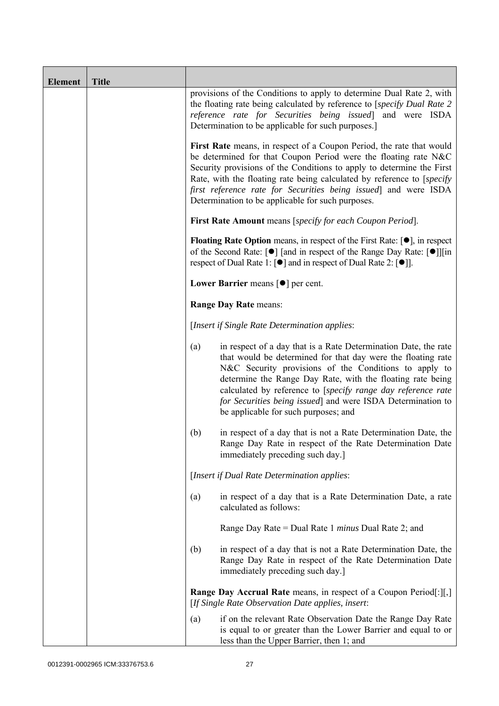| <b>Element</b> | <b>Title</b> |                                                                                                                                                                                                                                                                                                                                                                                                                                      |  |
|----------------|--------------|--------------------------------------------------------------------------------------------------------------------------------------------------------------------------------------------------------------------------------------------------------------------------------------------------------------------------------------------------------------------------------------------------------------------------------------|--|
|                |              | provisions of the Conditions to apply to determine Dual Rate 2, with<br>the floating rate being calculated by reference to [specify Dual Rate 2]<br>reference rate for Securities being issued] and were ISDA<br>Determination to be applicable for such purposes.]                                                                                                                                                                  |  |
|                |              | First Rate means, in respect of a Coupon Period, the rate that would<br>be determined for that Coupon Period were the floating rate N&C<br>Security provisions of the Conditions to apply to determine the First<br>Rate, with the floating rate being calculated by reference to [specify]<br>first reference rate for Securities being issued and were ISDA<br>Determination to be applicable for such purposes.                   |  |
|                |              | First Rate Amount means [specify for each Coupon Period].                                                                                                                                                                                                                                                                                                                                                                            |  |
|                |              | <b>Floating Rate Option</b> means, in respect of the First Rate: $[\bullet]$ , in respect<br>of the Second Rate: [ $\bullet$ ] [and in respect of the Range Day Rate: [ $\bullet$ ]][in<br>respect of Dual Rate 1: [ <sup>●</sup> ] and in respect of Dual Rate 2: [ <sup>●</sup> ]].                                                                                                                                                |  |
|                |              | Lower Barrier means $\lceil \bullet \rceil$ per cent.                                                                                                                                                                                                                                                                                                                                                                                |  |
|                |              | Range Day Rate means:                                                                                                                                                                                                                                                                                                                                                                                                                |  |
|                |              | [Insert if Single Rate Determination applies:                                                                                                                                                                                                                                                                                                                                                                                        |  |
|                |              | in respect of a day that is a Rate Determination Date, the rate<br>(a)<br>that would be determined for that day were the floating rate<br>N&C Security provisions of the Conditions to apply to<br>determine the Range Day Rate, with the floating rate being<br>calculated by reference to [specify range day reference rate<br>for Securities being issued] and were ISDA Determination to<br>be applicable for such purposes; and |  |
|                |              | (b)<br>in respect of a day that is not a Rate Determination Date, the<br>Range Day Rate in respect of the Rate Determination Date<br>immediately preceding such day.]                                                                                                                                                                                                                                                                |  |
|                |              | [Insert if Dual Rate Determination applies:                                                                                                                                                                                                                                                                                                                                                                                          |  |
|                |              | in respect of a day that is a Rate Determination Date, a rate<br>(a)<br>calculated as follows:                                                                                                                                                                                                                                                                                                                                       |  |
|                |              | Range Day Rate = Dual Rate 1 minus Dual Rate 2; and                                                                                                                                                                                                                                                                                                                                                                                  |  |
|                |              | (b)<br>in respect of a day that is not a Rate Determination Date, the<br>Range Day Rate in respect of the Rate Determination Date<br>immediately preceding such day.]                                                                                                                                                                                                                                                                |  |
|                |              | <b>Range Day Accrual Rate</b> means, in respect of a Coupon Period[:][,]<br>[If Single Rate Observation Date applies, insert:                                                                                                                                                                                                                                                                                                        |  |
|                |              | if on the relevant Rate Observation Date the Range Day Rate<br>(a)<br>is equal to or greater than the Lower Barrier and equal to or<br>less than the Upper Barrier, then 1; and                                                                                                                                                                                                                                                      |  |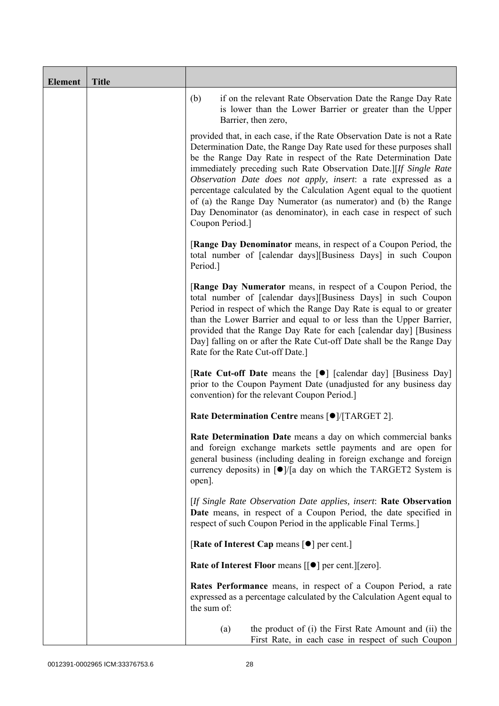| <b>Element</b> | <b>Title</b> |                                                                                                                                                                                                                                                                                                                                                                                                                                                                                                                                                                                              |
|----------------|--------------|----------------------------------------------------------------------------------------------------------------------------------------------------------------------------------------------------------------------------------------------------------------------------------------------------------------------------------------------------------------------------------------------------------------------------------------------------------------------------------------------------------------------------------------------------------------------------------------------|
|                |              | (b)<br>if on the relevant Rate Observation Date the Range Day Rate<br>is lower than the Lower Barrier or greater than the Upper<br>Barrier, then zero,                                                                                                                                                                                                                                                                                                                                                                                                                                       |
|                |              | provided that, in each case, if the Rate Observation Date is not a Rate<br>Determination Date, the Range Day Rate used for these purposes shall<br>be the Range Day Rate in respect of the Rate Determination Date<br>immediately preceding such Rate Observation Date.][If Single Rate<br>Observation Date does not apply, insert: a rate expressed as a<br>percentage calculated by the Calculation Agent equal to the quotient<br>of (a) the Range Day Numerator (as numerator) and (b) the Range<br>Day Denominator (as denominator), in each case in respect of such<br>Coupon Period.] |
|                |              | [Range Day Denominator means, in respect of a Coupon Period, the<br>total number of [calendar days][Business Days] in such Coupon<br>Period.]                                                                                                                                                                                                                                                                                                                                                                                                                                                |
|                |              | [Range Day Numerator means, in respect of a Coupon Period, the<br>total number of [calendar days][Business Days] in such Coupon<br>Period in respect of which the Range Day Rate is equal to or greater<br>than the Lower Barrier and equal to or less than the Upper Barrier,<br>provided that the Range Day Rate for each [calendar day] [Business<br>Day] falling on or after the Rate Cut-off Date shall be the Range Day<br>Rate for the Rate Cut-off Date.]                                                                                                                            |
|                |              | [Rate Cut-off Date means the [ $\bullet$ ] [calendar day] [Business Day]<br>prior to the Coupon Payment Date (unadjusted for any business day<br>convention) for the relevant Coupon Period.                                                                                                                                                                                                                                                                                                                                                                                                 |
|                |              | Rate Determination Centre means [ $\bullet$ ]/[TARGET 2].                                                                                                                                                                                                                                                                                                                                                                                                                                                                                                                                    |
|                |              | Rate Determination Date means a day on which commercial banks<br>and foreign exchange markets settle payments and are open for<br>general business (including dealing in foreign exchange and foreign<br>currency deposits) in $\lceil \bullet \rceil$ a day on which the TARGET2 System is<br>open].                                                                                                                                                                                                                                                                                        |
|                |              | [If Single Rate Observation Date applies, insert: Rate Observation<br>Date means, in respect of a Coupon Period, the date specified in<br>respect of such Coupon Period in the applicable Final Terms.]                                                                                                                                                                                                                                                                                                                                                                                      |
|                |              | [Rate of Interest Cap means [ $\bullet$ ] per cent.]                                                                                                                                                                                                                                                                                                                                                                                                                                                                                                                                         |
|                |              | <b>Rate of Interest Floor</b> means $[[\bullet]]$ per cent. $][zero]$ .                                                                                                                                                                                                                                                                                                                                                                                                                                                                                                                      |
|                |              | Rates Performance means, in respect of a Coupon Period, a rate<br>expressed as a percentage calculated by the Calculation Agent equal to<br>the sum of:                                                                                                                                                                                                                                                                                                                                                                                                                                      |
|                |              | the product of (i) the First Rate Amount and (ii) the<br>(a)<br>First Rate, in each case in respect of such Coupon                                                                                                                                                                                                                                                                                                                                                                                                                                                                           |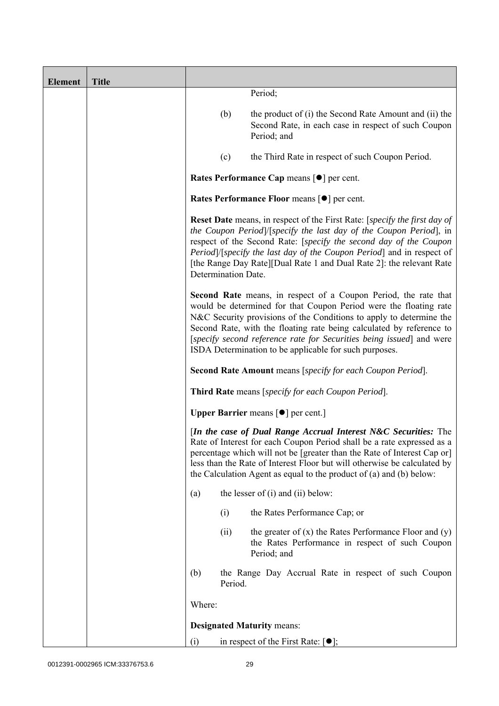| <b>Element</b> | <b>Title</b> |        |                     |                                                                                                                                                                                                                                                                                                                                                                                                                       |
|----------------|--------------|--------|---------------------|-----------------------------------------------------------------------------------------------------------------------------------------------------------------------------------------------------------------------------------------------------------------------------------------------------------------------------------------------------------------------------------------------------------------------|
|                |              |        |                     | Period;                                                                                                                                                                                                                                                                                                                                                                                                               |
|                |              |        | (b)                 | the product of (i) the Second Rate Amount and (ii) the<br>Second Rate, in each case in respect of such Coupon<br>Period; and                                                                                                                                                                                                                                                                                          |
|                |              |        | (c)                 | the Third Rate in respect of such Coupon Period.                                                                                                                                                                                                                                                                                                                                                                      |
|                |              |        |                     | Rates Performance Cap means [ $\bullet$ ] per cent.                                                                                                                                                                                                                                                                                                                                                                   |
|                |              |        |                     | Rates Performance Floor means [ $\bullet$ ] per cent.                                                                                                                                                                                                                                                                                                                                                                 |
|                |              |        | Determination Date. | <b>Reset Date</b> means, in respect of the First Rate: [specify the first day of<br>the Coupon Period /[specify the last day of the Coupon Period], in<br>respect of the Second Rate: [specify the second day of the Coupon<br>Period]/[specify the last day of the Coupon Period] and in respect of<br>[the Range Day Rate][Dual Rate 1 and Dual Rate 2]: the relevant Rate                                          |
|                |              |        |                     | Second Rate means, in respect of a Coupon Period, the rate that<br>would be determined for that Coupon Period were the floating rate<br>N&C Security provisions of the Conditions to apply to determine the<br>Second Rate, with the floating rate being calculated by reference to<br>[specify second reference rate for Securities being issued] and were<br>ISDA Determination to be applicable for such purposes. |
|                |              |        |                     | <b>Second Rate Amount</b> means [specify for each Coupon Period].                                                                                                                                                                                                                                                                                                                                                     |
|                |              |        |                     | <b>Third Rate</b> means [specify for each Coupon Period].                                                                                                                                                                                                                                                                                                                                                             |
|                |              |        |                     | <b>Upper Barrier</b> means $\lceil \bullet \rceil$ per cent.]                                                                                                                                                                                                                                                                                                                                                         |
|                |              |        |                     | [In the case of Dual Range Accrual Interest N&C Securities: The<br>Rate of Interest for each Coupon Period shall be a rate expressed as a<br>percentage which will not be [greater than the Rate of Interest Cap or]<br>less than the Rate of Interest Floor but will otherwise be calculated by<br>the Calculation Agent as equal to the product of (a) and (b) below:                                               |
|                |              | (a)    |                     | the lesser of $(i)$ and $(ii)$ below:                                                                                                                                                                                                                                                                                                                                                                                 |
|                |              |        | (i)                 | the Rates Performance Cap; or                                                                                                                                                                                                                                                                                                                                                                                         |
|                |              |        | (ii)                | the greater of $(x)$ the Rates Performance Floor and $(y)$<br>the Rates Performance in respect of such Coupon<br>Period; and                                                                                                                                                                                                                                                                                          |
|                |              | (b)    | Period.             | the Range Day Accrual Rate in respect of such Coupon                                                                                                                                                                                                                                                                                                                                                                  |
|                |              | Where: |                     |                                                                                                                                                                                                                                                                                                                                                                                                                       |
|                |              |        |                     | <b>Designated Maturity means:</b>                                                                                                                                                                                                                                                                                                                                                                                     |
|                |              | (i)    |                     | in respect of the First Rate: $[•]$ ;                                                                                                                                                                                                                                                                                                                                                                                 |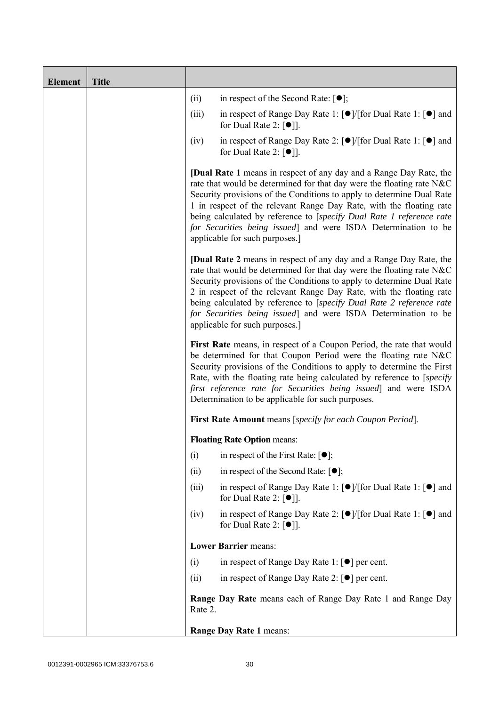| <b>Element</b> | <b>Title</b> |         |                                                                                                                                                                                                                                                                                                                                                                                                                                                                                |
|----------------|--------------|---------|--------------------------------------------------------------------------------------------------------------------------------------------------------------------------------------------------------------------------------------------------------------------------------------------------------------------------------------------------------------------------------------------------------------------------------------------------------------------------------|
|                |              | (ii)    | in respect of the Second Rate: $[•]$ ;                                                                                                                                                                                                                                                                                                                                                                                                                                         |
|                |              | (iii)   | in respect of Range Day Rate 1: $\lceil \bullet \rceil / \lceil \text{for Dual Rate 1} \rceil \rceil$ and<br>for Dual Rate 2: $\lceil \bullet \rceil$ .                                                                                                                                                                                                                                                                                                                        |
|                |              | (iv)    | in respect of Range Day Rate 2: $\lceil \bullet \rceil / [\text{for Dual Rate 1}: \lceil \bullet \rceil]$ and<br>for Dual Rate 2: $\lceil \bullet \rceil$ .                                                                                                                                                                                                                                                                                                                    |
|                |              |         | <b>[Dual Rate 1</b> means in respect of any day and a Range Day Rate, the<br>rate that would be determined for that day were the floating rate N&C<br>Security provisions of the Conditions to apply to determine Dual Rate<br>1 in respect of the relevant Range Day Rate, with the floating rate<br>being calculated by reference to [specify Dual Rate 1 reference rate<br>for Securities being issued] and were ISDA Determination to be<br>applicable for such purposes.] |
|                |              |         | <b>[Dual Rate 2</b> means in respect of any day and a Range Day Rate, the<br>rate that would be determined for that day were the floating rate N&C<br>Security provisions of the Conditions to apply to determine Dual Rate<br>2 in respect of the relevant Range Day Rate, with the floating rate<br>being calculated by reference to [specify Dual Rate 2 reference rate<br>for Securities being issued] and were ISDA Determination to be<br>applicable for such purposes.] |
|                |              |         | First Rate means, in respect of a Coupon Period, the rate that would<br>be determined for that Coupon Period were the floating rate N&C<br>Security provisions of the Conditions to apply to determine the First<br>Rate, with the floating rate being calculated by reference to [specify]<br>first reference rate for Securities being issued] and were ISDA<br>Determination to be applicable for such purposes.                                                            |
|                |              |         | First Rate Amount means [specify for each Coupon Period].                                                                                                                                                                                                                                                                                                                                                                                                                      |
|                |              |         | <b>Floating Rate Option means:</b>                                                                                                                                                                                                                                                                                                                                                                                                                                             |
|                |              | (i)     | in respect of the First Rate: $\lceil \bullet \rceil$ ;                                                                                                                                                                                                                                                                                                                                                                                                                        |
|                |              | (ii)    | in respect of the Second Rate: $[•]$ ;                                                                                                                                                                                                                                                                                                                                                                                                                                         |
|                |              | (iii)   | in respect of Range Day Rate 1: $\lceil \bullet \rceil / \lceil \text{for Dual Rate 1} \rceil \rceil$ and<br>for Dual Rate 2: $[•]$ ].                                                                                                                                                                                                                                                                                                                                         |
|                |              | (iv)    | in respect of Range Day Rate 2: $\lceil \bullet \rceil / \lceil \text{for Dual Rate 1} \rceil \rceil$ and<br>for Dual Rate 2: $\lceil \bullet \rceil$ .                                                                                                                                                                                                                                                                                                                        |
|                |              |         | <b>Lower Barrier means:</b>                                                                                                                                                                                                                                                                                                                                                                                                                                                    |
|                |              | (i)     | in respect of Range Day Rate 1: $\lceil \bullet \rceil$ per cent.                                                                                                                                                                                                                                                                                                                                                                                                              |
|                |              | (ii)    | in respect of Range Day Rate 2: $\lceil \bullet \rceil$ per cent.                                                                                                                                                                                                                                                                                                                                                                                                              |
|                |              | Rate 2. | Range Day Rate means each of Range Day Rate 1 and Range Day                                                                                                                                                                                                                                                                                                                                                                                                                    |
|                |              |         | Range Day Rate 1 means:                                                                                                                                                                                                                                                                                                                                                                                                                                                        |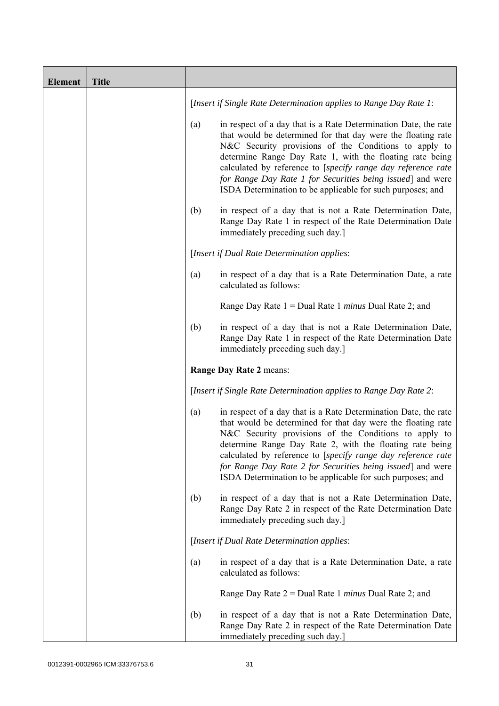| <b>Element</b> | <b>Title</b> |     |                                                                                                                                                                                                                                                                                                                                                                                                                                                  |
|----------------|--------------|-----|--------------------------------------------------------------------------------------------------------------------------------------------------------------------------------------------------------------------------------------------------------------------------------------------------------------------------------------------------------------------------------------------------------------------------------------------------|
|                |              |     | [Insert if Single Rate Determination applies to Range Day Rate 1:                                                                                                                                                                                                                                                                                                                                                                                |
|                |              | (a) | in respect of a day that is a Rate Determination Date, the rate<br>that would be determined for that day were the floating rate<br>N&C Security provisions of the Conditions to apply to<br>determine Range Day Rate 1, with the floating rate being<br>calculated by reference to [specify range day reference rate<br>for Range Day Rate 1 for Securities being issued] and were<br>ISDA Determination to be applicable for such purposes; and |
|                |              | (b) | in respect of a day that is not a Rate Determination Date,<br>Range Day Rate 1 in respect of the Rate Determination Date<br>immediately preceding such day.]                                                                                                                                                                                                                                                                                     |
|                |              |     | [Insert if Dual Rate Determination applies:                                                                                                                                                                                                                                                                                                                                                                                                      |
|                |              | (a) | in respect of a day that is a Rate Determination Date, a rate<br>calculated as follows:                                                                                                                                                                                                                                                                                                                                                          |
|                |              |     | Range Day Rate $1 =$ Dual Rate 1 <i>minus</i> Dual Rate 2; and                                                                                                                                                                                                                                                                                                                                                                                   |
|                |              | (b) | in respect of a day that is not a Rate Determination Date,<br>Range Day Rate 1 in respect of the Rate Determination Date<br>immediately preceding such day.]                                                                                                                                                                                                                                                                                     |
|                |              |     | Range Day Rate 2 means:                                                                                                                                                                                                                                                                                                                                                                                                                          |
|                |              |     | [Insert if Single Rate Determination applies to Range Day Rate 2:                                                                                                                                                                                                                                                                                                                                                                                |
|                |              | (a) | in respect of a day that is a Rate Determination Date, the rate<br>that would be determined for that day were the floating rate<br>N&C Security provisions of the Conditions to apply to<br>determine Range Day Rate 2, with the floating rate being<br>calculated by reference to [specify range day reference rate<br>for Range Day Rate 2 for Securities being issued] and were<br>ISDA Determination to be applicable for such purposes; and |
|                |              | (b) | in respect of a day that is not a Rate Determination Date,<br>Range Day Rate 2 in respect of the Rate Determination Date<br>immediately preceding such day.]                                                                                                                                                                                                                                                                                     |
|                |              |     | [Insert if Dual Rate Determination applies:                                                                                                                                                                                                                                                                                                                                                                                                      |
|                |              | (a) | in respect of a day that is a Rate Determination Date, a rate<br>calculated as follows:                                                                                                                                                                                                                                                                                                                                                          |
|                |              |     | Range Day Rate $2 =$ Dual Rate 1 <i>minus</i> Dual Rate 2; and                                                                                                                                                                                                                                                                                                                                                                                   |
|                |              | (b) | in respect of a day that is not a Rate Determination Date,<br>Range Day Rate 2 in respect of the Rate Determination Date<br>immediately preceding such day.]                                                                                                                                                                                                                                                                                     |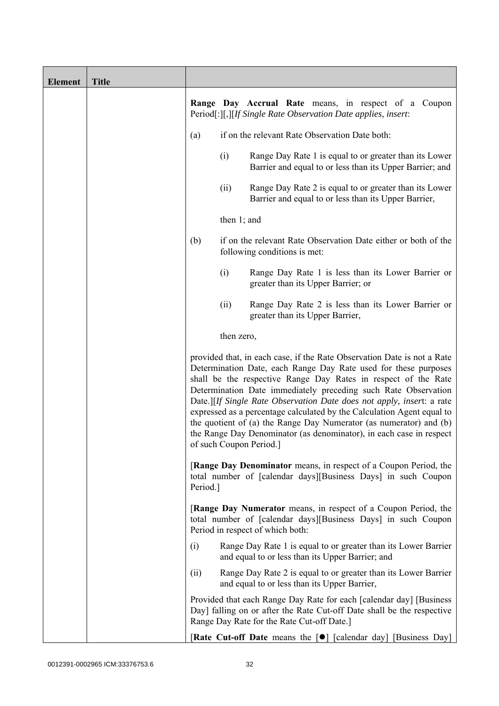| <b>Element</b> | <b>Title</b> |          |                |                                                                                                                                                                                                                                                                                                                                                                                                                                                                                                                                                                                                          |
|----------------|--------------|----------|----------------|----------------------------------------------------------------------------------------------------------------------------------------------------------------------------------------------------------------------------------------------------------------------------------------------------------------------------------------------------------------------------------------------------------------------------------------------------------------------------------------------------------------------------------------------------------------------------------------------------------|
|                |              |          |                | Range Day Accrual Rate means, in respect of a Coupon<br>Period[:][,][If Single Rate Observation Date applies, insert:                                                                                                                                                                                                                                                                                                                                                                                                                                                                                    |
|                |              | (a)      |                | if on the relevant Rate Observation Date both:                                                                                                                                                                                                                                                                                                                                                                                                                                                                                                                                                           |
|                |              |          | (i)            | Range Day Rate 1 is equal to or greater than its Lower<br>Barrier and equal to or less than its Upper Barrier; and                                                                                                                                                                                                                                                                                                                                                                                                                                                                                       |
|                |              |          | (ii)           | Range Day Rate 2 is equal to or greater than its Lower<br>Barrier and equal to or less than its Upper Barrier,                                                                                                                                                                                                                                                                                                                                                                                                                                                                                           |
|                |              |          | then $1$ ; and |                                                                                                                                                                                                                                                                                                                                                                                                                                                                                                                                                                                                          |
|                |              | (b)      |                | if on the relevant Rate Observation Date either or both of the<br>following conditions is met:                                                                                                                                                                                                                                                                                                                                                                                                                                                                                                           |
|                |              |          | (i)            | Range Day Rate 1 is less than its Lower Barrier or<br>greater than its Upper Barrier; or                                                                                                                                                                                                                                                                                                                                                                                                                                                                                                                 |
|                |              |          | (ii)           | Range Day Rate 2 is less than its Lower Barrier or<br>greater than its Upper Barrier,                                                                                                                                                                                                                                                                                                                                                                                                                                                                                                                    |
|                |              |          | then zero,     |                                                                                                                                                                                                                                                                                                                                                                                                                                                                                                                                                                                                          |
|                |              |          |                | provided that, in each case, if the Rate Observation Date is not a Rate<br>Determination Date, each Range Day Rate used for these purposes<br>shall be the respective Range Day Rates in respect of the Rate<br>Determination Date immediately preceding such Rate Observation<br>Date.][If Single Rate Observation Date does not apply, insert: a rate<br>expressed as a percentage calculated by the Calculation Agent equal to<br>the quotient of (a) the Range Day Numerator (as numerator) and (b)<br>the Range Day Denominator (as denominator), in each case in respect<br>of such Coupon Period. |
|                |              | Period.] |                | <b>[Range Day Denominator</b> means, in respect of a Coupon Period, the<br>total number of [calendar days][Business Days] in such Coupon                                                                                                                                                                                                                                                                                                                                                                                                                                                                 |
|                |              |          |                | [Range Day Numerator means, in respect of a Coupon Period, the<br>total number of [calendar days][Business Days] in such Coupon<br>Period in respect of which both:                                                                                                                                                                                                                                                                                                                                                                                                                                      |
|                |              | (i)      |                | Range Day Rate 1 is equal to or greater than its Lower Barrier<br>and equal to or less than its Upper Barrier; and                                                                                                                                                                                                                                                                                                                                                                                                                                                                                       |
|                |              | (ii)     |                | Range Day Rate 2 is equal to or greater than its Lower Barrier<br>and equal to or less than its Upper Barrier,                                                                                                                                                                                                                                                                                                                                                                                                                                                                                           |
|                |              |          |                | Provided that each Range Day Rate for each [calendar day] [Business]<br>Day] falling on or after the Rate Cut-off Date shall be the respective<br>Range Day Rate for the Rate Cut-off Date.]                                                                                                                                                                                                                                                                                                                                                                                                             |
|                |              |          |                | <b>Rate Cut-off Date</b> means the $\lceil \bullet \rceil$ [calendar day] [Business Day]                                                                                                                                                                                                                                                                                                                                                                                                                                                                                                                 |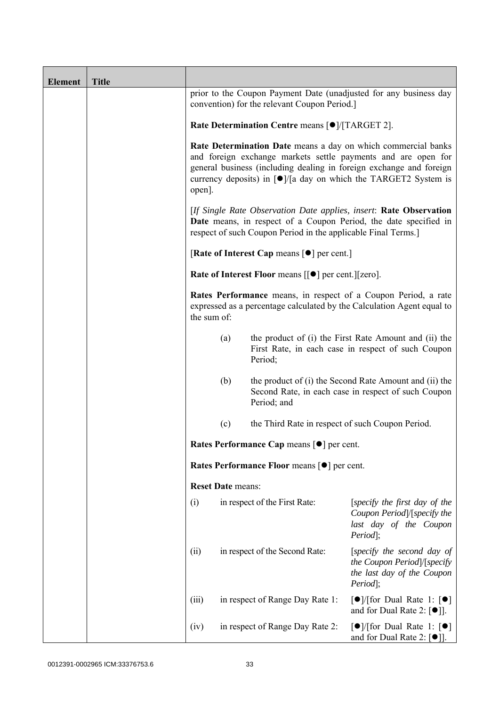| <b>Element</b> | <b>Title</b> |             |                                                           |                                                               |                                                                                                                                                                                                                                                                                             |  |
|----------------|--------------|-------------|-----------------------------------------------------------|---------------------------------------------------------------|---------------------------------------------------------------------------------------------------------------------------------------------------------------------------------------------------------------------------------------------------------------------------------------------|--|
|                |              |             |                                                           | convention) for the relevant Coupon Period.]                  | prior to the Coupon Payment Date (unadjusted for any business day                                                                                                                                                                                                                           |  |
|                |              |             | Rate Determination Centre means [ $\bullet$ ]/[TARGET 2]. |                                                               |                                                                                                                                                                                                                                                                                             |  |
|                |              | open].      |                                                           |                                                               | Rate Determination Date means a day on which commercial banks<br>and foreign exchange markets settle payments and are open for<br>general business (including dealing in foreign exchange and foreign<br>currency deposits) in $\lceil \bullet \rceil$ a day on which the TARGET2 System is |  |
|                |              |             |                                                           | respect of such Coupon Period in the applicable Final Terms.] | [If Single Rate Observation Date applies, insert: Rate Observation<br>Date means, in respect of a Coupon Period, the date specified in                                                                                                                                                      |  |
|                |              |             |                                                           | [Rate of Interest Cap means $[•]$ per cent.]                  |                                                                                                                                                                                                                                                                                             |  |
|                |              |             |                                                           | Rate of Interest Floor means [[ $\bullet$ ] per cent.][zero]. |                                                                                                                                                                                                                                                                                             |  |
|                |              | the sum of: |                                                           |                                                               | Rates Performance means, in respect of a Coupon Period, a rate<br>expressed as a percentage calculated by the Calculation Agent equal to                                                                                                                                                    |  |
|                |              |             | (a)                                                       | Period;                                                       | the product of (i) the First Rate Amount and (ii) the<br>First Rate, in each case in respect of such Coupon                                                                                                                                                                                 |  |
|                |              |             | (b)                                                       | Period; and                                                   | the product of (i) the Second Rate Amount and (ii) the<br>Second Rate, in each case in respect of such Coupon                                                                                                                                                                               |  |
|                |              |             | (c)                                                       | the Third Rate in respect of such Coupon Period.              |                                                                                                                                                                                                                                                                                             |  |
|                |              |             |                                                           | Rates Performance Cap means [ $\bullet$ ] per cent.           |                                                                                                                                                                                                                                                                                             |  |
|                |              |             |                                                           | Rates Performance Floor means [ $\bullet$ ] per cent.         |                                                                                                                                                                                                                                                                                             |  |
|                |              |             | <b>Reset Date means:</b>                                  |                                                               |                                                                                                                                                                                                                                                                                             |  |
|                |              | (i)         |                                                           | in respect of the First Rate:                                 | [specify the first day of the<br>Coupon Period]/[specify the<br>last day of the Coupon<br>Period];                                                                                                                                                                                          |  |
|                |              | (ii)        |                                                           | in respect of the Second Rate:                                | [specify the second day of<br>the Coupon Period]/[specify<br>the last day of the Coupon<br>Period];                                                                                                                                                                                         |  |
|                |              | (iii)       |                                                           | in respect of Range Day Rate 1:                               | $\lceil \bullet \rceil$ [for Dual Rate 1: $\lceil \bullet \rceil$<br>and for Dual Rate 2: $\lceil \bullet \rceil$ ].                                                                                                                                                                        |  |
|                |              | (iv)        |                                                           | in respect of Range Day Rate 2:                               | $\lceil \bullet \rceil$ (for Dual Rate 1: $\lceil \bullet \rceil$<br>and for Dual Rate 2: $[\bullet]$ ].                                                                                                                                                                                    |  |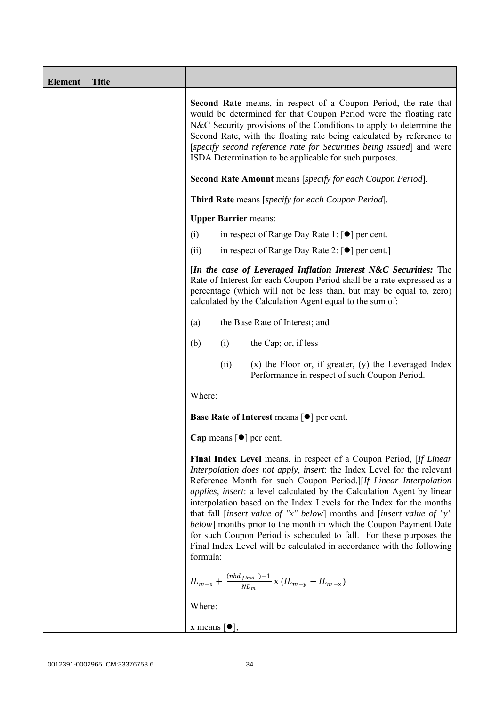| <b>Element</b> | <b>Title</b> |                                                                                                                                                                                                                                                                                                                                                                                                                                                                                                                                                                                                                                                                                            |
|----------------|--------------|--------------------------------------------------------------------------------------------------------------------------------------------------------------------------------------------------------------------------------------------------------------------------------------------------------------------------------------------------------------------------------------------------------------------------------------------------------------------------------------------------------------------------------------------------------------------------------------------------------------------------------------------------------------------------------------------|
|                |              | <b>Second Rate</b> means, in respect of a Coupon Period, the rate that<br>would be determined for that Coupon Period were the floating rate<br>N&C Security provisions of the Conditions to apply to determine the<br>Second Rate, with the floating rate being calculated by reference to<br>[specify second reference rate for Securities being issued] and were<br>ISDA Determination to be applicable for such purposes.<br>Second Rate Amount means [specify for each Coupon Period].                                                                                                                                                                                                 |
|                |              | Third Rate means [specify for each Coupon Period].                                                                                                                                                                                                                                                                                                                                                                                                                                                                                                                                                                                                                                         |
|                |              | <b>Upper Barrier means:</b>                                                                                                                                                                                                                                                                                                                                                                                                                                                                                                                                                                                                                                                                |
|                |              | (i)<br>in respect of Range Day Rate 1: $\lceil \bullet \rceil$ per cent.                                                                                                                                                                                                                                                                                                                                                                                                                                                                                                                                                                                                                   |
|                |              | (ii)<br>in respect of Range Day Rate 2: $[\bullet]$ per cent.]                                                                                                                                                                                                                                                                                                                                                                                                                                                                                                                                                                                                                             |
|                |              | [In the case of Leveraged Inflation Interest N&C Securities: The<br>Rate of Interest for each Coupon Period shall be a rate expressed as a<br>percentage (which will not be less than, but may be equal to, zero)<br>calculated by the Calculation Agent equal to the sum of:                                                                                                                                                                                                                                                                                                                                                                                                              |
|                |              | the Base Rate of Interest; and<br>(a)                                                                                                                                                                                                                                                                                                                                                                                                                                                                                                                                                                                                                                                      |
|                |              | the Cap; or, if less<br>(i)<br>(b)                                                                                                                                                                                                                                                                                                                                                                                                                                                                                                                                                                                                                                                         |
|                |              | $(x)$ the Floor or, if greater, $(y)$ the Leveraged Index<br>(ii)<br>Performance in respect of such Coupon Period.                                                                                                                                                                                                                                                                                                                                                                                                                                                                                                                                                                         |
|                |              | Where:                                                                                                                                                                                                                                                                                                                                                                                                                                                                                                                                                                                                                                                                                     |
|                |              | Base Rate of Interest means [ $\bullet$ ] per cent.                                                                                                                                                                                                                                                                                                                                                                                                                                                                                                                                                                                                                                        |
|                |              | Cap means [ $\bullet$ ] per cent.                                                                                                                                                                                                                                                                                                                                                                                                                                                                                                                                                                                                                                                          |
|                |              | <b>Final Index Level</b> means, in respect of a Coupon Period, [If Linear<br>Interpolation does not apply, insert: the Index Level for the relevant<br>Reference Month for such Coupon Period.][If Linear Interpolation<br><i>applies, insert: a level calculated by the Calculation Agent by linear</i><br>interpolation based on the Index Levels for the Index for the months<br>that fall [insert value of "x" below] months and [insert value of "y"<br>below] months prior to the month in which the Coupon Payment Date<br>for such Coupon Period is scheduled to fall. For these purposes the<br>Final Index Level will be calculated in accordance with the following<br>formula: |
|                |              | $IL_{m-x} + \frac{(nbd_{final})-1}{ND_m}$ x $(IL_{m-y} - IL_{m-x})$                                                                                                                                                                                                                                                                                                                                                                                                                                                                                                                                                                                                                        |
|                |              | Where:                                                                                                                                                                                                                                                                                                                                                                                                                                                                                                                                                                                                                                                                                     |
|                |              | <b>x</b> means $\lceil \bullet \rceil$ ;                                                                                                                                                                                                                                                                                                                                                                                                                                                                                                                                                                                                                                                   |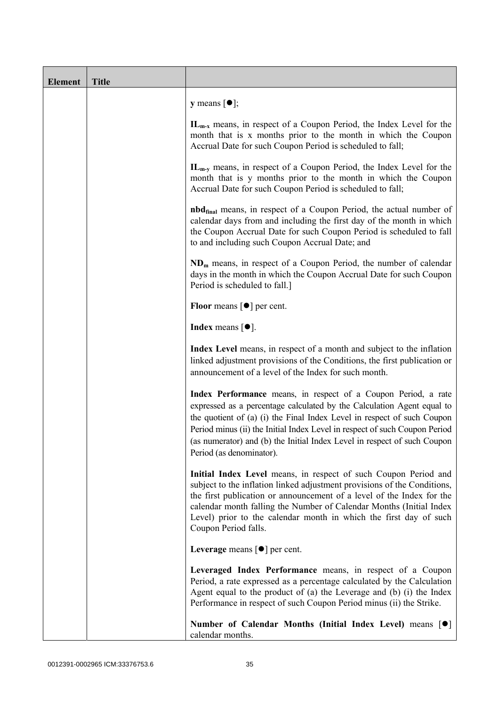| <b>Element</b> | <b>Title</b> |                                                                                                                                                                                                                                                                                                                                                                                                           |
|----------------|--------------|-----------------------------------------------------------------------------------------------------------------------------------------------------------------------------------------------------------------------------------------------------------------------------------------------------------------------------------------------------------------------------------------------------------|
|                |              | $y$ means $[\bullet]$ ;                                                                                                                                                                                                                                                                                                                                                                                   |
|                |              | $IL_{m-x}$ means, in respect of a Coupon Period, the Index Level for the<br>month that is x months prior to the month in which the Coupon<br>Accrual Date for such Coupon Period is scheduled to fall;                                                                                                                                                                                                    |
|                |              | IL <sub>m-y</sub> means, in respect of a Coupon Period, the Index Level for the<br>month that is y months prior to the month in which the Coupon<br>Accrual Date for such Coupon Period is scheduled to fall;                                                                                                                                                                                             |
|                |              | <b>nbd</b> <sub>final</sub> means, in respect of a Coupon Period, the actual number of<br>calendar days from and including the first day of the month in which<br>the Coupon Accrual Date for such Coupon Period is scheduled to fall<br>to and including such Coupon Accrual Date; and                                                                                                                   |
|                |              | $NDm$ means, in respect of a Coupon Period, the number of calendar<br>days in the month in which the Coupon Accrual Date for such Coupon<br>Period is scheduled to fall.]                                                                                                                                                                                                                                 |
|                |              | <b>Floor</b> means $\lceil \bullet \rceil$ per cent.                                                                                                                                                                                                                                                                                                                                                      |
|                |              | Index means $\lceil \bullet \rceil$ .                                                                                                                                                                                                                                                                                                                                                                     |
|                |              | Index Level means, in respect of a month and subject to the inflation<br>linked adjustment provisions of the Conditions, the first publication or<br>announcement of a level of the Index for such month.                                                                                                                                                                                                 |
|                |              | Index Performance means, in respect of a Coupon Period, a rate<br>expressed as a percentage calculated by the Calculation Agent equal to<br>the quotient of (a) (i) the Final Index Level in respect of such Coupon<br>Period minus (ii) the Initial Index Level in respect of such Coupon Period<br>(as numerator) and (b) the Initial Index Level in respect of such Coupon<br>Period (as denominator). |
|                |              | Initial Index Level means, in respect of such Coupon Period and<br>subject to the inflation linked adjustment provisions of the Conditions,<br>the first publication or announcement of a level of the Index for the<br>calendar month falling the Number of Calendar Months (Initial Index<br>Level) prior to the calendar month in which the first day of such<br>Coupon Period falls.                  |
|                |              | Leverage means $\lceil \bullet \rceil$ per cent.                                                                                                                                                                                                                                                                                                                                                          |
|                |              | Leveraged Index Performance means, in respect of a Coupon<br>Period, a rate expressed as a percentage calculated by the Calculation<br>Agent equal to the product of (a) the Leverage and (b) (i) the Index<br>Performance in respect of such Coupon Period minus (ii) the Strike.                                                                                                                        |
|                |              | Number of Calendar Months (Initial Index Level) means [ $\bullet$ ]<br>calendar months.                                                                                                                                                                                                                                                                                                                   |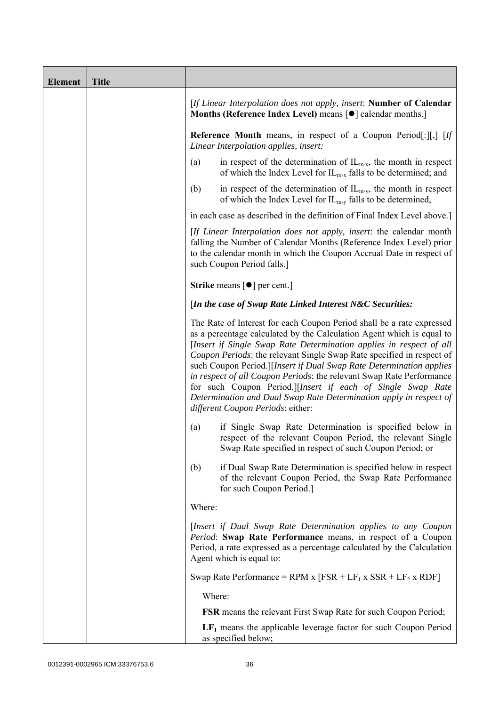| <b>Element</b> | <b>Title</b> |                                                                                                                                                                                                                                                                                                                                                                                                                                                                                                                                                                                                                         |
|----------------|--------------|-------------------------------------------------------------------------------------------------------------------------------------------------------------------------------------------------------------------------------------------------------------------------------------------------------------------------------------------------------------------------------------------------------------------------------------------------------------------------------------------------------------------------------------------------------------------------------------------------------------------------|
|                |              | [If Linear Interpolation does not apply, insert: Number of Calendar<br>Months (Reference Index Level) means [ $\bullet$ ] calendar months.]                                                                                                                                                                                                                                                                                                                                                                                                                                                                             |
|                |              | <b>Reference Month</b> means, in respect of a Coupon Period[:][,] [If<br>Linear Interpolation applies, insert:                                                                                                                                                                                                                                                                                                                                                                                                                                                                                                          |
|                |              | in respect of the determination of $IL_{m-x}$ , the month in respect<br>(a)<br>of which the Index Level for $IL_{m-x}$ falls to be determined; and                                                                                                                                                                                                                                                                                                                                                                                                                                                                      |
|                |              | in respect of the determination of $IL_{m-v}$ , the month in respect<br>(b)<br>of which the Index Level for $IL_{m-y}$ falls to be determined,                                                                                                                                                                                                                                                                                                                                                                                                                                                                          |
|                |              | in each case as described in the definition of Final Index Level above.]                                                                                                                                                                                                                                                                                                                                                                                                                                                                                                                                                |
|                |              | [If Linear Interpolation does not apply, insert: the calendar month<br>falling the Number of Calendar Months (Reference Index Level) prior<br>to the calendar month in which the Coupon Accrual Date in respect of<br>such Coupon Period falls.]                                                                                                                                                                                                                                                                                                                                                                        |
|                |              | <b>Strike</b> means $\lceil \bullet \rceil$ per cent.]                                                                                                                                                                                                                                                                                                                                                                                                                                                                                                                                                                  |
|                |              | [In the case of Swap Rate Linked Interest N&C Securities:                                                                                                                                                                                                                                                                                                                                                                                                                                                                                                                                                               |
|                |              | The Rate of Interest for each Coupon Period shall be a rate expressed<br>as a percentage calculated by the Calculation Agent which is equal to<br>[Insert if Single Swap Rate Determination applies in respect of all<br>Coupon Periods: the relevant Single Swap Rate specified in respect of<br>such Coupon Period.][Insert if Dual Swap Rate Determination applies<br>in respect of all Coupon Periods: the relevant Swap Rate Performance<br>for such Coupon Period.][Insert if each of Single Swap Rate<br>Determination and Dual Swap Rate Determination apply in respect of<br>different Coupon Periods: either: |
|                |              | if Single Swap Rate Determination is specified below in<br>(a)<br>respect of the relevant Coupon Period, the relevant Single<br>Swap Rate specified in respect of such Coupon Period; or                                                                                                                                                                                                                                                                                                                                                                                                                                |
|                |              | if Dual Swap Rate Determination is specified below in respect<br>(b)<br>of the relevant Coupon Period, the Swap Rate Performance<br>for such Coupon Period.]                                                                                                                                                                                                                                                                                                                                                                                                                                                            |
|                |              | Where:                                                                                                                                                                                                                                                                                                                                                                                                                                                                                                                                                                                                                  |
|                |              | [Insert if Dual Swap Rate Determination applies to any Coupon<br>Period: Swap Rate Performance means, in respect of a Coupon<br>Period, a rate expressed as a percentage calculated by the Calculation<br>Agent which is equal to:                                                                                                                                                                                                                                                                                                                                                                                      |
|                |              | Swap Rate Performance = RPM x $[FSR + LF_1 x SSR + LF_2 x RDF]$                                                                                                                                                                                                                                                                                                                                                                                                                                                                                                                                                         |
|                |              | Where:                                                                                                                                                                                                                                                                                                                                                                                                                                                                                                                                                                                                                  |
|                |              | <b>FSR</b> means the relevant First Swap Rate for such Coupon Period;                                                                                                                                                                                                                                                                                                                                                                                                                                                                                                                                                   |
|                |              | $LF1$ means the applicable leverage factor for such Coupon Period<br>as specified below;                                                                                                                                                                                                                                                                                                                                                                                                                                                                                                                                |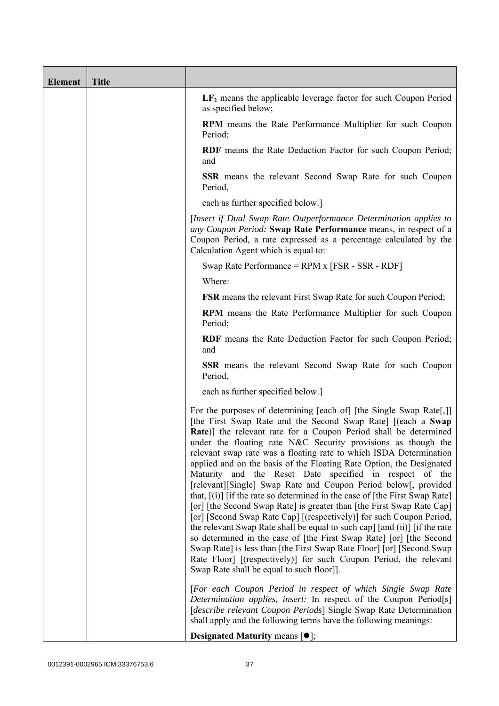| <b>Element</b> | <b>Title</b> |                                                                                                                                                                                                                                                                                                                                                                                                                                                                                                                                                                                                                                                                                                                                                                                                                                                                                                                                                                                                                                                                                                                                        |
|----------------|--------------|----------------------------------------------------------------------------------------------------------------------------------------------------------------------------------------------------------------------------------------------------------------------------------------------------------------------------------------------------------------------------------------------------------------------------------------------------------------------------------------------------------------------------------------------------------------------------------------------------------------------------------------------------------------------------------------------------------------------------------------------------------------------------------------------------------------------------------------------------------------------------------------------------------------------------------------------------------------------------------------------------------------------------------------------------------------------------------------------------------------------------------------|
|                |              | $LF2$ means the applicable leverage factor for such Coupon Period<br>as specified below;                                                                                                                                                                                                                                                                                                                                                                                                                                                                                                                                                                                                                                                                                                                                                                                                                                                                                                                                                                                                                                               |
|                |              | <b>RPM</b> means the Rate Performance Multiplier for such Coupon<br>Period;                                                                                                                                                                                                                                                                                                                                                                                                                                                                                                                                                                                                                                                                                                                                                                                                                                                                                                                                                                                                                                                            |
|                |              | RDF means the Rate Deduction Factor for such Coupon Period;<br>and                                                                                                                                                                                                                                                                                                                                                                                                                                                                                                                                                                                                                                                                                                                                                                                                                                                                                                                                                                                                                                                                     |
|                |              | SSR means the relevant Second Swap Rate for such Coupon<br>Period,                                                                                                                                                                                                                                                                                                                                                                                                                                                                                                                                                                                                                                                                                                                                                                                                                                                                                                                                                                                                                                                                     |
|                |              | each as further specified below.]                                                                                                                                                                                                                                                                                                                                                                                                                                                                                                                                                                                                                                                                                                                                                                                                                                                                                                                                                                                                                                                                                                      |
|                |              | [Insert if Dual Swap Rate Outperformance Determination applies to<br>any Coupon Period: Swap Rate Performance means, in respect of a<br>Coupon Period, a rate expressed as a percentage calculated by the<br>Calculation Agent which is equal to:                                                                                                                                                                                                                                                                                                                                                                                                                                                                                                                                                                                                                                                                                                                                                                                                                                                                                      |
|                |              | Swap Rate Performance = $RPM x$ [FSR - SSR - $RDF$ ]                                                                                                                                                                                                                                                                                                                                                                                                                                                                                                                                                                                                                                                                                                                                                                                                                                                                                                                                                                                                                                                                                   |
|                |              | Where:                                                                                                                                                                                                                                                                                                                                                                                                                                                                                                                                                                                                                                                                                                                                                                                                                                                                                                                                                                                                                                                                                                                                 |
|                |              | <b>FSR</b> means the relevant First Swap Rate for such Coupon Period;                                                                                                                                                                                                                                                                                                                                                                                                                                                                                                                                                                                                                                                                                                                                                                                                                                                                                                                                                                                                                                                                  |
|                |              | <b>RPM</b> means the Rate Performance Multiplier for such Coupon<br>Period;                                                                                                                                                                                                                                                                                                                                                                                                                                                                                                                                                                                                                                                                                                                                                                                                                                                                                                                                                                                                                                                            |
|                |              | <b>RDF</b> means the Rate Deduction Factor for such Coupon Period;<br>and                                                                                                                                                                                                                                                                                                                                                                                                                                                                                                                                                                                                                                                                                                                                                                                                                                                                                                                                                                                                                                                              |
|                |              | <b>SSR</b> means the relevant Second Swap Rate for such Coupon<br>Period,                                                                                                                                                                                                                                                                                                                                                                                                                                                                                                                                                                                                                                                                                                                                                                                                                                                                                                                                                                                                                                                              |
|                |              | each as further specified below.]                                                                                                                                                                                                                                                                                                                                                                                                                                                                                                                                                                                                                                                                                                                                                                                                                                                                                                                                                                                                                                                                                                      |
|                |              | For the purposes of determining [each of] [the Single Swap Rate[,]]<br>[the First Swap Rate and the Second Swap Rate] [(each a Swap<br>Rate)] the relevant rate for a Coupon Period shall be determined<br>under the floating rate N&C Security provisions as though the<br>relevant swap rate was a floating rate to which ISDA Determination<br>applied and on the basis of the Floating Rate Option, the Designated<br>Maturity and the Reset Date specified in respect of the<br>[relevant][Single] Swap Rate and Coupon Period below[, provided<br>that, $[(i)]$ [if the rate so determined in the case of [the First Swap Rate]<br>[or] [the Second Swap Rate] is greater than [the First Swap Rate Cap]<br>[or] [Second Swap Rate Cap] [(respectively)] for such Coupon Period,<br>the relevant Swap Rate shall be equal to such cap] [and (ii)] [if the rate<br>so determined in the case of [the First Swap Rate] [or] [the Second<br>Swap Rate] is less than [the First Swap Rate Floor] [or] [Second Swap<br>Rate Floor] [(respectively)] for such Coupon Period, the relevant<br>Swap Rate shall be equal to such floor]]. |
|                |              | [For each Coupon Period in respect of which Single Swap Rate<br>Determination applies, insert: In respect of the Coupon Period[s]<br>[describe relevant Coupon Periods] Single Swap Rate Determination<br>shall apply and the following terms have the following meanings:                                                                                                                                                                                                                                                                                                                                                                                                                                                                                                                                                                                                                                                                                                                                                                                                                                                             |
|                |              | <b>Designated Maturity means <math>\lceil \bullet \rceil</math>;</b>                                                                                                                                                                                                                                                                                                                                                                                                                                                                                                                                                                                                                                                                                                                                                                                                                                                                                                                                                                                                                                                                   |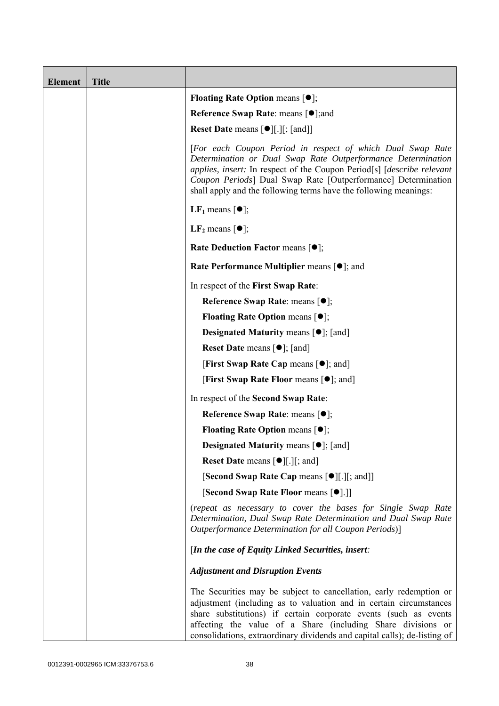| <b>Element</b> | <b>Title</b> |                                                                                                                                                                                                                                                                                                                                                           |
|----------------|--------------|-----------------------------------------------------------------------------------------------------------------------------------------------------------------------------------------------------------------------------------------------------------------------------------------------------------------------------------------------------------|
|                |              | <b>Floating Rate Option means <math>[•]</math>;</b>                                                                                                                                                                                                                                                                                                       |
|                |              | Reference Swap Rate: means [ $\bullet$ ]; and                                                                                                                                                                                                                                                                                                             |
|                |              | <b>Reset Date means [●][.][; [and]]</b>                                                                                                                                                                                                                                                                                                                   |
|                |              | [For each Coupon Period in respect of which Dual Swap Rate<br>Determination or Dual Swap Rate Outperformance Determination<br>applies, insert: In respect of the Coupon Period[s] [describe relevant<br>Coupon Periods] Dual Swap Rate [Outperformance] Determination<br>shall apply and the following terms have the following meanings:                 |
|                |              | LF <sub>1</sub> means $\lceil \bullet \rceil$ ;                                                                                                                                                                                                                                                                                                           |
|                |              | LF <sub>2</sub> means $\lceil \bullet \rceil$ ;                                                                                                                                                                                                                                                                                                           |
|                |              | <b>Rate Deduction Factor means <math>[•]</math>;</b>                                                                                                                                                                                                                                                                                                      |
|                |              | Rate Performance Multiplier means [ $\bullet$ ]; and                                                                                                                                                                                                                                                                                                      |
|                |              | In respect of the First Swap Rate:                                                                                                                                                                                                                                                                                                                        |
|                |              | Reference Swap Rate: means [ $\bullet$ ];                                                                                                                                                                                                                                                                                                                 |
|                |              | <b>Floating Rate Option means <math>[•]</math>;</b>                                                                                                                                                                                                                                                                                                       |
|                |              | <b>Designated Maturity means <math>[\bullet]</math>; [and]</b>                                                                                                                                                                                                                                                                                            |
|                |              | <b>Reset Date means <math>[\bullet]</math>; [and]</b>                                                                                                                                                                                                                                                                                                     |
|                |              | <b>[First Swap Rate Cap means [<math>\bullet</math>]; and [</b>                                                                                                                                                                                                                                                                                           |
|                |              | <b>[First Swap Rate Floor means [<math>\bullet</math>]; and]</b>                                                                                                                                                                                                                                                                                          |
|                |              | In respect of the Second Swap Rate:                                                                                                                                                                                                                                                                                                                       |
|                |              | Reference Swap Rate: means [●];                                                                                                                                                                                                                                                                                                                           |
|                |              | <b>Floating Rate Option means <math>[•]</math>;</b>                                                                                                                                                                                                                                                                                                       |
|                |              | <b>Designated Maturity means <math>\lceil \bullet \rceil</math>; [and]</b>                                                                                                                                                                                                                                                                                |
|                |              | <b>Reset Date means <math>\lceil \bullet \rceil</math>.</b> $\lfloor \cdot \rfloor$ and $\lfloor \cdot \rfloor$                                                                                                                                                                                                                                           |
|                |              | [Second Swap Rate Cap means [ $\bullet$ ][.][; and]]                                                                                                                                                                                                                                                                                                      |
|                |              | [Second Swap Rate Floor means [●].]]                                                                                                                                                                                                                                                                                                                      |
|                |              | (repeat as necessary to cover the bases for Single Swap Rate<br>Determination, Dual Swap Rate Determination and Dual Swap Rate<br>Outperformance Determination for all Coupon Periods)]                                                                                                                                                                   |
|                |              | [In the case of Equity Linked Securities, insert:                                                                                                                                                                                                                                                                                                         |
|                |              | <b>Adjustment and Disruption Events</b>                                                                                                                                                                                                                                                                                                                   |
|                |              | The Securities may be subject to cancellation, early redemption or<br>adjustment (including as to valuation and in certain circumstances<br>share substitutions) if certain corporate events (such as events<br>affecting the value of a Share (including Share divisions or<br>consolidations, extraordinary dividends and capital calls); de-listing of |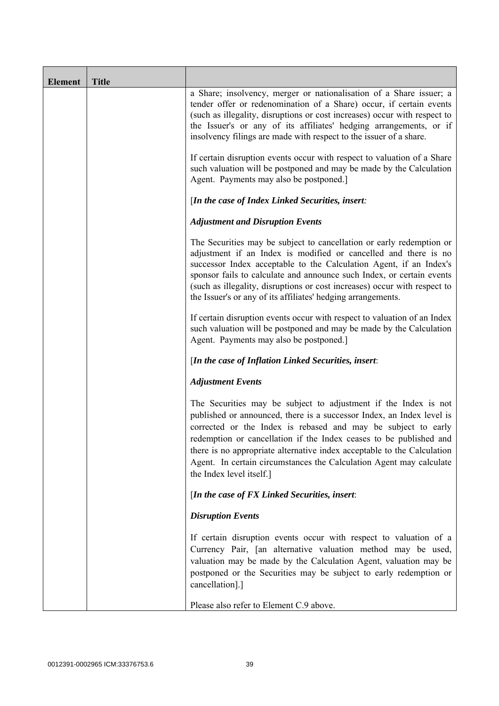| <b>Element</b> | <b>Title</b> |                                                                                                                                                                                                                                                                                                                                                                                                                                                               |
|----------------|--------------|---------------------------------------------------------------------------------------------------------------------------------------------------------------------------------------------------------------------------------------------------------------------------------------------------------------------------------------------------------------------------------------------------------------------------------------------------------------|
|                |              | a Share; insolvency, merger or nationalisation of a Share issuer; a<br>tender offer or redenomination of a Share) occur, if certain events<br>(such as illegality, disruptions or cost increases) occur with respect to<br>the Issuer's or any of its affiliates' hedging arrangements, or if<br>insolvency filings are made with respect to the issuer of a share.                                                                                           |
|                |              | If certain disruption events occur with respect to valuation of a Share<br>such valuation will be postponed and may be made by the Calculation<br>Agent. Payments may also be postponed.]                                                                                                                                                                                                                                                                     |
|                |              | [In the case of Index Linked Securities, insert:                                                                                                                                                                                                                                                                                                                                                                                                              |
|                |              | <b>Adjustment and Disruption Events</b>                                                                                                                                                                                                                                                                                                                                                                                                                       |
|                |              | The Securities may be subject to cancellation or early redemption or<br>adjustment if an Index is modified or cancelled and there is no<br>successor Index acceptable to the Calculation Agent, if an Index's<br>sponsor fails to calculate and announce such Index, or certain events<br>(such as illegality, disruptions or cost increases) occur with respect to<br>the Issuer's or any of its affiliates' hedging arrangements.                           |
|                |              | If certain disruption events occur with respect to valuation of an Index<br>such valuation will be postponed and may be made by the Calculation<br>Agent. Payments may also be postponed.]                                                                                                                                                                                                                                                                    |
|                |              | [In the case of Inflation Linked Securities, insert:                                                                                                                                                                                                                                                                                                                                                                                                          |
|                |              | <b>Adjustment Events</b>                                                                                                                                                                                                                                                                                                                                                                                                                                      |
|                |              | The Securities may be subject to adjustment if the Index is not<br>published or announced, there is a successor Index, an Index level is<br>corrected or the Index is rebased and may be subject to early<br>redemption or cancellation if the Index ceases to be published and<br>there is no appropriate alternative index acceptable to the Calculation<br>Agent. In certain circumstances the Calculation Agent may calculate<br>the Index level itself.] |
|                |              | [In the case of $FX$ Linked Securities, insert:                                                                                                                                                                                                                                                                                                                                                                                                               |
|                |              | <b>Disruption Events</b>                                                                                                                                                                                                                                                                                                                                                                                                                                      |
|                |              | If certain disruption events occur with respect to valuation of a<br>Currency Pair, [an alternative valuation method may be used,<br>valuation may be made by the Calculation Agent, valuation may be<br>postponed or the Securities may be subject to early redemption or<br>cancellation].]                                                                                                                                                                 |
|                |              | Please also refer to Element C.9 above.                                                                                                                                                                                                                                                                                                                                                                                                                       |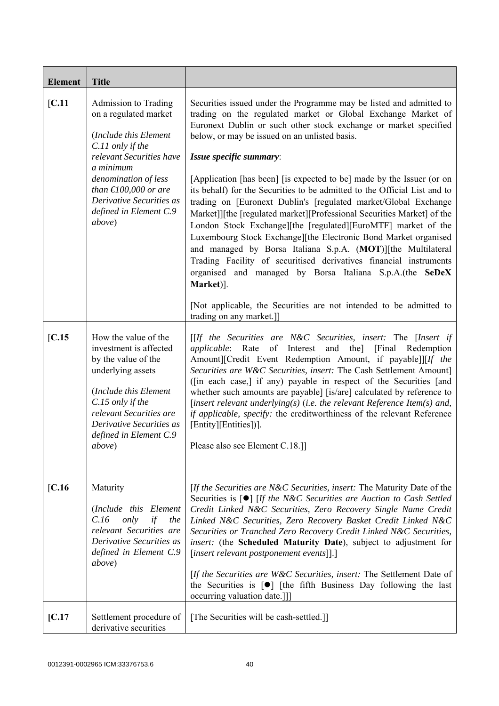| <b>Element</b>  | <b>Title</b>                                                                                                                                                                                                                                                                                                                                                                                                    |                                                                                                                                                                                                                                                                                                                                                                                                                                                                                                                                                                                                                                                                                                                                                                                                                                                                                                                                                                                                                                                                                                                                                                                                                                                                                                       |
|-----------------|-----------------------------------------------------------------------------------------------------------------------------------------------------------------------------------------------------------------------------------------------------------------------------------------------------------------------------------------------------------------------------------------------------------------|-------------------------------------------------------------------------------------------------------------------------------------------------------------------------------------------------------------------------------------------------------------------------------------------------------------------------------------------------------------------------------------------------------------------------------------------------------------------------------------------------------------------------------------------------------------------------------------------------------------------------------------------------------------------------------------------------------------------------------------------------------------------------------------------------------------------------------------------------------------------------------------------------------------------------------------------------------------------------------------------------------------------------------------------------------------------------------------------------------------------------------------------------------------------------------------------------------------------------------------------------------------------------------------------------------|
| [C.11]          | Admission to Trading<br>on a regulated market<br>(Include this Element<br>C.11 only if the<br>relevant Securities have<br>a minimum<br>denomination of less<br>than $\text{\textsterling}100,000$ or are<br>Derivative Securities as<br>defined in Element C.9<br>above)                                                                                                                                        | Securities issued under the Programme may be listed and admitted to<br>trading on the regulated market or Global Exchange Market of<br>Euronext Dublin or such other stock exchange or market specified<br>below, or may be issued on an unlisted basis.<br>Issue specific summary:<br>[Application [has been] [is expected to be] made by the Issuer (or on<br>its behalf) for the Securities to be admitted to the Official List and to<br>trading on [Euronext Dublin's [regulated market/Global Exchange<br>Market]][the [regulated market][Professional Securities Market] of the<br>London Stock Exchange][the [regulated][EuroMTF] market of the<br>Luxembourg Stock Exchange][the Electronic Bond Market organised<br>and managed by Borsa Italiana S.p.A. (MOT)][the Multilateral<br>Trading Facility of securitised derivatives financial instruments<br>organised and managed by Borsa Italiana S.p.A.(the SeDeX<br>Market)].<br>[Not applicable, the Securities are not intended to be admitted to<br>trading on any market.]]                                                                                                                                                                                                                                                            |
| IC.15<br>[C.16] | How the value of the<br>investment is affected<br>by the value of the<br>underlying assets<br>(Include this Element<br>C.15 only if the<br>relevant Securities are<br>Derivative Securities as<br>defined in Element C.9<br><i>above</i> )<br>Maturity<br>(Include this Element<br>C.16<br>only<br>if<br>the<br>relevant Securities are<br>Derivative Securities as<br>defined in Element C.9<br><i>above</i> ) | $[If the Securities are N&C Securities, insert: The [Insert if]$<br>applicable: Rate of Interest and the] [Final Redemption<br>Amount][Credit Event Redemption Amount, if payable]][If the<br>Securities are W&C Securities, insert: The Cash Settlement Amount]<br>([in each case,] if any) payable in respect of the Securities [and<br>whether such amounts are payable] [is/are] calculated by reference to<br>[insert relevant underlying(s) (i.e. the relevant Reference Item(s) and,<br>if applicable, specify: the creditworthiness of the relevant Reference<br>[Entity][Entities])].<br>Please also see Element C.18.]]<br>[If the Securities are N&C Securities, insert: The Maturity Date of the<br>Securities is $\lceil \bullet \rceil$ [If the N&C Securities are Auction to Cash Settled<br>Credit Linked N&C Securities, Zero Recovery Single Name Credit<br>Linked N&C Securities, Zero Recovery Basket Credit Linked N&C<br>Securities or Tranched Zero Recovery Credit Linked N&C Securities,<br><i>insert:</i> (the <b>Scheduled Maturity Date</b> ), subject to adjustment for<br>[insert relevant postponement events]].]<br>[If the Securities are W&C Securities, insert: The Settlement Date of<br>the Securities is $[\bullet]$ [the fifth Business Day following the last |
| [C.17]          | Settlement procedure of<br>derivative securities                                                                                                                                                                                                                                                                                                                                                                | occurring valuation date.]]<br>[The Securities will be cash-settled.]]                                                                                                                                                                                                                                                                                                                                                                                                                                                                                                                                                                                                                                                                                                                                                                                                                                                                                                                                                                                                                                                                                                                                                                                                                                |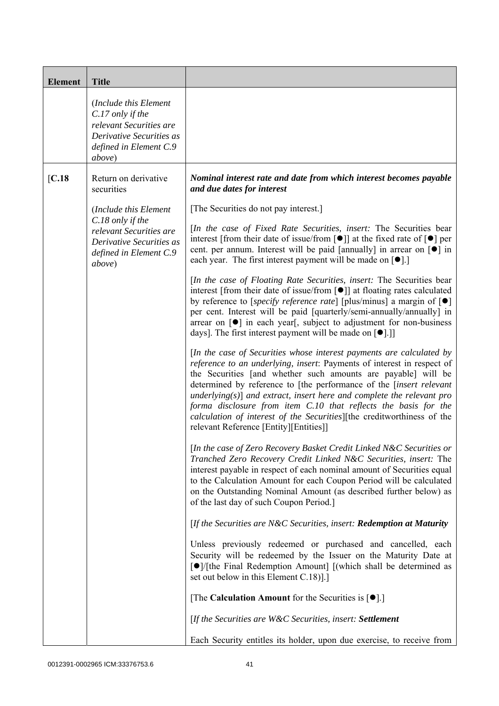| <b>Element</b> | <b>Title</b>                                                                                                                         |                                                                                                                                                                                                                                                                                                                                                                                                                                                                                                                                                                   |
|----------------|--------------------------------------------------------------------------------------------------------------------------------------|-------------------------------------------------------------------------------------------------------------------------------------------------------------------------------------------------------------------------------------------------------------------------------------------------------------------------------------------------------------------------------------------------------------------------------------------------------------------------------------------------------------------------------------------------------------------|
|                | (Include this Element<br>C.17 only if the<br>relevant Securities are<br>Derivative Securities as<br>defined in Element C.9<br>above) |                                                                                                                                                                                                                                                                                                                                                                                                                                                                                                                                                                   |
| [C.18]         | Return on derivative<br>securities                                                                                                   | Nominal interest rate and date from which interest becomes payable<br>and due dates for interest                                                                                                                                                                                                                                                                                                                                                                                                                                                                  |
|                | (Include this Element                                                                                                                | [The Securities do not pay interest.]                                                                                                                                                                                                                                                                                                                                                                                                                                                                                                                             |
|                | $C.18$ only if the<br>relevant Securities are<br>Derivative Securities as<br>defined in Element C.9<br><i>above</i> )                | [In the case of Fixed Rate Securities, insert: The Securities bear<br>interest [from their date of issue/from $\lceil \bullet \rceil$ ] at the fixed rate of $\lceil \bullet \rceil$ per<br>cent. per annum. Interest will be paid [annually] in arrear on $\lceil \bullet \rceil$ in<br>each year. The first interest payment will be made on $[\bullet]$ .]                                                                                                                                                                                                     |
|                |                                                                                                                                      | [In the case of Floating Rate Securities, insert: The Securities bear<br>interest [from their date of issue/from $\lceil \bullet \rceil$ ] at floating rates calculated<br>by reference to [ <i>specify reference rate</i> ] [plus/minus] a margin of $\lceil \bullet \rceil$<br>per cent. Interest will be paid [quarterly/semi-annually/annually] in<br>arrear on $\lceil \bullet \rceil$ in each year, subject to adjustment for non-business<br>days]. The first interest payment will be made on $[\bullet]$ .]                                              |
|                |                                                                                                                                      | [In the case of Securities whose interest payments are calculated by<br>reference to an underlying, insert: Payments of interest in respect of<br>the Securities [and whether such amounts are payable] will be<br>determined by reference to [the performance of the <i>[insert relevant</i><br>underlying( $s$ )] and extract, insert here and complete the relevant pro<br>forma disclosure from item C.10 that reflects the basis for the<br>calculation of interest of the Securities][the creditworthiness of the<br>relevant Reference [Entity][Entities]] |
|                |                                                                                                                                      | [In the case of Zero Recovery Basket Credit Linked N&C Securities or<br>Tranched Zero Recovery Credit Linked N&C Securities, insert: The<br>interest payable in respect of each nominal amount of Securities equal<br>to the Calculation Amount for each Coupon Period will be calculated<br>on the Outstanding Nominal Amount (as described further below) as<br>of the last day of such Coupon Period.]                                                                                                                                                         |
|                |                                                                                                                                      | [If the Securities are N&C Securities, insert: Redemption at Maturity                                                                                                                                                                                                                                                                                                                                                                                                                                                                                             |
|                |                                                                                                                                      | Unless previously redeemed or purchased and cancelled, each<br>Security will be redeemed by the Issuer on the Maturity Date at<br>[●]/[the Final Redemption Amount] [(which shall be determined as<br>set out below in this Element C.18).]                                                                                                                                                                                                                                                                                                                       |
|                |                                                                                                                                      | [The Calculation Amount for the Securities is $[•]$ .]                                                                                                                                                                                                                                                                                                                                                                                                                                                                                                            |
|                |                                                                                                                                      | [If the Securities are W&C Securities, insert: Settlement                                                                                                                                                                                                                                                                                                                                                                                                                                                                                                         |
|                |                                                                                                                                      | Each Security entitles its holder, upon due exercise, to receive from                                                                                                                                                                                                                                                                                                                                                                                                                                                                                             |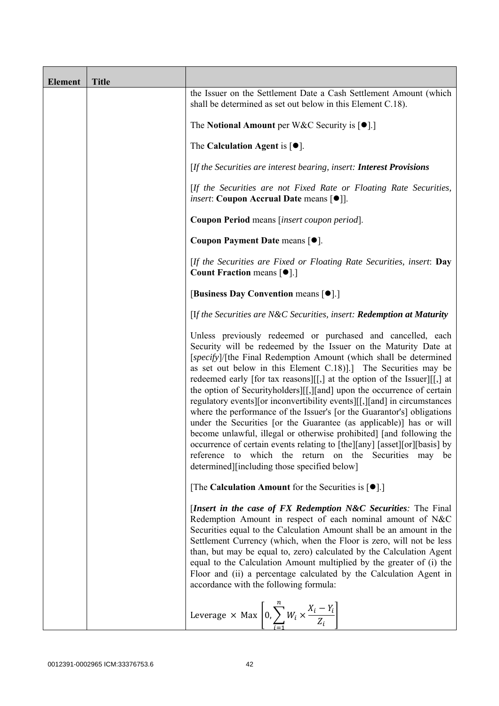| <b>Element</b> | <b>Title</b> |                                                                                                                                                                                                                                                                                                                                                                                                                                                                                                                                                                                                                                                                                                                                                                                                                                                                                                                                   |
|----------------|--------------|-----------------------------------------------------------------------------------------------------------------------------------------------------------------------------------------------------------------------------------------------------------------------------------------------------------------------------------------------------------------------------------------------------------------------------------------------------------------------------------------------------------------------------------------------------------------------------------------------------------------------------------------------------------------------------------------------------------------------------------------------------------------------------------------------------------------------------------------------------------------------------------------------------------------------------------|
|                |              | the Issuer on the Settlement Date a Cash Settlement Amount (which<br>shall be determined as set out below in this Element C.18).                                                                                                                                                                                                                                                                                                                                                                                                                                                                                                                                                                                                                                                                                                                                                                                                  |
|                |              | The Notional Amount per W&C Security is $[•]$ .                                                                                                                                                                                                                                                                                                                                                                                                                                                                                                                                                                                                                                                                                                                                                                                                                                                                                   |
|                |              | The Calculation Agent is $[•]$ .                                                                                                                                                                                                                                                                                                                                                                                                                                                                                                                                                                                                                                                                                                                                                                                                                                                                                                  |
|                |              | [If the Securities are interest bearing, insert: Interest Provisions                                                                                                                                                                                                                                                                                                                                                                                                                                                                                                                                                                                                                                                                                                                                                                                                                                                              |
|                |              | [If the Securities are not Fixed Rate or Floating Rate Securities,<br><i>insert</i> : Coupon Accrual Date means [ $\bullet$ ].                                                                                                                                                                                                                                                                                                                                                                                                                                                                                                                                                                                                                                                                                                                                                                                                    |
|                |              | Coupon Period means [insert coupon period].                                                                                                                                                                                                                                                                                                                                                                                                                                                                                                                                                                                                                                                                                                                                                                                                                                                                                       |
|                |              | Coupon Payment Date means [ $\bullet$ ].                                                                                                                                                                                                                                                                                                                                                                                                                                                                                                                                                                                                                                                                                                                                                                                                                                                                                          |
|                |              | [If the Securities are Fixed or Floating Rate Securities, insert: Day<br><b>Count Fraction means <math>[•]</math>.</b> ]                                                                                                                                                                                                                                                                                                                                                                                                                                                                                                                                                                                                                                                                                                                                                                                                          |
|                |              | [Business Day Convention means [ $\bullet$ ].]                                                                                                                                                                                                                                                                                                                                                                                                                                                                                                                                                                                                                                                                                                                                                                                                                                                                                    |
|                |              | [If the Securities are N&C Securities, insert: Redemption at Maturity                                                                                                                                                                                                                                                                                                                                                                                                                                                                                                                                                                                                                                                                                                                                                                                                                                                             |
|                |              | Unless previously redeemed or purchased and cancelled, each<br>Security will be redeemed by the Issuer on the Maturity Date at<br>[specify]/[the Final Redemption Amount (which shall be determined<br>as set out below in this Element C.18). The Securities may be<br>redeemed early [for tax reasons][[,] at the option of the Issuer][[,] at<br>the option of Securityholders][[,][and] upon the occurrence of certain<br>regulatory events [or inconvertibility events ][[,] [and] in circumstances<br>where the performance of the Issuer's [or the Guarantor's] obligations<br>under the Securities [or the Guarantee (as applicable)] has or will<br>become unlawful, illegal or otherwise prohibited] [and following the<br>occurrence of certain events relating to [the][any] [asset][or][basis] by<br>which the return on the Securities may<br>reference<br>to<br>be<br>determined][including those specified below] |
|                |              | [The Calculation Amount for the Securities is $[•]$ .]                                                                                                                                                                                                                                                                                                                                                                                                                                                                                                                                                                                                                                                                                                                                                                                                                                                                            |
|                |              | [Insert in the case of FX Redemption N&C Securities: The Final<br>Redemption Amount in respect of each nominal amount of N&C<br>Securities equal to the Calculation Amount shall be an amount in the<br>Settlement Currency (which, when the Floor is zero, will not be less<br>than, but may be equal to, zero) calculated by the Calculation Agent<br>equal to the Calculation Amount multiplied by the greater of (i) the<br>Floor and (ii) a percentage calculated by the Calculation Agent in<br>accordance with the following formula:                                                                                                                                                                                                                                                                                                                                                                                      |
|                |              | Leverage $\times$ Max $\left[0, \sum_{i=1}^{n} W_i \times \frac{X_i - Y_i}{Z_i}\right]$                                                                                                                                                                                                                                                                                                                                                                                                                                                                                                                                                                                                                                                                                                                                                                                                                                           |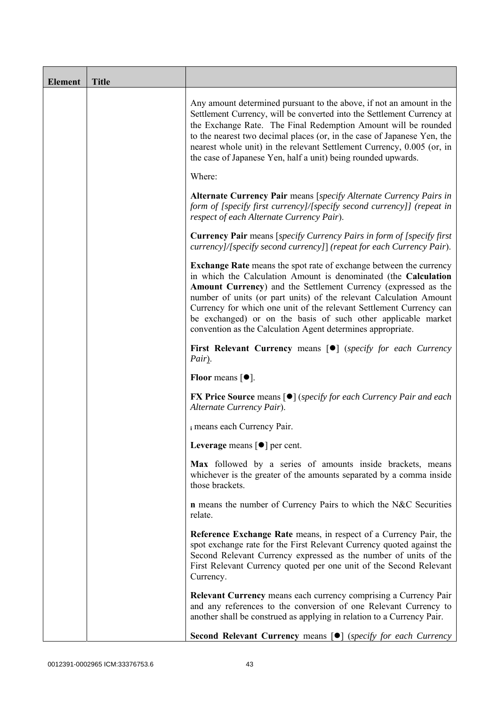| <b>Element</b> | <b>Title</b> |                                                                                                                                                                                                                                                                                                                                                                                                                                                                                             |
|----------------|--------------|---------------------------------------------------------------------------------------------------------------------------------------------------------------------------------------------------------------------------------------------------------------------------------------------------------------------------------------------------------------------------------------------------------------------------------------------------------------------------------------------|
|                |              | Any amount determined pursuant to the above, if not an amount in the<br>Settlement Currency, will be converted into the Settlement Currency at<br>the Exchange Rate. The Final Redemption Amount will be rounded<br>to the nearest two decimal places (or, in the case of Japanese Yen, the<br>nearest whole unit) in the relevant Settlement Currency, 0.005 (or, in<br>the case of Japanese Yen, half a unit) being rounded upwards.                                                      |
|                |              | Where:                                                                                                                                                                                                                                                                                                                                                                                                                                                                                      |
|                |              | Alternate Currency Pair means [specify Alternate Currency Pairs in<br>form of [specify first currency]/[specify second currency]] (repeat in<br>respect of each Alternate Currency Pair).                                                                                                                                                                                                                                                                                                   |
|                |              | <b>Currency Pair</b> means [specify Currency Pairs in form of [specify first]<br>currency]/[specify second currency]] (repeat for each Currency Pair).                                                                                                                                                                                                                                                                                                                                      |
|                |              | <b>Exchange Rate</b> means the spot rate of exchange between the currency<br>in which the Calculation Amount is denominated (the Calculation<br>Amount Currency) and the Settlement Currency (expressed as the<br>number of units (or part units) of the relevant Calculation Amount<br>Currency for which one unit of the relevant Settlement Currency can<br>be exchanged) or on the basis of such other applicable market<br>convention as the Calculation Agent determines appropriate. |
|                |              | <b>First Relevant Currency means [O]</b> (specify for each Currency<br>Pair).                                                                                                                                                                                                                                                                                                                                                                                                               |
|                |              | <b>Floor</b> means $[•]$ .                                                                                                                                                                                                                                                                                                                                                                                                                                                                  |
|                |              | <b>FX Price Source</b> means $\lceil \bullet \rceil$ (specify for each Currency Pair and each<br>Alternate Currency Pair).                                                                                                                                                                                                                                                                                                                                                                  |
|                |              | i means each Currency Pair.                                                                                                                                                                                                                                                                                                                                                                                                                                                                 |
|                |              | Leverage means $\lceil \bullet \rceil$ per cent.                                                                                                                                                                                                                                                                                                                                                                                                                                            |
|                |              | Max followed by a series of amounts inside brackets, means<br>whichever is the greater of the amounts separated by a comma inside<br>those brackets.                                                                                                                                                                                                                                                                                                                                        |
|                |              | <b>n</b> means the number of Currency Pairs to which the N&C Securities<br>relate.                                                                                                                                                                                                                                                                                                                                                                                                          |
|                |              | Reference Exchange Rate means, in respect of a Currency Pair, the<br>spot exchange rate for the First Relevant Currency quoted against the<br>Second Relevant Currency expressed as the number of units of the<br>First Relevant Currency quoted per one unit of the Second Relevant<br>Currency.                                                                                                                                                                                           |
|                |              | <b>Relevant Currency</b> means each currency comprising a Currency Pair<br>and any references to the conversion of one Relevant Currency to<br>another shall be construed as applying in relation to a Currency Pair.                                                                                                                                                                                                                                                                       |
|                |              | Second Relevant Currency means [ $\bullet$ ] (specify for each Currency                                                                                                                                                                                                                                                                                                                                                                                                                     |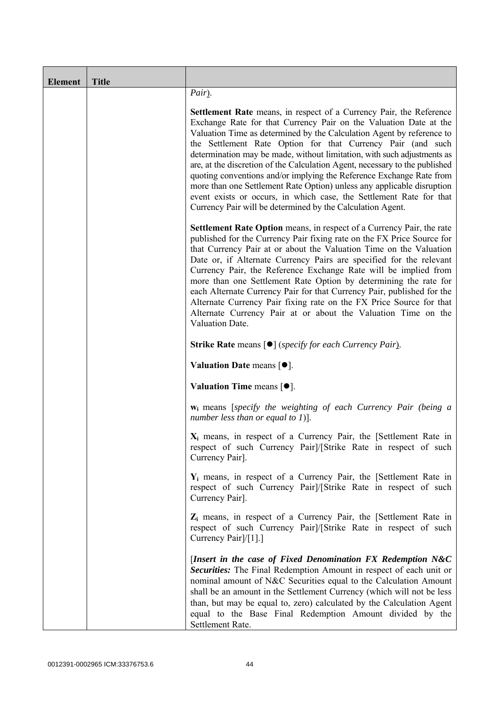| <b>Element</b> | <b>Title</b> |                                                                                                                                                                                                                                                                                                                                                                                                                                                                                                                                                                                                                                                                                                                                          |
|----------------|--------------|------------------------------------------------------------------------------------------------------------------------------------------------------------------------------------------------------------------------------------------------------------------------------------------------------------------------------------------------------------------------------------------------------------------------------------------------------------------------------------------------------------------------------------------------------------------------------------------------------------------------------------------------------------------------------------------------------------------------------------------|
|                |              | Pair).                                                                                                                                                                                                                                                                                                                                                                                                                                                                                                                                                                                                                                                                                                                                   |
|                |              | <b>Settlement Rate</b> means, in respect of a Currency Pair, the Reference<br>Exchange Rate for that Currency Pair on the Valuation Date at the<br>Valuation Time as determined by the Calculation Agent by reference to<br>the Settlement Rate Option for that Currency Pair (and such<br>determination may be made, without limitation, with such adjustments as<br>are, at the discretion of the Calculation Agent, necessary to the published<br>quoting conventions and/or implying the Reference Exchange Rate from<br>more than one Settlement Rate Option) unless any applicable disruption<br>event exists or occurs, in which case, the Settlement Rate for that<br>Currency Pair will be determined by the Calculation Agent. |
|                |              | Settlement Rate Option means, in respect of a Currency Pair, the rate<br>published for the Currency Pair fixing rate on the FX Price Source for<br>that Currency Pair at or about the Valuation Time on the Valuation<br>Date or, if Alternate Currency Pairs are specified for the relevant<br>Currency Pair, the Reference Exchange Rate will be implied from<br>more than one Settlement Rate Option by determining the rate for<br>each Alternate Currency Pair for that Currency Pair, published for the<br>Alternate Currency Pair fixing rate on the FX Price Source for that<br>Alternate Currency Pair at or about the Valuation Time on the<br>Valuation Date.                                                                 |
|                |              | <b>Strike Rate means [<math>\bullet</math>]</b> (specify for each Currency Pair).                                                                                                                                                                                                                                                                                                                                                                                                                                                                                                                                                                                                                                                        |
|                |              | Valuation Date means $[•]$ .                                                                                                                                                                                                                                                                                                                                                                                                                                                                                                                                                                                                                                                                                                             |
|                |              | Valuation Time means $[•]$ .                                                                                                                                                                                                                                                                                                                                                                                                                                                                                                                                                                                                                                                                                                             |
|                |              | <b>w</b> <sub>i</sub> means [specify the weighting of each Currency Pair (being a<br>number less than or equal to 1)].                                                                                                                                                                                                                                                                                                                                                                                                                                                                                                                                                                                                                   |
|                |              | $X_i$ means, in respect of a Currency Pair, the [Settlement Rate in<br>respect of such Currency Pair]/[Strike Rate in respect of such<br>Currency Pair].                                                                                                                                                                                                                                                                                                                                                                                                                                                                                                                                                                                 |
|                |              | $Y_i$ means, in respect of a Currency Pair, the [Settlement Rate in<br>respect of such Currency Pairl/[Strike Rate in respect of such<br>Currency Pair].                                                                                                                                                                                                                                                                                                                                                                                                                                                                                                                                                                                 |
|                |              | $Z_i$ means, in respect of a Currency Pair, the [Settlement Rate in<br>respect of such Currency Pairl/[Strike Rate in respect of such<br>Currency Pair]/[1].]                                                                                                                                                                                                                                                                                                                                                                                                                                                                                                                                                                            |
|                |              | [Insert in the case of Fixed Denomination FX Redemption $N&C$<br>Securities: The Final Redemption Amount in respect of each unit or<br>nominal amount of N&C Securities equal to the Calculation Amount<br>shall be an amount in the Settlement Currency (which will not be less<br>than, but may be equal to, zero) calculated by the Calculation Agent<br>equal to the Base Final Redemption Amount divided by the<br>Settlement Rate.                                                                                                                                                                                                                                                                                                 |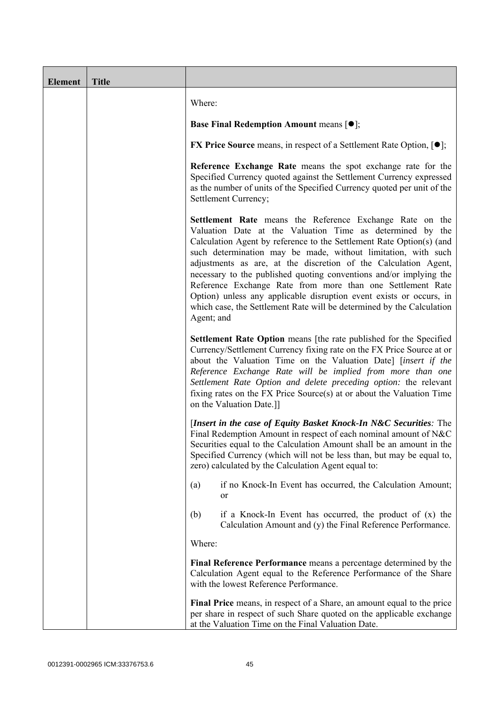| <b>Element</b> | <b>Title</b> |                                                                                                                                                                                                                                                                                                                                                                                                                                                                                                                                                                                                                                     |
|----------------|--------------|-------------------------------------------------------------------------------------------------------------------------------------------------------------------------------------------------------------------------------------------------------------------------------------------------------------------------------------------------------------------------------------------------------------------------------------------------------------------------------------------------------------------------------------------------------------------------------------------------------------------------------------|
|                |              | Where:                                                                                                                                                                                                                                                                                                                                                                                                                                                                                                                                                                                                                              |
|                |              | <b>Base Final Redemption Amount means <math>[①]</math>;</b>                                                                                                                                                                                                                                                                                                                                                                                                                                                                                                                                                                         |
|                |              | <b>FX Price Source</b> means, in respect of a Settlement Rate Option, $[•]$ ;                                                                                                                                                                                                                                                                                                                                                                                                                                                                                                                                                       |
|                |              | Reference Exchange Rate means the spot exchange rate for the<br>Specified Currency quoted against the Settlement Currency expressed<br>as the number of units of the Specified Currency quoted per unit of the<br>Settlement Currency;                                                                                                                                                                                                                                                                                                                                                                                              |
|                |              | Settlement Rate means the Reference Exchange Rate on the<br>Valuation Date at the Valuation Time as determined by the<br>Calculation Agent by reference to the Settlement Rate Option(s) (and<br>such determination may be made, without limitation, with such<br>adjustments as are, at the discretion of the Calculation Agent,<br>necessary to the published quoting conventions and/or implying the<br>Reference Exchange Rate from more than one Settlement Rate<br>Option) unless any applicable disruption event exists or occurs, in<br>which case, the Settlement Rate will be determined by the Calculation<br>Agent; and |
|                |              | Settlement Rate Option means [the rate published for the Specified<br>Currency/Settlement Currency fixing rate on the FX Price Source at or<br>about the Valuation Time on the Valuation Date] [insert if the<br>Reference Exchange Rate will be implied from more than one<br>Settlement Rate Option and delete preceding option: the relevant<br>fixing rates on the FX Price Source(s) at or about the Valuation Time<br>on the Valuation Date.]]                                                                                                                                                                                |
|                |              | [Insert in the case of Equity Basket Knock-In N&C Securities: The<br>Final Redemption Amount in respect of each nominal amount of N&C<br>Securities equal to the Calculation Amount shall be an amount in the<br>Specified Currency (which will not be less than, but may be equal to,<br>zero) calculated by the Calculation Agent equal to:                                                                                                                                                                                                                                                                                       |
|                |              | if no Knock-In Event has occurred, the Calculation Amount;<br>(a)<br><sub>or</sub>                                                                                                                                                                                                                                                                                                                                                                                                                                                                                                                                                  |
|                |              | (b)<br>if a Knock-In Event has occurred, the product of $(x)$ the<br>Calculation Amount and (y) the Final Reference Performance.                                                                                                                                                                                                                                                                                                                                                                                                                                                                                                    |
|                |              | Where:                                                                                                                                                                                                                                                                                                                                                                                                                                                                                                                                                                                                                              |
|                |              | Final Reference Performance means a percentage determined by the<br>Calculation Agent equal to the Reference Performance of the Share<br>with the lowest Reference Performance.                                                                                                                                                                                                                                                                                                                                                                                                                                                     |
|                |              | Final Price means, in respect of a Share, an amount equal to the price<br>per share in respect of such Share quoted on the applicable exchange<br>at the Valuation Time on the Final Valuation Date.                                                                                                                                                                                                                                                                                                                                                                                                                                |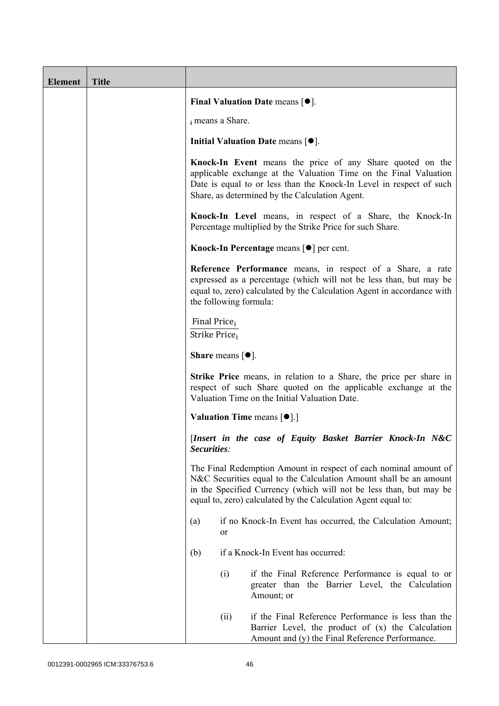| <b>Element</b> | <b>Title</b> |                                                                 |                                                                                                                                                                                                                                                                              |
|----------------|--------------|-----------------------------------------------------------------|------------------------------------------------------------------------------------------------------------------------------------------------------------------------------------------------------------------------------------------------------------------------------|
|                |              |                                                                 | Final Valuation Date means $[•]$ .                                                                                                                                                                                                                                           |
|                |              | i means a Share.                                                |                                                                                                                                                                                                                                                                              |
|                |              |                                                                 | Initial Valuation Date means $[•]$ .                                                                                                                                                                                                                                         |
|                |              |                                                                 | Knock-In Event means the price of any Share quoted on the<br>applicable exchange at the Valuation Time on the Final Valuation<br>Date is equal to or less than the Knock-In Level in respect of such<br>Share, as determined by the Calculation Agent.                       |
|                |              |                                                                 | Knock-In Level means, in respect of a Share, the Knock-In<br>Percentage multiplied by the Strike Price for such Share.                                                                                                                                                       |
|                |              |                                                                 | Knock-In Percentage means [●] per cent.                                                                                                                                                                                                                                      |
|                |              | the following formula:                                          | Reference Performance means, in respect of a Share, a rate<br>expressed as a percentage (which will not be less than, but may be<br>equal to, zero) calculated by the Calculation Agent in accordance with                                                                   |
|                |              | Final Price <sub>i</sub><br>Strike Price <sub>i</sub>           |                                                                                                                                                                                                                                                                              |
|                |              | <b>Share</b> means $\lceil \bullet \rceil$ .                    |                                                                                                                                                                                                                                                                              |
|                |              |                                                                 | <b>Strike Price</b> means, in relation to a Share, the price per share in<br>respect of such Share quoted on the applicable exchange at the<br>Valuation Time on the Initial Valuation Date.                                                                                 |
|                |              | <b>Valuation Time means <math>\lceil \bullet \rceil</math>.</b> |                                                                                                                                                                                                                                                                              |
|                |              | Securities:                                                     | [Insert in the case of Equity Basket Barrier Knock-In N&C                                                                                                                                                                                                                    |
|                |              |                                                                 | The Final Redemption Amount in respect of each nominal amount of<br>N&C Securities equal to the Calculation Amount shall be an amount<br>in the Specified Currency (which will not be less than, but may be<br>equal to, zero) calculated by the Calculation Agent equal to: |
|                |              | (a)<br>0r                                                       | if no Knock-In Event has occurred, the Calculation Amount;                                                                                                                                                                                                                   |
|                |              | (b)                                                             | if a Knock-In Event has occurred:                                                                                                                                                                                                                                            |
|                |              | (i)                                                             | if the Final Reference Performance is equal to or<br>greater than the Barrier Level, the Calculation<br>Amount; or                                                                                                                                                           |
|                |              | (ii)                                                            | if the Final Reference Performance is less than the<br>Barrier Level, the product of (x) the Calculation<br>Amount and (y) the Final Reference Performance.                                                                                                                  |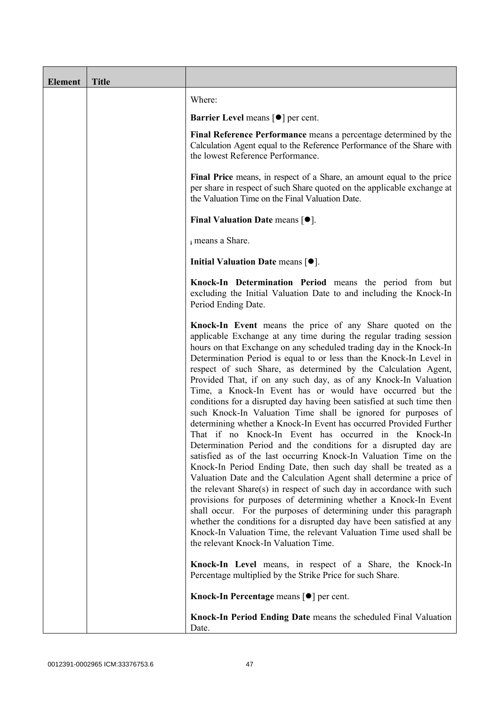| <b>Element</b> | <b>Title</b> |                                                                                                                                                                                                                                                                                                                                                                                                                                                                                                                                                                                                                                                                                                                                                                                                                                                                                                                                                                                                                                                                                                                                                                                                                                                                                                                                                                                                                                                       |
|----------------|--------------|-------------------------------------------------------------------------------------------------------------------------------------------------------------------------------------------------------------------------------------------------------------------------------------------------------------------------------------------------------------------------------------------------------------------------------------------------------------------------------------------------------------------------------------------------------------------------------------------------------------------------------------------------------------------------------------------------------------------------------------------------------------------------------------------------------------------------------------------------------------------------------------------------------------------------------------------------------------------------------------------------------------------------------------------------------------------------------------------------------------------------------------------------------------------------------------------------------------------------------------------------------------------------------------------------------------------------------------------------------------------------------------------------------------------------------------------------------|
|                |              | Where:                                                                                                                                                                                                                                                                                                                                                                                                                                                                                                                                                                                                                                                                                                                                                                                                                                                                                                                                                                                                                                                                                                                                                                                                                                                                                                                                                                                                                                                |
|                |              | <b>Barrier Level</b> means $\lceil \bullet \rceil$ per cent.                                                                                                                                                                                                                                                                                                                                                                                                                                                                                                                                                                                                                                                                                                                                                                                                                                                                                                                                                                                                                                                                                                                                                                                                                                                                                                                                                                                          |
|                |              | Final Reference Performance means a percentage determined by the<br>Calculation Agent equal to the Reference Performance of the Share with<br>the lowest Reference Performance.                                                                                                                                                                                                                                                                                                                                                                                                                                                                                                                                                                                                                                                                                                                                                                                                                                                                                                                                                                                                                                                                                                                                                                                                                                                                       |
|                |              | Final Price means, in respect of a Share, an amount equal to the price<br>per share in respect of such Share quoted on the applicable exchange at<br>the Valuation Time on the Final Valuation Date.                                                                                                                                                                                                                                                                                                                                                                                                                                                                                                                                                                                                                                                                                                                                                                                                                                                                                                                                                                                                                                                                                                                                                                                                                                                  |
|                |              | Final Valuation Date means $[•]$ .                                                                                                                                                                                                                                                                                                                                                                                                                                                                                                                                                                                                                                                                                                                                                                                                                                                                                                                                                                                                                                                                                                                                                                                                                                                                                                                                                                                                                    |
|                |              | i means a Share.                                                                                                                                                                                                                                                                                                                                                                                                                                                                                                                                                                                                                                                                                                                                                                                                                                                                                                                                                                                                                                                                                                                                                                                                                                                                                                                                                                                                                                      |
|                |              | Initial Valuation Date means $[•]$ .                                                                                                                                                                                                                                                                                                                                                                                                                                                                                                                                                                                                                                                                                                                                                                                                                                                                                                                                                                                                                                                                                                                                                                                                                                                                                                                                                                                                                  |
|                |              | Knock-In Determination Period means the period from but<br>excluding the Initial Valuation Date to and including the Knock-In<br>Period Ending Date.                                                                                                                                                                                                                                                                                                                                                                                                                                                                                                                                                                                                                                                                                                                                                                                                                                                                                                                                                                                                                                                                                                                                                                                                                                                                                                  |
|                |              | Knock-In Event means the price of any Share quoted on the<br>applicable Exchange at any time during the regular trading session<br>hours on that Exchange on any scheduled trading day in the Knock-In<br>Determination Period is equal to or less than the Knock-In Level in<br>respect of such Share, as determined by the Calculation Agent,<br>Provided That, if on any such day, as of any Knock-In Valuation<br>Time, a Knock-In Event has or would have occurred but the<br>conditions for a disrupted day having been satisfied at such time then<br>such Knock-In Valuation Time shall be ignored for purposes of<br>determining whether a Knock-In Event has occurred Provided Further<br>That if no Knock-In Event has occurred in the Knock-In<br>Determination Period and the conditions for a disrupted day are<br>satisfied as of the last occurring Knock-In Valuation Time on the<br>Knock-In Period Ending Date, then such day shall be treated as a<br>Valuation Date and the Calculation Agent shall determine a price of<br>the relevant Share(s) in respect of such day in accordance with such<br>provisions for purposes of determining whether a Knock-In Event<br>shall occur. For the purposes of determining under this paragraph<br>whether the conditions for a disrupted day have been satisfied at any<br>Knock-In Valuation Time, the relevant Valuation Time used shall be<br>the relevant Knock-In Valuation Time. |
|                |              | Knock-In Level means, in respect of a Share, the Knock-In<br>Percentage multiplied by the Strike Price for such Share.                                                                                                                                                                                                                                                                                                                                                                                                                                                                                                                                                                                                                                                                                                                                                                                                                                                                                                                                                                                                                                                                                                                                                                                                                                                                                                                                |
|                |              | Knock-In Percentage means [●] per cent.                                                                                                                                                                                                                                                                                                                                                                                                                                                                                                                                                                                                                                                                                                                                                                                                                                                                                                                                                                                                                                                                                                                                                                                                                                                                                                                                                                                                               |
|                |              | Knock-In Period Ending Date means the scheduled Final Valuation<br>Date.                                                                                                                                                                                                                                                                                                                                                                                                                                                                                                                                                                                                                                                                                                                                                                                                                                                                                                                                                                                                                                                                                                                                                                                                                                                                                                                                                                              |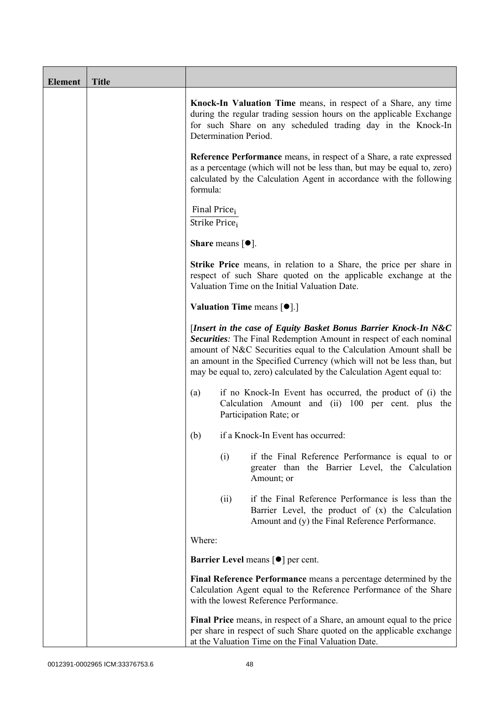| <b>Element</b> | <b>Title</b> |                                                                                                                                                                                                                                                                                                                                                                    |
|----------------|--------------|--------------------------------------------------------------------------------------------------------------------------------------------------------------------------------------------------------------------------------------------------------------------------------------------------------------------------------------------------------------------|
|                |              | Knock-In Valuation Time means, in respect of a Share, any time<br>during the regular trading session hours on the applicable Exchange<br>for such Share on any scheduled trading day in the Knock-In<br>Determination Period.                                                                                                                                      |
|                |              | Reference Performance means, in respect of a Share, a rate expressed<br>as a percentage (which will not be less than, but may be equal to, zero)<br>calculated by the Calculation Agent in accordance with the following<br>formula:                                                                                                                               |
|                |              | Final Price <sub>i</sub><br>Strike Price;                                                                                                                                                                                                                                                                                                                          |
|                |              | <b>Share</b> means $[•]$ .                                                                                                                                                                                                                                                                                                                                         |
|                |              | <b>Strike Price</b> means, in relation to a Share, the price per share in<br>respect of such Share quoted on the applicable exchange at the<br>Valuation Time on the Initial Valuation Date.                                                                                                                                                                       |
|                |              | <b>Valuation Time means <math>\lceil \bullet \rceil</math>.</b>                                                                                                                                                                                                                                                                                                    |
|                |              | [Insert in the case of Equity Basket Bonus Barrier Knock-In N&C<br><b>Securities:</b> The Final Redemption Amount in respect of each nominal<br>amount of N&C Securities equal to the Calculation Amount shall be<br>an amount in the Specified Currency (which will not be less than, but<br>may be equal to, zero) calculated by the Calculation Agent equal to: |
|                |              | if no Knock-In Event has occurred, the product of (i) the<br>(a)<br>Calculation Amount and (ii) 100 per cent. plus the<br>Participation Rate; or                                                                                                                                                                                                                   |
|                |              | if a Knock-In Event has occurred:<br>(b)                                                                                                                                                                                                                                                                                                                           |
|                |              | if the Final Reference Performance is equal to or<br>(i)<br>greater than the Barrier Level, the Calculation<br>Amount; or                                                                                                                                                                                                                                          |
|                |              | if the Final Reference Performance is less than the<br>(ii)<br>Barrier Level, the product of (x) the Calculation<br>Amount and (y) the Final Reference Performance.                                                                                                                                                                                                |
|                |              | Where:                                                                                                                                                                                                                                                                                                                                                             |
|                |              | <b>Barrier Level</b> means $\lceil \bullet \rceil$ per cent.                                                                                                                                                                                                                                                                                                       |
|                |              | Final Reference Performance means a percentage determined by the<br>Calculation Agent equal to the Reference Performance of the Share<br>with the lowest Reference Performance.                                                                                                                                                                                    |
|                |              | Final Price means, in respect of a Share, an amount equal to the price<br>per share in respect of such Share quoted on the applicable exchange<br>at the Valuation Time on the Final Valuation Date.                                                                                                                                                               |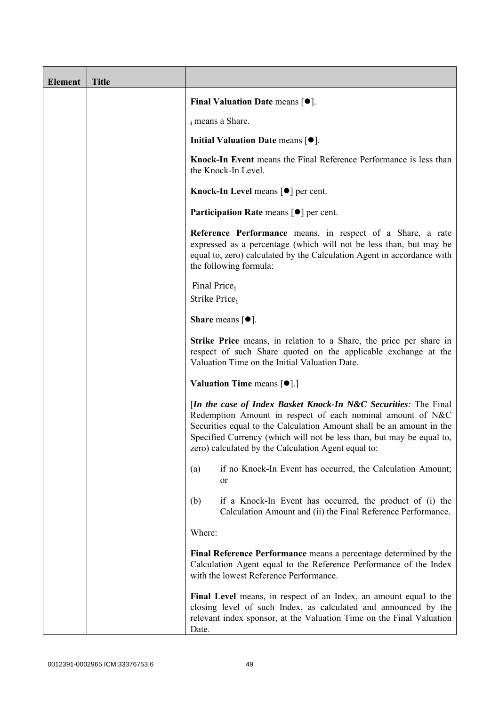| <b>Element</b> | <b>Title</b> |                                                                                                                                                                                                                                                                                                                                       |
|----------------|--------------|---------------------------------------------------------------------------------------------------------------------------------------------------------------------------------------------------------------------------------------------------------------------------------------------------------------------------------------|
|                |              | <b>Final Valuation Date means <math>\lceil \bullet \rceil</math>.</b>                                                                                                                                                                                                                                                                 |
|                |              | i means a Share.                                                                                                                                                                                                                                                                                                                      |
|                |              | Initial Valuation Date means $[•]$ .                                                                                                                                                                                                                                                                                                  |
|                |              | Knock-In Event means the Final Reference Performance is less than<br>the Knock-In Level.                                                                                                                                                                                                                                              |
|                |              | Knock-In Level means $\lceil \bullet \rceil$ per cent.                                                                                                                                                                                                                                                                                |
|                |              | <b>Participation Rate means <math>\lceil \bullet \rceil</math> per cent.</b>                                                                                                                                                                                                                                                          |
|                |              | Reference Performance means, in respect of a Share, a rate<br>expressed as a percentage (which will not be less than, but may be<br>equal to, zero) calculated by the Calculation Agent in accordance with<br>the following formula:                                                                                                  |
|                |              | Final Price <sub>i</sub><br>Strike Price <sub>i</sub>                                                                                                                                                                                                                                                                                 |
|                |              | Share means $[•]$ .                                                                                                                                                                                                                                                                                                                   |
|                |              | <b>Strike Price</b> means, in relation to a Share, the price per share in<br>respect of such Share quoted on the applicable exchange at the<br>Valuation Time on the Initial Valuation Date.                                                                                                                                          |
|                |              | <b>Valuation Time means <math>\lceil \bullet \rceil</math>.</b>                                                                                                                                                                                                                                                                       |
|                |              | [In the case of Index Basket Knock-In N&C Securities: The Final<br>Redemption Amount in respect of each nominal amount of N&C<br>Securities equal to the Calculation Amount shall be an amount in the<br>Specified Currency (which will not be less than, but may be equal to,<br>zero) calculated by the Calculation Agent equal to: |
|                |              | if no Knock-In Event has occurred, the Calculation Amount;<br>(a)<br><sub>or</sub>                                                                                                                                                                                                                                                    |
|                |              | if a Knock-In Event has occurred, the product of (i) the<br>(b)<br>Calculation Amount and (ii) the Final Reference Performance.                                                                                                                                                                                                       |
|                |              | Where:                                                                                                                                                                                                                                                                                                                                |
|                |              | Final Reference Performance means a percentage determined by the<br>Calculation Agent equal to the Reference Performance of the Index<br>with the lowest Reference Performance.                                                                                                                                                       |
|                |              | Final Level means, in respect of an Index, an amount equal to the<br>closing level of such Index, as calculated and announced by the<br>relevant index sponsor, at the Valuation Time on the Final Valuation<br>Date.                                                                                                                 |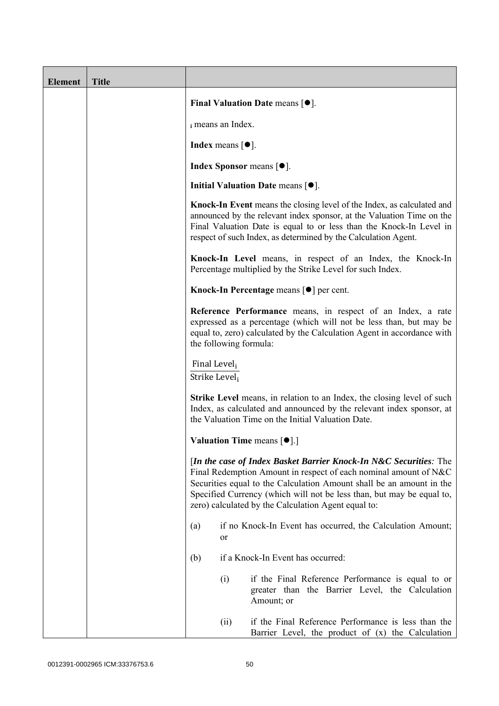| <b>Element</b> | <b>Title</b> |                                              |      |                                                                                                                                                                                                                                                                                                                                               |
|----------------|--------------|----------------------------------------------|------|-----------------------------------------------------------------------------------------------------------------------------------------------------------------------------------------------------------------------------------------------------------------------------------------------------------------------------------------------|
|                |              |                                              |      | Final Valuation Date means $[•]$ .                                                                                                                                                                                                                                                                                                            |
|                |              | i means an Index.                            |      |                                                                                                                                                                                                                                                                                                                                               |
|                |              | <b>Index</b> means $\lceil \bullet \rceil$ . |      |                                                                                                                                                                                                                                                                                                                                               |
|                |              |                                              |      | <b>Index Sponsor</b> means $[•]$ .                                                                                                                                                                                                                                                                                                            |
|                |              |                                              |      | Initial Valuation Date means $[•]$ .                                                                                                                                                                                                                                                                                                          |
|                |              |                                              |      | <b>Knock-In Event</b> means the closing level of the Index, as calculated and<br>announced by the relevant index sponsor, at the Valuation Time on the<br>Final Valuation Date is equal to or less than the Knock-In Level in<br>respect of such Index, as determined by the Calculation Agent.                                               |
|                |              |                                              |      | Knock-In Level means, in respect of an Index, the Knock-In<br>Percentage multiplied by the Strike Level for such Index.                                                                                                                                                                                                                       |
|                |              |                                              |      | Knock-In Percentage means [ <sup>●</sup> ] per cent.                                                                                                                                                                                                                                                                                          |
|                |              |                                              |      | Reference Performance means, in respect of an Index, a rate<br>expressed as a percentage (which will not be less than, but may be<br>equal to, zero) calculated by the Calculation Agent in accordance with<br>the following formula:                                                                                                         |
|                |              | Final Level <sub>i</sub><br>Strike Level;    |      |                                                                                                                                                                                                                                                                                                                                               |
|                |              |                                              |      | <b>Strike Level</b> means, in relation to an Index, the closing level of such<br>Index, as calculated and announced by the relevant index sponsor, at<br>the Valuation Time on the Initial Valuation Date.                                                                                                                                    |
|                |              |                                              |      | <b>Valuation Time means <math>[\bullet]</math>.</b> ]                                                                                                                                                                                                                                                                                         |
|                |              |                                              |      | [In the case of Index Basket Barrier Knock-In N&C Securities: The<br>Final Redemption Amount in respect of each nominal amount of N&C<br>Securities equal to the Calculation Amount shall be an amount in the<br>Specified Currency (which will not be less than, but may be equal to,<br>zero) calculated by the Calculation Agent equal to: |
|                |              | (a)                                          | or   | if no Knock-In Event has occurred, the Calculation Amount;                                                                                                                                                                                                                                                                                    |
|                |              | (b)                                          |      | if a Knock-In Event has occurred:                                                                                                                                                                                                                                                                                                             |
|                |              |                                              | (i)  | if the Final Reference Performance is equal to or<br>greater than the Barrier Level, the Calculation<br>Amount; or                                                                                                                                                                                                                            |
|                |              |                                              | (ii) | if the Final Reference Performance is less than the<br>Barrier Level, the product of $(x)$ the Calculation                                                                                                                                                                                                                                    |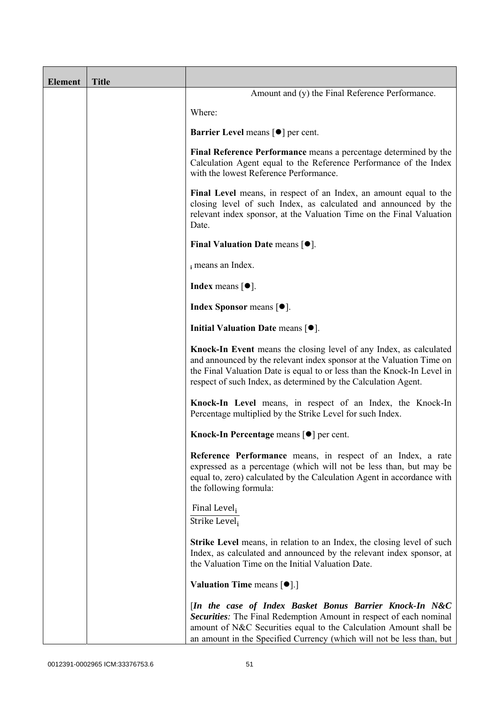| <b>Element</b> | <b>Title</b> |                                                                                                                                                                                                                                                                                         |
|----------------|--------------|-----------------------------------------------------------------------------------------------------------------------------------------------------------------------------------------------------------------------------------------------------------------------------------------|
|                |              | Amount and (y) the Final Reference Performance.                                                                                                                                                                                                                                         |
|                |              | Where:                                                                                                                                                                                                                                                                                  |
|                |              | <b>Barrier Level</b> means $\lceil \bullet \rceil$ per cent.                                                                                                                                                                                                                            |
|                |              | Final Reference Performance means a percentage determined by the<br>Calculation Agent equal to the Reference Performance of the Index<br>with the lowest Reference Performance.                                                                                                         |
|                |              | Final Level means, in respect of an Index, an amount equal to the<br>closing level of such Index, as calculated and announced by the<br>relevant index sponsor, at the Valuation Time on the Final Valuation<br>Date.                                                                   |
|                |              | Final Valuation Date means $[•]$ .                                                                                                                                                                                                                                                      |
|                |              | i means an Index.                                                                                                                                                                                                                                                                       |
|                |              | <b>Index</b> means $[①]$ .                                                                                                                                                                                                                                                              |
|                |              | <b>Index Sponsor</b> means $[•]$ .                                                                                                                                                                                                                                                      |
|                |              | Initial Valuation Date means $[•]$ .                                                                                                                                                                                                                                                    |
|                |              | Knock-In Event means the closing level of any Index, as calculated<br>and announced by the relevant index sponsor at the Valuation Time on<br>the Final Valuation Date is equal to or less than the Knock-In Level in<br>respect of such Index, as determined by the Calculation Agent. |
|                |              | Knock-In Level means, in respect of an Index, the Knock-In<br>Percentage multiplied by the Strike Level for such Index.                                                                                                                                                                 |
|                |              | Knock-In Percentage means [●] per cent.                                                                                                                                                                                                                                                 |
|                |              | Reference Performance means, in respect of an Index, a rate<br>expressed as a percentage (which will not be less than, but may be<br>equal to, zero) calculated by the Calculation Agent in accordance with<br>the following formula:                                                   |
|                |              | Final Level <sub>i</sub><br>Strike Level <sub>i</sub>                                                                                                                                                                                                                                   |
|                |              | <b>Strike Level</b> means, in relation to an Index, the closing level of such<br>Index, as calculated and announced by the relevant index sponsor, at<br>the Valuation Time on the Initial Valuation Date.                                                                              |
|                |              | <b>Valuation Time means <math>\lceil \bullet \rceil</math>.</b>                                                                                                                                                                                                                         |
|                |              | [In the case of Index Basket Bonus Barrier Knock-In N&C<br>Securities: The Final Redemption Amount in respect of each nominal<br>amount of N&C Securities equal to the Calculation Amount shall be<br>an amount in the Specified Currency (which will not be less than, but             |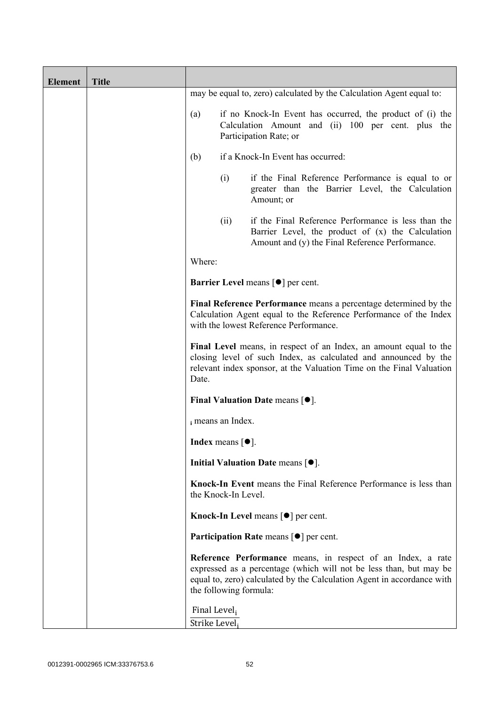| <b>Element</b> | <b>Title</b> |                               |                                              |                                                                                                                                                                                                              |
|----------------|--------------|-------------------------------|----------------------------------------------|--------------------------------------------------------------------------------------------------------------------------------------------------------------------------------------------------------------|
|                |              |                               |                                              | may be equal to, zero) calculated by the Calculation Agent equal to:                                                                                                                                         |
|                |              | (a)                           |                                              | if no Knock-In Event has occurred, the product of (i) the<br>Calculation Amount and (ii) 100 per cent. plus the<br>Participation Rate; or                                                                    |
|                |              | (b)                           |                                              | if a Knock-In Event has occurred:                                                                                                                                                                            |
|                |              |                               | (i)                                          | if the Final Reference Performance is equal to or<br>greater than the Barrier Level, the Calculation<br>Amount; or                                                                                           |
|                |              |                               | (ii)                                         | if the Final Reference Performance is less than the<br>Barrier Level, the product of (x) the Calculation<br>Amount and (y) the Final Reference Performance.                                                  |
|                |              | Where:                        |                                              |                                                                                                                                                                                                              |
|                |              |                               |                                              | Barrier Level means [ $\bullet$ ] per cent.                                                                                                                                                                  |
|                |              |                               |                                              | Final Reference Performance means a percentage determined by the<br>Calculation Agent equal to the Reference Performance of the Index<br>with the lowest Reference Performance.                              |
|                |              | Date.                         |                                              | Final Level means, in respect of an Index, an amount equal to the<br>closing level of such Index, as calculated and announced by the<br>relevant index sponsor, at the Valuation Time on the Final Valuation |
|                |              |                               |                                              | Final Valuation Date means $[•]$ .                                                                                                                                                                           |
|                |              |                               | i means an Index.                            |                                                                                                                                                                                                              |
|                |              |                               | <b>Index</b> means $\lceil \bullet \rceil$ . |                                                                                                                                                                                                              |
|                |              |                               |                                              | Initial Valuation Date means $[•]$ .                                                                                                                                                                         |
|                |              |                               | the Knock-In Level.                          | Knock-In Event means the Final Reference Performance is less than                                                                                                                                            |
|                |              |                               |                                              | Knock-In Level means $\lceil \bullet \rceil$ per cent.                                                                                                                                                       |
|                |              |                               |                                              | <b>Participation Rate means <math>\lceil \bullet \rceil</math> per cent.</b>                                                                                                                                 |
|                |              |                               | the following formula:                       | Reference Performance means, in respect of an Index, a rate<br>expressed as a percentage (which will not be less than, but may be<br>equal to, zero) calculated by the Calculation Agent in accordance with  |
|                |              | Final Level,<br>Strike Level; |                                              |                                                                                                                                                                                                              |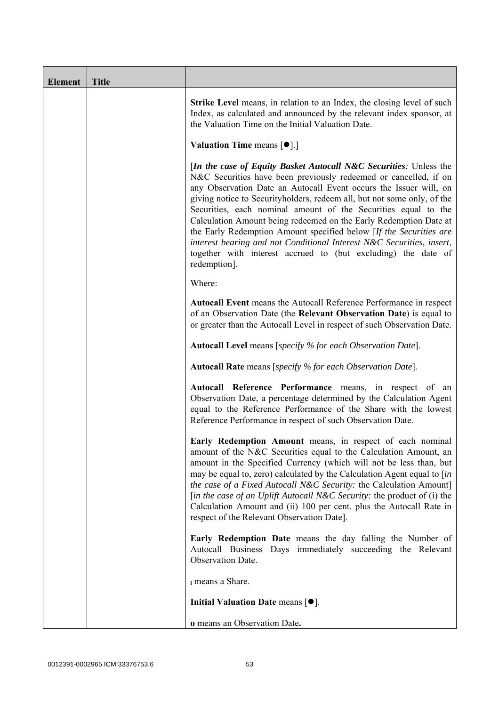| <b>Element</b> | <b>Title</b> |                                                                                                                                                                                                                                                                                                                                                                                                                                                                                                                                                                                                                                                                        |
|----------------|--------------|------------------------------------------------------------------------------------------------------------------------------------------------------------------------------------------------------------------------------------------------------------------------------------------------------------------------------------------------------------------------------------------------------------------------------------------------------------------------------------------------------------------------------------------------------------------------------------------------------------------------------------------------------------------------|
|                |              | <b>Strike Level</b> means, in relation to an Index, the closing level of such<br>Index, as calculated and announced by the relevant index sponsor, at<br>the Valuation Time on the Initial Valuation Date.                                                                                                                                                                                                                                                                                                                                                                                                                                                             |
|                |              | <b>Valuation Time means <math>\lceil \bullet \rceil</math>.</b>                                                                                                                                                                                                                                                                                                                                                                                                                                                                                                                                                                                                        |
|                |              | <i>In the case of Equity Basket Autocall N&amp;C Securities: Unless the</i><br>N&C Securities have been previously redeemed or cancelled, if on<br>any Observation Date an Autocall Event occurs the Issuer will, on<br>giving notice to Securityholders, redeem all, but not some only, of the<br>Securities, each nominal amount of the Securities equal to the<br>Calculation Amount being redeemed on the Early Redemption Date at<br>the Early Redemption Amount specified below [If the Securities are<br>interest bearing and not Conditional Interest N&C Securities, insert,<br>together with interest accrued to (but excluding) the date of<br>redemption]. |
|                |              | Where:                                                                                                                                                                                                                                                                                                                                                                                                                                                                                                                                                                                                                                                                 |
|                |              | Autocall Event means the Autocall Reference Performance in respect<br>of an Observation Date (the Relevant Observation Date) is equal to<br>or greater than the Autocall Level in respect of such Observation Date.                                                                                                                                                                                                                                                                                                                                                                                                                                                    |
|                |              | <b>Autocall Level</b> means [specify % for each Observation Date].                                                                                                                                                                                                                                                                                                                                                                                                                                                                                                                                                                                                     |
|                |              | <b>Autocall Rate</b> means [specify % for each Observation Date].                                                                                                                                                                                                                                                                                                                                                                                                                                                                                                                                                                                                      |
|                |              | Autocall Reference Performance means, in respect of an<br>Observation Date, a percentage determined by the Calculation Agent<br>equal to the Reference Performance of the Share with the lowest<br>Reference Performance in respect of such Observation Date.                                                                                                                                                                                                                                                                                                                                                                                                          |
|                |              | Early Redemption Amount means, in respect of each nominal<br>amount of the N&C Securities equal to the Calculation Amount, an<br>amount in the Specified Currency (which will not be less than, but<br>may be equal to, zero) calculated by the Calculation Agent equal to [in<br>the case of a Fixed Autocall N&C Security: the Calculation Amount]<br>[in the case of an Uplift Autocall N&C Security: the product of (i) the<br>Calculation Amount and (ii) 100 per cent. plus the Autocall Rate in<br>respect of the Relevant Observation Date].                                                                                                                   |
|                |              | Early Redemption Date means the day falling the Number of<br>Autocall Business Days immediately succeeding the Relevant<br>Observation Date.                                                                                                                                                                                                                                                                                                                                                                                                                                                                                                                           |
|                |              | i means a Share.                                                                                                                                                                                                                                                                                                                                                                                                                                                                                                                                                                                                                                                       |
|                |              | Initial Valuation Date means $[•]$ .                                                                                                                                                                                                                                                                                                                                                                                                                                                                                                                                                                                                                                   |
|                |              | o means an Observation Date.                                                                                                                                                                                                                                                                                                                                                                                                                                                                                                                                                                                                                                           |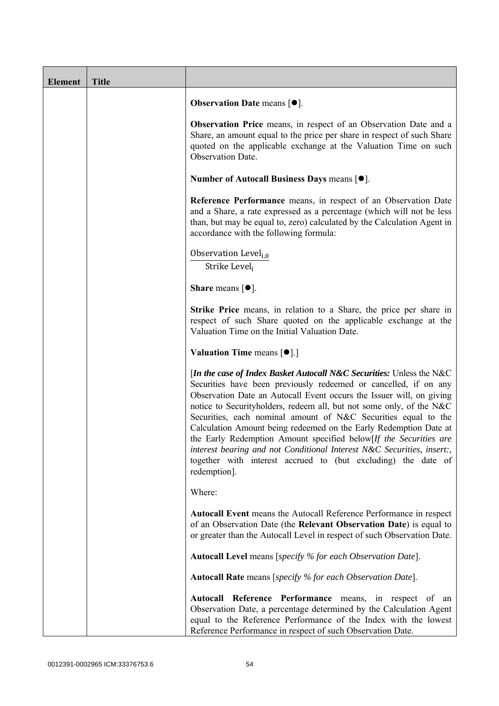| <b>Element</b> | <b>Title</b> |                                                                                                                                                                                                                                                                                                                                                                                                                                                                                                                                                                                                                                                                 |
|----------------|--------------|-----------------------------------------------------------------------------------------------------------------------------------------------------------------------------------------------------------------------------------------------------------------------------------------------------------------------------------------------------------------------------------------------------------------------------------------------------------------------------------------------------------------------------------------------------------------------------------------------------------------------------------------------------------------|
|                |              | <b>Observation Date means <math>\lceil \bullet \rceil</math>.</b>                                                                                                                                                                                                                                                                                                                                                                                                                                                                                                                                                                                               |
|                |              | Observation Price means, in respect of an Observation Date and a<br>Share, an amount equal to the price per share in respect of such Share<br>quoted on the applicable exchange at the Valuation Time on such<br><b>Observation Date.</b>                                                                                                                                                                                                                                                                                                                                                                                                                       |
|                |              | Number of Autocall Business Days means [●].                                                                                                                                                                                                                                                                                                                                                                                                                                                                                                                                                                                                                     |
|                |              | Reference Performance means, in respect of an Observation Date<br>and a Share, a rate expressed as a percentage (which will not be less<br>than, but may be equal to, zero) calculated by the Calculation Agent in<br>accordance with the following formula:                                                                                                                                                                                                                                                                                                                                                                                                    |
|                |              | Observation Level <sub>i.0</sub><br>Strike Level,                                                                                                                                                                                                                                                                                                                                                                                                                                                                                                                                                                                                               |
|                |              | <b>Share</b> means $\lceil \bullet \rceil$ .                                                                                                                                                                                                                                                                                                                                                                                                                                                                                                                                                                                                                    |
|                |              | <b>Strike Price</b> means, in relation to a Share, the price per share in<br>respect of such Share quoted on the applicable exchange at the<br>Valuation Time on the Initial Valuation Date.                                                                                                                                                                                                                                                                                                                                                                                                                                                                    |
|                |              | Valuation Time means [ $\bullet$ ].]                                                                                                                                                                                                                                                                                                                                                                                                                                                                                                                                                                                                                            |
|                |              | [In the case of Index Basket Autocall N&C Securities: Unless the N&C<br>Securities have been previously redeemed or cancelled, if on any<br>Observation Date an Autocall Event occurs the Issuer will, on giving<br>notice to Securityholders, redeem all, but not some only, of the N&C<br>Securities, each nominal amount of N&C Securities equal to the<br>Calculation Amount being redeemed on the Early Redemption Date at<br>the Early Redemption Amount specified below[If the Securities are<br>interest bearing and not Conditional Interest N&C Securities, insert:,<br>together with interest accrued to (but excluding) the date of<br>redemption]. |
|                |              | Where:                                                                                                                                                                                                                                                                                                                                                                                                                                                                                                                                                                                                                                                          |
|                |              | <b>Autocall Event</b> means the Autocall Reference Performance in respect<br>of an Observation Date (the Relevant Observation Date) is equal to<br>or greater than the Autocall Level in respect of such Observation Date.                                                                                                                                                                                                                                                                                                                                                                                                                                      |
|                |              | Autocall Level means [specify % for each Observation Date].                                                                                                                                                                                                                                                                                                                                                                                                                                                                                                                                                                                                     |
|                |              | Autocall Rate means [specify % for each Observation Date].                                                                                                                                                                                                                                                                                                                                                                                                                                                                                                                                                                                                      |
|                |              | Autocall Reference Performance means, in respect of an<br>Observation Date, a percentage determined by the Calculation Agent<br>equal to the Reference Performance of the Index with the lowest<br>Reference Performance in respect of such Observation Date.                                                                                                                                                                                                                                                                                                                                                                                                   |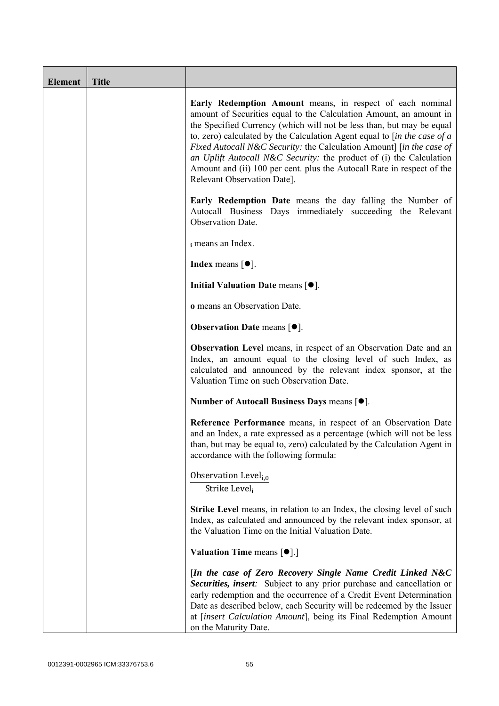| <b>Element</b> | <b>Title</b> |                                                                                                                                                                                                                                                                                                                                                                                                                                                                                                                                                 |
|----------------|--------------|-------------------------------------------------------------------------------------------------------------------------------------------------------------------------------------------------------------------------------------------------------------------------------------------------------------------------------------------------------------------------------------------------------------------------------------------------------------------------------------------------------------------------------------------------|
|                |              | Early Redemption Amount means, in respect of each nominal<br>amount of Securities equal to the Calculation Amount, an amount in<br>the Specified Currency (which will not be less than, but may be equal<br>to, zero) calculated by the Calculation Agent equal to $[$ in the case of a<br>Fixed Autocall N&C Security: the Calculation Amount] [in the case of<br>an Uplift Autocall N&C Security: the product of (i) the Calculation<br>Amount and (ii) 100 per cent. plus the Autocall Rate in respect of the<br>Relevant Observation Date]. |
|                |              | <b>Early Redemption Date</b> means the day falling the Number of<br>Autocall Business Days immediately succeeding the Relevant<br>Observation Date.                                                                                                                                                                                                                                                                                                                                                                                             |
|                |              | i means an Index.                                                                                                                                                                                                                                                                                                                                                                                                                                                                                                                               |
|                |              | <b>Index</b> means $\lceil \bullet \rceil$ .                                                                                                                                                                                                                                                                                                                                                                                                                                                                                                    |
|                |              | Initial Valuation Date means $[•]$ .                                                                                                                                                                                                                                                                                                                                                                                                                                                                                                            |
|                |              | o means an Observation Date.                                                                                                                                                                                                                                                                                                                                                                                                                                                                                                                    |
|                |              | <b>Observation Date means <math>\lceil \bullet \rceil</math>.</b>                                                                                                                                                                                                                                                                                                                                                                                                                                                                               |
|                |              | Observation Level means, in respect of an Observation Date and an<br>Index, an amount equal to the closing level of such Index, as<br>calculated and announced by the relevant index sponsor, at the<br>Valuation Time on such Observation Date.                                                                                                                                                                                                                                                                                                |
|                |              | Number of Autocall Business Days means [●].                                                                                                                                                                                                                                                                                                                                                                                                                                                                                                     |
|                |              | Reference Performance means, in respect of an Observation Date<br>and an Index, a rate expressed as a percentage (which will not be less<br>than, but may be equal to, zero) calculated by the Calculation Agent in<br>accordance with the following formula:                                                                                                                                                                                                                                                                                   |
|                |              | Observation Level <sub>i,0</sub><br>Strike Level;                                                                                                                                                                                                                                                                                                                                                                                                                                                                                               |
|                |              | <b>Strike Level</b> means, in relation to an Index, the closing level of such<br>Index, as calculated and announced by the relevant index sponsor, at<br>the Valuation Time on the Initial Valuation Date.                                                                                                                                                                                                                                                                                                                                      |
|                |              | <b>Valuation Time means <math>[\bullet]</math>.</b> ]                                                                                                                                                                                                                                                                                                                                                                                                                                                                                           |
|                |              | [In the case of Zero Recovery Single Name Credit Linked N&C<br>Securities, insert: Subject to any prior purchase and cancellation or<br>early redemption and the occurrence of a Credit Event Determination<br>Date as described below, each Security will be redeemed by the Issuer<br>at [insert Calculation Amount], being its Final Redemption Amount<br>on the Maturity Date.                                                                                                                                                              |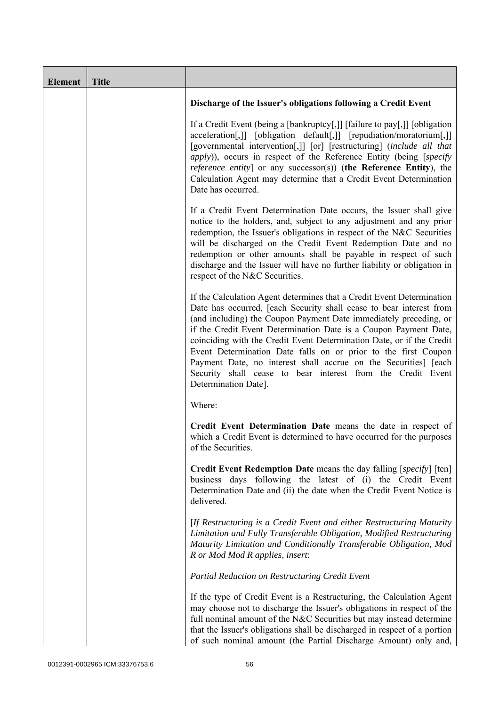| <b>Element</b> | <b>Title</b> |                                                                                                                                                                                                                                                                                                                                                                                                                                                                                                                                                                                            |
|----------------|--------------|--------------------------------------------------------------------------------------------------------------------------------------------------------------------------------------------------------------------------------------------------------------------------------------------------------------------------------------------------------------------------------------------------------------------------------------------------------------------------------------------------------------------------------------------------------------------------------------------|
|                |              | Discharge of the Issuer's obligations following a Credit Event                                                                                                                                                                                                                                                                                                                                                                                                                                                                                                                             |
|                |              | If a Credit Event (being a [bankruptcy[,]] [failure to pay[,]] [obligation<br>acceleration[,]] [obligation default[,]] [repudiation/moratorium[,]]<br>[governmental intervention[,]] [or] [restructuring] (include all that<br><i>apply</i> )), occurs in respect of the Reference Entity (being [specify]<br><i>reference entity</i> ] or any successor(s)) (the Reference Entity), the<br>Calculation Agent may determine that a Credit Event Determination<br>Date has occurred.                                                                                                        |
|                |              | If a Credit Event Determination Date occurs, the Issuer shall give<br>notice to the holders, and, subject to any adjustment and any prior<br>redemption, the Issuer's obligations in respect of the N&C Securities<br>will be discharged on the Credit Event Redemption Date and no<br>redemption or other amounts shall be payable in respect of such<br>discharge and the Issuer will have no further liability or obligation in<br>respect of the N&C Securities.                                                                                                                       |
|                |              | If the Calculation Agent determines that a Credit Event Determination<br>Date has occurred, [each Security shall cease to bear interest from<br>(and including) the Coupon Payment Date immediately preceding, or<br>if the Credit Event Determination Date is a Coupon Payment Date,<br>coinciding with the Credit Event Determination Date, or if the Credit<br>Event Determination Date falls on or prior to the first Coupon<br>Payment Date, no interest shall accrue on the Securities] [each<br>Security shall cease to bear interest from the Credit Event<br>Determination Date]. |
|                |              | Where:                                                                                                                                                                                                                                                                                                                                                                                                                                                                                                                                                                                     |
|                |              | Credit Event Determination Date means the date in respect of<br>which a Credit Event is determined to have occurred for the purposes<br>of the Securities.                                                                                                                                                                                                                                                                                                                                                                                                                                 |
|                |              | <b>Credit Event Redemption Date</b> means the day falling [specify] [ten]<br>business days following the latest of (i) the Credit Event<br>Determination Date and (ii) the date when the Credit Event Notice is<br>delivered.                                                                                                                                                                                                                                                                                                                                                              |
|                |              | [If Restructuring is a Credit Event and either Restructuring Maturity<br>Limitation and Fully Transferable Obligation, Modified Restructuring<br>Maturity Limitation and Conditionally Transferable Obligation, Mod<br>R or Mod Mod R applies, insert:                                                                                                                                                                                                                                                                                                                                     |
|                |              | Partial Reduction on Restructuring Credit Event                                                                                                                                                                                                                                                                                                                                                                                                                                                                                                                                            |
|                |              | If the type of Credit Event is a Restructuring, the Calculation Agent<br>may choose not to discharge the Issuer's obligations in respect of the<br>full nominal amount of the N&C Securities but may instead determine<br>that the Issuer's obligations shall be discharged in respect of a portion<br>of such nominal amount (the Partial Discharge Amount) only and,                                                                                                                                                                                                                     |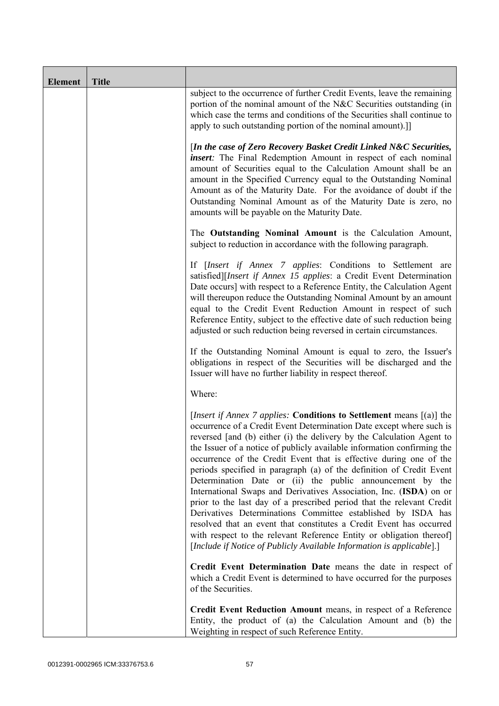| <b>Element</b> | <b>Title</b> |                                                                                                                                                                                                                                                                                                                                                                                                                                                                                                                                                                                                                                                                                                                                                                                                                                                                                                                                                           |
|----------------|--------------|-----------------------------------------------------------------------------------------------------------------------------------------------------------------------------------------------------------------------------------------------------------------------------------------------------------------------------------------------------------------------------------------------------------------------------------------------------------------------------------------------------------------------------------------------------------------------------------------------------------------------------------------------------------------------------------------------------------------------------------------------------------------------------------------------------------------------------------------------------------------------------------------------------------------------------------------------------------|
|                |              | subject to the occurrence of further Credit Events, leave the remaining<br>portion of the nominal amount of the N&C Securities outstanding (in<br>which case the terms and conditions of the Securities shall continue to<br>apply to such outstanding portion of the nominal amount).]                                                                                                                                                                                                                                                                                                                                                                                                                                                                                                                                                                                                                                                                   |
|                |              | [In the case of Zero Recovery Basket Credit Linked N&C Securities,<br><i>insert</i> : The Final Redemption Amount in respect of each nominal<br>amount of Securities equal to the Calculation Amount shall be an<br>amount in the Specified Currency equal to the Outstanding Nominal<br>Amount as of the Maturity Date. For the avoidance of doubt if the<br>Outstanding Nominal Amount as of the Maturity Date is zero, no<br>amounts will be payable on the Maturity Date.                                                                                                                                                                                                                                                                                                                                                                                                                                                                             |
|                |              | The Outstanding Nominal Amount is the Calculation Amount,<br>subject to reduction in accordance with the following paragraph.                                                                                                                                                                                                                                                                                                                                                                                                                                                                                                                                                                                                                                                                                                                                                                                                                             |
|                |              | If [Insert if Annex 7 applies: Conditions to Settlement are<br>satisfied][Insert if Annex 15 applies: a Credit Event Determination<br>Date occurs] with respect to a Reference Entity, the Calculation Agent<br>will thereupon reduce the Outstanding Nominal Amount by an amount<br>equal to the Credit Event Reduction Amount in respect of such<br>Reference Entity, subject to the effective date of such reduction being<br>adjusted or such reduction being reversed in certain circumstances.                                                                                                                                                                                                                                                                                                                                                                                                                                                      |
|                |              | If the Outstanding Nominal Amount is equal to zero, the Issuer's<br>obligations in respect of the Securities will be discharged and the<br>Issuer will have no further liability in respect thereof.                                                                                                                                                                                                                                                                                                                                                                                                                                                                                                                                                                                                                                                                                                                                                      |
|                |              | Where:                                                                                                                                                                                                                                                                                                                                                                                                                                                                                                                                                                                                                                                                                                                                                                                                                                                                                                                                                    |
|                |              | <i>[Insert if Annex 7 applies: Conditions to Settlement means [(a)] the</i><br>occurrence of a Credit Event Determination Date except where such is<br>reversed [and (b) either (i) the delivery by the Calculation Agent to<br>the Issuer of a notice of publicly available information confirming the<br>occurrence of the Credit Event that is effective during one of the<br>periods specified in paragraph (a) of the definition of Credit Event<br>Determination Date or (ii) the public announcement by the<br>International Swaps and Derivatives Association, Inc. (ISDA) on or<br>prior to the last day of a prescribed period that the relevant Credit<br>Derivatives Determinations Committee established by ISDA has<br>resolved that an event that constitutes a Credit Event has occurred<br>with respect to the relevant Reference Entity or obligation thereof]<br>[Include if Notice of Publicly Available Information is applicable].] |
|                |              | Credit Event Determination Date means the date in respect of<br>which a Credit Event is determined to have occurred for the purposes<br>of the Securities.                                                                                                                                                                                                                                                                                                                                                                                                                                                                                                                                                                                                                                                                                                                                                                                                |
|                |              | Credit Event Reduction Amount means, in respect of a Reference<br>Entity, the product of (a) the Calculation Amount and (b) the<br>Weighting in respect of such Reference Entity.                                                                                                                                                                                                                                                                                                                                                                                                                                                                                                                                                                                                                                                                                                                                                                         |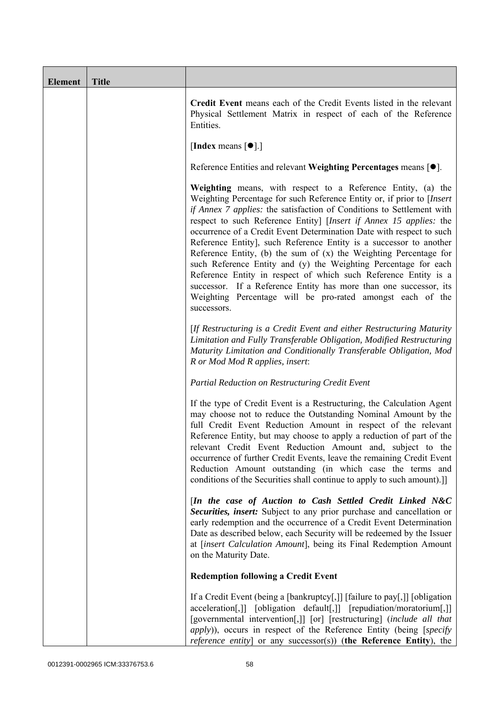| <b>Element</b> | <b>Title</b> |                                                                                                                                                                                                                                                                                                                                                                                                                                                                                                                                                                                                                                                                                                                                                                                                    |
|----------------|--------------|----------------------------------------------------------------------------------------------------------------------------------------------------------------------------------------------------------------------------------------------------------------------------------------------------------------------------------------------------------------------------------------------------------------------------------------------------------------------------------------------------------------------------------------------------------------------------------------------------------------------------------------------------------------------------------------------------------------------------------------------------------------------------------------------------|
|                |              | Credit Event means each of the Credit Events listed in the relevant<br>Physical Settlement Matrix in respect of each of the Reference<br>Entities.                                                                                                                                                                                                                                                                                                                                                                                                                                                                                                                                                                                                                                                 |
|                |              | [Index means $[\bullet]$ .]                                                                                                                                                                                                                                                                                                                                                                                                                                                                                                                                                                                                                                                                                                                                                                        |
|                |              | Reference Entities and relevant Weighting Percentages means $[•]$ .                                                                                                                                                                                                                                                                                                                                                                                                                                                                                                                                                                                                                                                                                                                                |
|                |              | Weighting means, with respect to a Reference Entity, (a) the<br>Weighting Percentage for such Reference Entity or, if prior to [Insert<br>if Annex 7 applies: the satisfaction of Conditions to Settlement with<br>respect to such Reference Entity] [Insert if Annex 15 applies: the<br>occurrence of a Credit Event Determination Date with respect to such<br>Reference Entity], such Reference Entity is a successor to another<br>Reference Entity, (b) the sum of $(x)$ the Weighting Percentage for<br>such Reference Entity and (y) the Weighting Percentage for each<br>Reference Entity in respect of which such Reference Entity is a<br>successor. If a Reference Entity has more than one successor, its<br>Weighting Percentage will be pro-rated amongst each of the<br>successors. |
|                |              | [If Restructuring is a Credit Event and either Restructuring Maturity<br>Limitation and Fully Transferable Obligation, Modified Restructuring<br>Maturity Limitation and Conditionally Transferable Obligation, Mod<br>R or Mod Mod R applies, insert:                                                                                                                                                                                                                                                                                                                                                                                                                                                                                                                                             |
|                |              | Partial Reduction on Restructuring Credit Event                                                                                                                                                                                                                                                                                                                                                                                                                                                                                                                                                                                                                                                                                                                                                    |
|                |              | If the type of Credit Event is a Restructuring, the Calculation Agent<br>may choose not to reduce the Outstanding Nominal Amount by the<br>full Credit Event Reduction Amount in respect of the relevant<br>Reference Entity, but may choose to apply a reduction of part of the<br>relevant Credit Event Reduction Amount and, subject to the<br>occurrence of further Credit Events, leave the remaining Credit Event<br>Reduction Amount outstanding (in which case the terms and<br>conditions of the Securities shall continue to apply to such amount).]                                                                                                                                                                                                                                     |
|                |              | [In the case of Auction to Cash Settled Credit Linked N&C<br>Securities, insert: Subject to any prior purchase and cancellation or<br>early redemption and the occurrence of a Credit Event Determination<br>Date as described below, each Security will be redeemed by the Issuer<br>at [insert Calculation Amount], being its Final Redemption Amount<br>on the Maturity Date.                                                                                                                                                                                                                                                                                                                                                                                                                   |
|                |              | <b>Redemption following a Credit Event</b>                                                                                                                                                                                                                                                                                                                                                                                                                                                                                                                                                                                                                                                                                                                                                         |
|                |              | If a Credit Event (being a [bankruptcy[,]] [failure to pay[,]] [obligation<br>acceleration[,]] [obligation default[,]] [repudiation/moratorium[,]]<br>[governmental intervention[,]] [or] [restructuring] (include all that<br><i>apply</i> )), occurs in respect of the Reference Entity (being [specify<br><i>reference entity</i> ] or any successor(s)) (the Reference Entity), the                                                                                                                                                                                                                                                                                                                                                                                                            |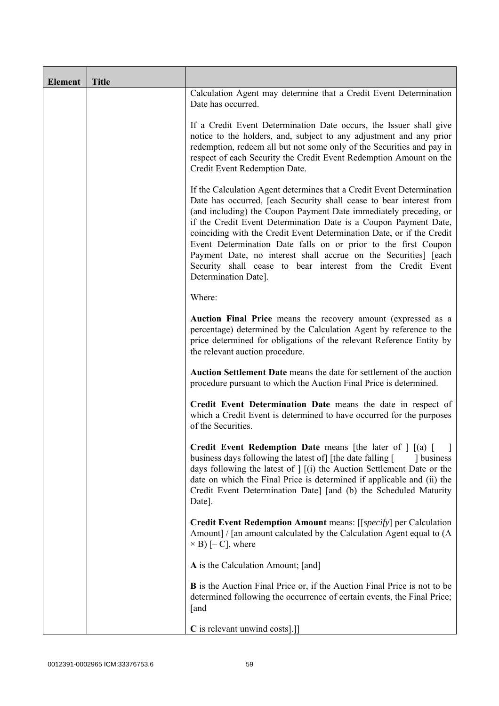| <b>Element</b> | <b>Title</b> |                                                                                                                                                                                                                                                                                                                                                                                                                                                                                                                                                                                            |
|----------------|--------------|--------------------------------------------------------------------------------------------------------------------------------------------------------------------------------------------------------------------------------------------------------------------------------------------------------------------------------------------------------------------------------------------------------------------------------------------------------------------------------------------------------------------------------------------------------------------------------------------|
|                |              | Calculation Agent may determine that a Credit Event Determination<br>Date has occurred.                                                                                                                                                                                                                                                                                                                                                                                                                                                                                                    |
|                |              | If a Credit Event Determination Date occurs, the Issuer shall give<br>notice to the holders, and, subject to any adjustment and any prior<br>redemption, redeem all but not some only of the Securities and pay in<br>respect of each Security the Credit Event Redemption Amount on the<br>Credit Event Redemption Date.                                                                                                                                                                                                                                                                  |
|                |              | If the Calculation Agent determines that a Credit Event Determination<br>Date has occurred, [each Security shall cease to bear interest from<br>(and including) the Coupon Payment Date immediately preceding, or<br>if the Credit Event Determination Date is a Coupon Payment Date,<br>coinciding with the Credit Event Determination Date, or if the Credit<br>Event Determination Date falls on or prior to the first Coupon<br>Payment Date, no interest shall accrue on the Securities] [each<br>Security shall cease to bear interest from the Credit Event<br>Determination Date]. |
|                |              | Where:                                                                                                                                                                                                                                                                                                                                                                                                                                                                                                                                                                                     |
|                |              | Auction Final Price means the recovery amount (expressed as a<br>percentage) determined by the Calculation Agent by reference to the<br>price determined for obligations of the relevant Reference Entity by<br>the relevant auction procedure.                                                                                                                                                                                                                                                                                                                                            |
|                |              | Auction Settlement Date means the date for settlement of the auction<br>procedure pursuant to which the Auction Final Price is determined.                                                                                                                                                                                                                                                                                                                                                                                                                                                 |
|                |              | Credit Event Determination Date means the date in respect of<br>which a Credit Event is determined to have occurred for the purposes<br>of the Securities.                                                                                                                                                                                                                                                                                                                                                                                                                                 |
|                |              | Credit Event Redemption Date means [the later of ] [(a) [<br>business days following the latest of [the date falling [<br>1 business<br>days following the latest of $\vert$ $\vert$ (i) the Auction Settlement Date or the<br>date on which the Final Price is determined if applicable and (ii) the<br>Credit Event Determination Date] [and (b) the Scheduled Maturity<br>Date].                                                                                                                                                                                                        |
|                |              | <b>Credit Event Redemption Amount</b> means: [[ <i>specify</i> ] per Calculation<br>Amount] / [an amount calculated by the Calculation Agent equal to (A)<br>$\times$ B) [- C], where                                                                                                                                                                                                                                                                                                                                                                                                      |
|                |              | A is the Calculation Amount; [and]                                                                                                                                                                                                                                                                                                                                                                                                                                                                                                                                                         |
|                |              | <b>B</b> is the Auction Final Price or, if the Auction Final Price is not to be<br>determined following the occurrence of certain events, the Final Price;<br>[and                                                                                                                                                                                                                                                                                                                                                                                                                         |
|                |              | C is relevant unwind costs].]]                                                                                                                                                                                                                                                                                                                                                                                                                                                                                                                                                             |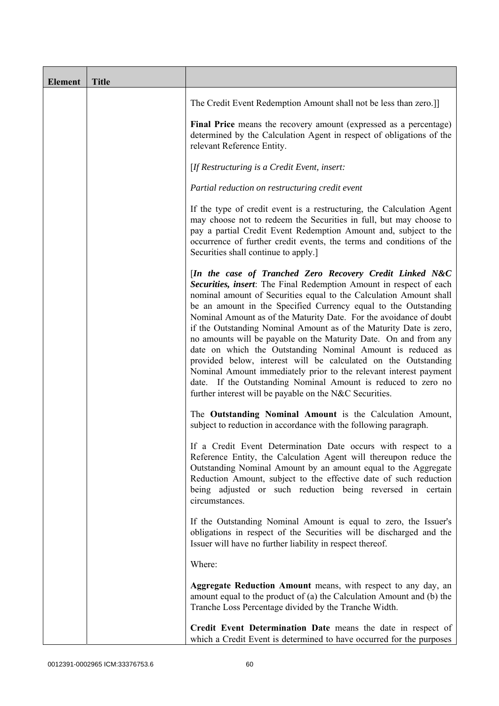| <b>Element</b> | <b>Title</b> |                                                                                                                                                                                                                                                                                                                                                                                                                                                                                                                                                                                                                                                                                                                                                                                                                          |
|----------------|--------------|--------------------------------------------------------------------------------------------------------------------------------------------------------------------------------------------------------------------------------------------------------------------------------------------------------------------------------------------------------------------------------------------------------------------------------------------------------------------------------------------------------------------------------------------------------------------------------------------------------------------------------------------------------------------------------------------------------------------------------------------------------------------------------------------------------------------------|
|                |              | The Credit Event Redemption Amount shall not be less than zero.]                                                                                                                                                                                                                                                                                                                                                                                                                                                                                                                                                                                                                                                                                                                                                         |
|                |              | Final Price means the recovery amount (expressed as a percentage)<br>determined by the Calculation Agent in respect of obligations of the<br>relevant Reference Entity.                                                                                                                                                                                                                                                                                                                                                                                                                                                                                                                                                                                                                                                  |
|                |              | [If Restructuring is a Credit Event, insert:                                                                                                                                                                                                                                                                                                                                                                                                                                                                                                                                                                                                                                                                                                                                                                             |
|                |              | Partial reduction on restructuring credit event                                                                                                                                                                                                                                                                                                                                                                                                                                                                                                                                                                                                                                                                                                                                                                          |
|                |              | If the type of credit event is a restructuring, the Calculation Agent<br>may choose not to redeem the Securities in full, but may choose to<br>pay a partial Credit Event Redemption Amount and, subject to the<br>occurrence of further credit events, the terms and conditions of the<br>Securities shall continue to apply.]                                                                                                                                                                                                                                                                                                                                                                                                                                                                                          |
|                |              | [In the case of Tranched Zero Recovery Credit Linked N&C<br>Securities, insert: The Final Redemption Amount in respect of each<br>nominal amount of Securities equal to the Calculation Amount shall<br>be an amount in the Specified Currency equal to the Outstanding<br>Nominal Amount as of the Maturity Date. For the avoidance of doubt<br>if the Outstanding Nominal Amount as of the Maturity Date is zero,<br>no amounts will be payable on the Maturity Date. On and from any<br>date on which the Outstanding Nominal Amount is reduced as<br>provided below, interest will be calculated on the Outstanding<br>Nominal Amount immediately prior to the relevant interest payment<br>date. If the Outstanding Nominal Amount is reduced to zero no<br>further interest will be payable on the N&C Securities. |
|                |              | The Outstanding Nominal Amount is the Calculation Amount,<br>subject to reduction in accordance with the following paragraph.                                                                                                                                                                                                                                                                                                                                                                                                                                                                                                                                                                                                                                                                                            |
|                |              | If a Credit Event Determination Date occurs with respect to a<br>Reference Entity, the Calculation Agent will thereupon reduce the<br>Outstanding Nominal Amount by an amount equal to the Aggregate<br>Reduction Amount, subject to the effective date of such reduction<br>being adjusted or such reduction being reversed in certain<br>circumstances.                                                                                                                                                                                                                                                                                                                                                                                                                                                                |
|                |              | If the Outstanding Nominal Amount is equal to zero, the Issuer's<br>obligations in respect of the Securities will be discharged and the<br>Issuer will have no further liability in respect thereof.                                                                                                                                                                                                                                                                                                                                                                                                                                                                                                                                                                                                                     |
|                |              | Where:                                                                                                                                                                                                                                                                                                                                                                                                                                                                                                                                                                                                                                                                                                                                                                                                                   |
|                |              | <b>Aggregate Reduction Amount</b> means, with respect to any day, an<br>amount equal to the product of (a) the Calculation Amount and (b) the<br>Tranche Loss Percentage divided by the Tranche Width.                                                                                                                                                                                                                                                                                                                                                                                                                                                                                                                                                                                                                   |
|                |              | Credit Event Determination Date means the date in respect of<br>which a Credit Event is determined to have occurred for the purposes                                                                                                                                                                                                                                                                                                                                                                                                                                                                                                                                                                                                                                                                                     |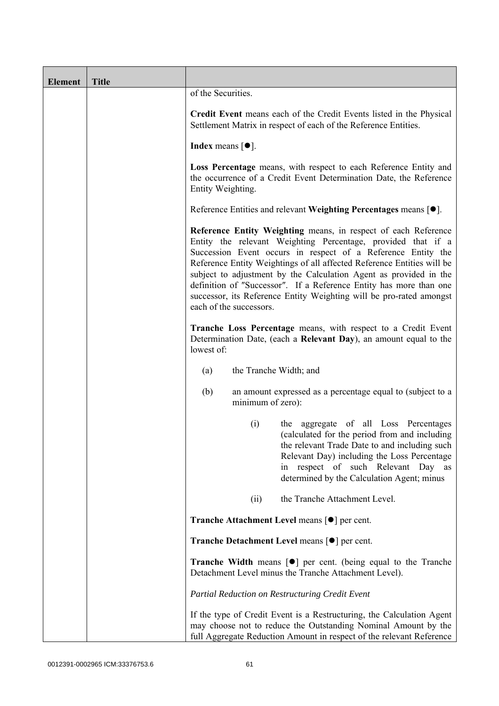| <b>Element</b> | <b>Title</b> |                                                                                                                                                                                                                                                                                                                                                                                                                                                                                                                       |
|----------------|--------------|-----------------------------------------------------------------------------------------------------------------------------------------------------------------------------------------------------------------------------------------------------------------------------------------------------------------------------------------------------------------------------------------------------------------------------------------------------------------------------------------------------------------------|
|                |              | of the Securities.                                                                                                                                                                                                                                                                                                                                                                                                                                                                                                    |
|                |              | Credit Event means each of the Credit Events listed in the Physical<br>Settlement Matrix in respect of each of the Reference Entities.                                                                                                                                                                                                                                                                                                                                                                                |
|                |              | Index means $\lceil \bullet \rceil$ .                                                                                                                                                                                                                                                                                                                                                                                                                                                                                 |
|                |              | Loss Percentage means, with respect to each Reference Entity and<br>the occurrence of a Credit Event Determination Date, the Reference<br>Entity Weighting.                                                                                                                                                                                                                                                                                                                                                           |
|                |              | Reference Entities and relevant Weighting Percentages means $[•]$ .                                                                                                                                                                                                                                                                                                                                                                                                                                                   |
|                |              | Reference Entity Weighting means, in respect of each Reference<br>Entity the relevant Weighting Percentage, provided that if a<br>Succession Event occurs in respect of a Reference Entity the<br>Reference Entity Weightings of all affected Reference Entities will be<br>subject to adjustment by the Calculation Agent as provided in the<br>definition of "Successor". If a Reference Entity has more than one<br>successor, its Reference Entity Weighting will be pro-rated amongst<br>each of the successors. |
|                |              | Tranche Loss Percentage means, with respect to a Credit Event<br>Determination Date, (each a Relevant Day), an amount equal to the<br>lowest of:                                                                                                                                                                                                                                                                                                                                                                      |
|                |              | the Tranche Width; and<br>(a)                                                                                                                                                                                                                                                                                                                                                                                                                                                                                         |
|                |              | (b)<br>an amount expressed as a percentage equal to (subject to a<br>minimum of zero):                                                                                                                                                                                                                                                                                                                                                                                                                                |
|                |              | the aggregate of all Loss Percentages<br>(i)<br>(calculated for the period from and including<br>the relevant Trade Date to and including such<br>Relevant Day) including the Loss Percentage<br>in respect of such Relevant Day as<br>determined by the Calculation Agent; minus                                                                                                                                                                                                                                     |
|                |              | the Tranche Attachment Level.<br>(ii)                                                                                                                                                                                                                                                                                                                                                                                                                                                                                 |
|                |              | <b>Tranche Attachment Level means [●] per cent.</b>                                                                                                                                                                                                                                                                                                                                                                                                                                                                   |
|                |              | Tranche Detachment Level means [ $\bullet$ ] per cent.                                                                                                                                                                                                                                                                                                                                                                                                                                                                |
|                |              | <b>Tranche Width</b> means $\lceil \bullet \rceil$ per cent. (being equal to the Tranche<br>Detachment Level minus the Tranche Attachment Level).                                                                                                                                                                                                                                                                                                                                                                     |
|                |              | Partial Reduction on Restructuring Credit Event                                                                                                                                                                                                                                                                                                                                                                                                                                                                       |
|                |              | If the type of Credit Event is a Restructuring, the Calculation Agent<br>may choose not to reduce the Outstanding Nominal Amount by the<br>full Aggregate Reduction Amount in respect of the relevant Reference                                                                                                                                                                                                                                                                                                       |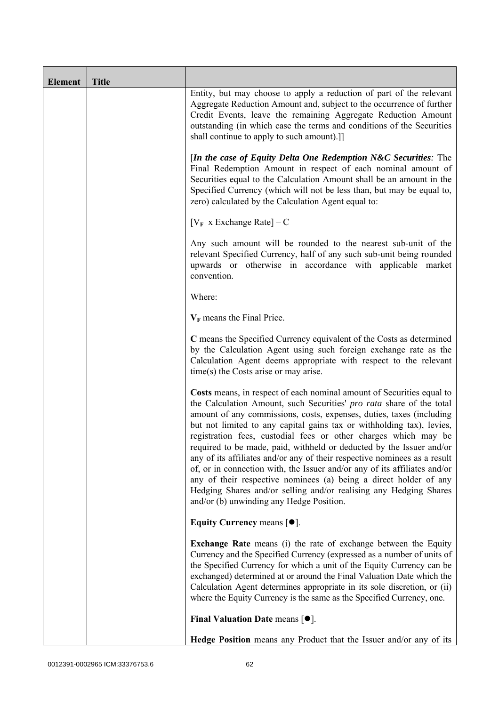| <b>Element</b> | <b>Title</b> |                                                                                                                                                                                                                                                                                                                                                                                                                                                                                                                                                                                                                                                                                                                                                                                           |
|----------------|--------------|-------------------------------------------------------------------------------------------------------------------------------------------------------------------------------------------------------------------------------------------------------------------------------------------------------------------------------------------------------------------------------------------------------------------------------------------------------------------------------------------------------------------------------------------------------------------------------------------------------------------------------------------------------------------------------------------------------------------------------------------------------------------------------------------|
|                |              | Entity, but may choose to apply a reduction of part of the relevant<br>Aggregate Reduction Amount and, subject to the occurrence of further<br>Credit Events, leave the remaining Aggregate Reduction Amount<br>outstanding (in which case the terms and conditions of the Securities<br>shall continue to apply to such amount).]                                                                                                                                                                                                                                                                                                                                                                                                                                                        |
|                |              | [In the case of Equity Delta One Redemption $N\&C$ Securities: The<br>Final Redemption Amount in respect of each nominal amount of<br>Securities equal to the Calculation Amount shall be an amount in the<br>Specified Currency (which will not be less than, but may be equal to,<br>zero) calculated by the Calculation Agent equal to:                                                                                                                                                                                                                                                                                                                                                                                                                                                |
|                |              | $[V_F \times Exchange Rate] - C$                                                                                                                                                                                                                                                                                                                                                                                                                                                                                                                                                                                                                                                                                                                                                          |
|                |              | Any such amount will be rounded to the nearest sub-unit of the<br>relevant Specified Currency, half of any such sub-unit being rounded<br>upwards or otherwise in accordance with applicable market<br>convention.                                                                                                                                                                                                                                                                                                                                                                                                                                                                                                                                                                        |
|                |              | Where:                                                                                                                                                                                                                                                                                                                                                                                                                                                                                                                                                                                                                                                                                                                                                                                    |
|                |              | $V_F$ means the Final Price.                                                                                                                                                                                                                                                                                                                                                                                                                                                                                                                                                                                                                                                                                                                                                              |
|                |              | C means the Specified Currency equivalent of the Costs as determined<br>by the Calculation Agent using such foreign exchange rate as the<br>Calculation Agent deems appropriate with respect to the relevant<br>time(s) the Costs arise or may arise.                                                                                                                                                                                                                                                                                                                                                                                                                                                                                                                                     |
|                |              | Costs means, in respect of each nominal amount of Securities equal to<br>the Calculation Amount, such Securities' pro rata share of the total<br>amount of any commissions, costs, expenses, duties, taxes (including<br>but not limited to any capital gains tax or withholding tax), levies,<br>registration fees, custodial fees or other charges which may be<br>required to be made, paid, withheld or deducted by the Issuer and/or<br>any of its affiliates and/or any of their respective nominees as a result<br>of, or in connection with, the Issuer and/or any of its affiliates and/or<br>any of their respective nominees (a) being a direct holder of any<br>Hedging Shares and/or selling and/or realising any Hedging Shares<br>and/or (b) unwinding any Hedge Position. |
|                |              | Equity Currency means $[\bullet].$                                                                                                                                                                                                                                                                                                                                                                                                                                                                                                                                                                                                                                                                                                                                                        |
|                |              | <b>Exchange Rate</b> means (i) the rate of exchange between the Equity<br>Currency and the Specified Currency (expressed as a number of units of<br>the Specified Currency for which a unit of the Equity Currency can be<br>exchanged) determined at or around the Final Valuation Date which the<br>Calculation Agent determines appropriate in its sole discretion, or (ii)<br>where the Equity Currency is the same as the Specified Currency, one.                                                                                                                                                                                                                                                                                                                                   |
|                |              | <b>Final Valuation Date means <math>\lceil \bullet \rceil</math>.</b>                                                                                                                                                                                                                                                                                                                                                                                                                                                                                                                                                                                                                                                                                                                     |
|                |              | Hedge Position means any Product that the Issuer and/or any of its                                                                                                                                                                                                                                                                                                                                                                                                                                                                                                                                                                                                                                                                                                                        |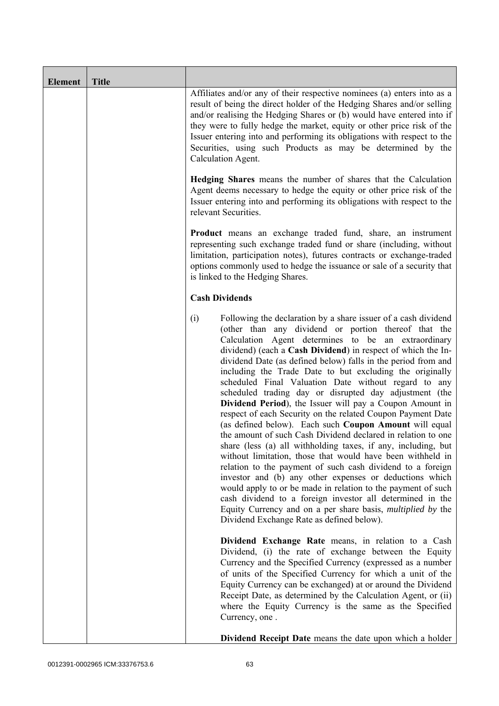| <b>Element</b> | <b>Title</b> |                                                                                                                                                                                                                                                                                                                                                                                                                                                                                                                                                                                                                                                                                                                                                                                                                                                                                                                                                                                                                                                                                                                                                                                                                                                                  |
|----------------|--------------|------------------------------------------------------------------------------------------------------------------------------------------------------------------------------------------------------------------------------------------------------------------------------------------------------------------------------------------------------------------------------------------------------------------------------------------------------------------------------------------------------------------------------------------------------------------------------------------------------------------------------------------------------------------------------------------------------------------------------------------------------------------------------------------------------------------------------------------------------------------------------------------------------------------------------------------------------------------------------------------------------------------------------------------------------------------------------------------------------------------------------------------------------------------------------------------------------------------------------------------------------------------|
|                |              | Affiliates and/or any of their respective nominees (a) enters into as a<br>result of being the direct holder of the Hedging Shares and/or selling<br>and/or realising the Hedging Shares or (b) would have entered into if<br>they were to fully hedge the market, equity or other price risk of the<br>Issuer entering into and performing its obligations with respect to the<br>Securities, using such Products as may be determined by the<br>Calculation Agent.                                                                                                                                                                                                                                                                                                                                                                                                                                                                                                                                                                                                                                                                                                                                                                                             |
|                |              | <b>Hedging Shares</b> means the number of shares that the Calculation<br>Agent deems necessary to hedge the equity or other price risk of the<br>Issuer entering into and performing its obligations with respect to the<br>relevant Securities.                                                                                                                                                                                                                                                                                                                                                                                                                                                                                                                                                                                                                                                                                                                                                                                                                                                                                                                                                                                                                 |
|                |              | <b>Product</b> means an exchange traded fund, share, an instrument<br>representing such exchange traded fund or share (including, without<br>limitation, participation notes), futures contracts or exchange-traded<br>options commonly used to hedge the issuance or sale of a security that<br>is linked to the Hedging Shares.                                                                                                                                                                                                                                                                                                                                                                                                                                                                                                                                                                                                                                                                                                                                                                                                                                                                                                                                |
|                |              | <b>Cash Dividends</b>                                                                                                                                                                                                                                                                                                                                                                                                                                                                                                                                                                                                                                                                                                                                                                                                                                                                                                                                                                                                                                                                                                                                                                                                                                            |
|                |              | (i)<br>Following the declaration by a share issuer of a cash dividend<br>(other than any dividend or portion thereof that the<br>Calculation Agent determines to be an extraordinary<br>dividend) (each a Cash Dividend) in respect of which the In-<br>dividend Date (as defined below) falls in the period from and<br>including the Trade Date to but excluding the originally<br>scheduled Final Valuation Date without regard to any<br>scheduled trading day or disrupted day adjustment (the<br>Dividend Period), the Issuer will pay a Coupon Amount in<br>respect of each Security on the related Coupon Payment Date<br>(as defined below). Each such Coupon Amount will equal<br>the amount of such Cash Dividend declared in relation to one<br>share (less (a) all withholding taxes, if any, including, but<br>without limitation, those that would have been withheld in<br>relation to the payment of such cash dividend to a foreign<br>investor and (b) any other expenses or deductions which<br>would apply to or be made in relation to the payment of such<br>cash dividend to a foreign investor all determined in the<br>Equity Currency and on a per share basis, <i>multiplied by</i> the<br>Dividend Exchange Rate as defined below). |
|                |              | Dividend Exchange Rate means, in relation to a Cash<br>Dividend, (i) the rate of exchange between the Equity<br>Currency and the Specified Currency (expressed as a number<br>of units of the Specified Currency for which a unit of the<br>Equity Currency can be exchanged) at or around the Dividend<br>Receipt Date, as determined by the Calculation Agent, or (ii)<br>where the Equity Currency is the same as the Specified<br>Currency, one.                                                                                                                                                                                                                                                                                                                                                                                                                                                                                                                                                                                                                                                                                                                                                                                                             |
|                |              | <b>Dividend Receipt Date</b> means the date upon which a holder                                                                                                                                                                                                                                                                                                                                                                                                                                                                                                                                                                                                                                                                                                                                                                                                                                                                                                                                                                                                                                                                                                                                                                                                  |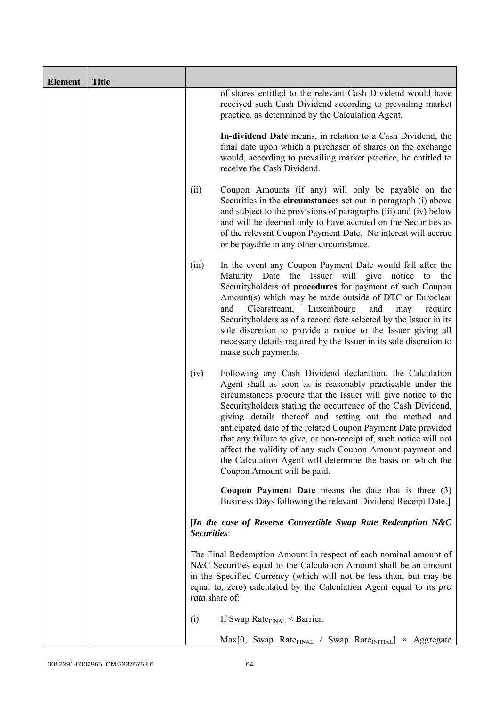| <b>Element</b> | <b>Title</b> |                |                                                                                                                                                                                                                                                                                                                                                                                                                                                                                                                                                                                                                  |
|----------------|--------------|----------------|------------------------------------------------------------------------------------------------------------------------------------------------------------------------------------------------------------------------------------------------------------------------------------------------------------------------------------------------------------------------------------------------------------------------------------------------------------------------------------------------------------------------------------------------------------------------------------------------------------------|
|                |              |                | of shares entitled to the relevant Cash Dividend would have<br>received such Cash Dividend according to prevailing market<br>practice, as determined by the Calculation Agent.                                                                                                                                                                                                                                                                                                                                                                                                                                   |
|                |              |                | In-dividend Date means, in relation to a Cash Dividend, the<br>final date upon which a purchaser of shares on the exchange<br>would, according to prevailing market practice, be entitled to<br>receive the Cash Dividend.                                                                                                                                                                                                                                                                                                                                                                                       |
|                |              | (ii)           | Coupon Amounts (if any) will only be payable on the<br>Securities in the <b>circumstances</b> set out in paragraph (i) above<br>and subject to the provisions of paragraphs (iii) and (iv) below<br>and will be deemed only to have accrued on the Securities as<br>of the relevant Coupon Payment Date. No interest will accrue<br>or be payable in any other circumstance.                                                                                                                                                                                                                                     |
|                |              | (iii)          | In the event any Coupon Payment Date would fall after the<br>Maturity Date the Issuer will give notice to the<br>Securityholders of procedures for payment of such Coupon<br>Amount(s) which may be made outside of DTC or Euroclear<br>Clearstream,<br>Luxembourg<br>and<br>and<br>may<br>require<br>Securityholders as of a record date selected by the Issuer in its<br>sole discretion to provide a notice to the Issuer giving all<br>necessary details required by the Issuer in its sole discretion to<br>make such payments.                                                                             |
|                |              | (iv)           | Following any Cash Dividend declaration, the Calculation<br>Agent shall as soon as is reasonably practicable under the<br>circumstances procure that the Issuer will give notice to the<br>Securityholders stating the occurrence of the Cash Dividend,<br>giving details thereof and setting out the method and<br>anticipated date of the related Coupon Payment Date provided<br>that any failure to give, or non-receipt of, such notice will not<br>affect the validity of any such Coupon Amount payment and<br>the Calculation Agent will determine the basis on which the<br>Coupon Amount will be paid. |
|                |              |                | <b>Coupon Payment Date</b> means the date that is three (3)<br>Business Days following the relevant Dividend Receipt Date.]                                                                                                                                                                                                                                                                                                                                                                                                                                                                                      |
|                |              | Securities:    | [In the case of Reverse Convertible Swap Rate Redemption N&C                                                                                                                                                                                                                                                                                                                                                                                                                                                                                                                                                     |
|                |              | rata share of: | The Final Redemption Amount in respect of each nominal amount of<br>N&C Securities equal to the Calculation Amount shall be an amount<br>in the Specified Currency (which will not be less than, but may be<br>equal to, zero) calculated by the Calculation Agent equal to its <i>pro</i>                                                                                                                                                                                                                                                                                                                       |
|                |              | (i)            | If Swap Rate $_{\text{FINAL}}$ < Barrier:                                                                                                                                                                                                                                                                                                                                                                                                                                                                                                                                                                        |
|                |              |                | $Max[0, Swap Rate_{FINAL} / Swap Rate_{INITIAL}] \times Aggregate$                                                                                                                                                                                                                                                                                                                                                                                                                                                                                                                                               |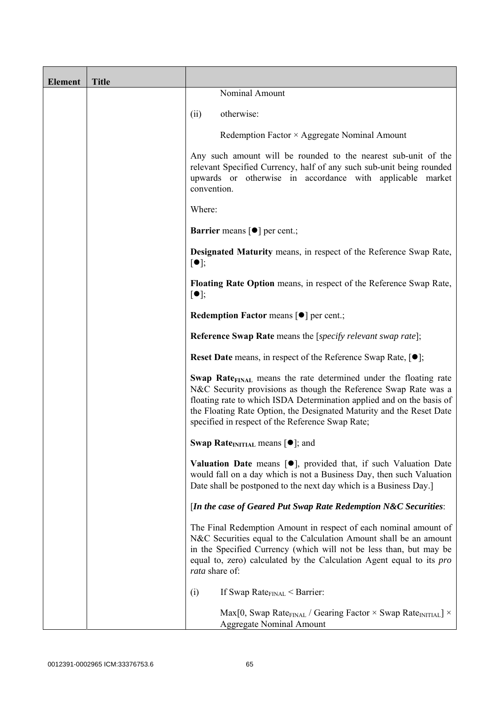| <b>Element</b> | <b>Title</b> |                                                                                                                                                                                                                                                                                                                                                             |
|----------------|--------------|-------------------------------------------------------------------------------------------------------------------------------------------------------------------------------------------------------------------------------------------------------------------------------------------------------------------------------------------------------------|
|                |              | Nominal Amount                                                                                                                                                                                                                                                                                                                                              |
|                |              | otherwise:<br>(ii)                                                                                                                                                                                                                                                                                                                                          |
|                |              | Redemption Factor × Aggregate Nominal Amount                                                                                                                                                                                                                                                                                                                |
|                |              | Any such amount will be rounded to the nearest sub-unit of the<br>relevant Specified Currency, half of any such sub-unit being rounded<br>upwards or otherwise in accordance with applicable market<br>convention.                                                                                                                                          |
|                |              | Where:                                                                                                                                                                                                                                                                                                                                                      |
|                |              | <b>Barrier</b> means $\lceil \bullet \rceil$ per cent.;                                                                                                                                                                                                                                                                                                     |
|                |              | <b>Designated Maturity means, in respect of the Reference Swap Rate,</b><br>$[\bullet]$ ;                                                                                                                                                                                                                                                                   |
|                |              | Floating Rate Option means, in respect of the Reference Swap Rate,<br>$[\bullet]$ ;                                                                                                                                                                                                                                                                         |
|                |              | Redemption Factor means [ $\bullet$ ] per cent.;                                                                                                                                                                                                                                                                                                            |
|                |              | <b>Reference Swap Rate</b> means the [ <i>specify relevant swap rate</i> ];                                                                                                                                                                                                                                                                                 |
|                |              | <b>Reset Date</b> means, in respect of the Reference Swap Rate, $[•]$ ;                                                                                                                                                                                                                                                                                     |
|                |              | <b>Swap Rate</b> <sub>FINAL</sub> means the rate determined under the floating rate<br>N&C Security provisions as though the Reference Swap Rate was a<br>floating rate to which ISDA Determination applied and on the basis of<br>the Floating Rate Option, the Designated Maturity and the Reset Date<br>specified in respect of the Reference Swap Rate; |
|                |              | Swap Rate <sub>INITIAL</sub> means $[•]$ ; and                                                                                                                                                                                                                                                                                                              |
|                |              | Valuation Date means [ $\bullet$ ], provided that, if such Valuation Date<br>would fall on a day which is not a Business Day, then such Valuation<br>Date shall be postponed to the next day which is a Business Day.]                                                                                                                                      |
|                |              | [In the case of Geared Put Swap Rate Redemption N&C Securities:                                                                                                                                                                                                                                                                                             |
|                |              | The Final Redemption Amount in respect of each nominal amount of<br>N&C Securities equal to the Calculation Amount shall be an amount<br>in the Specified Currency (which will not be less than, but may be<br>equal to, zero) calculated by the Calculation Agent equal to its <i>pro</i><br>rata share of:                                                |
|                |              | If Swap Rate $_{\text{FINAL}}$ < Barrier:<br>(i)                                                                                                                                                                                                                                                                                                            |
|                |              | Max[0, Swap Rate <sub>FINAL</sub> / Gearing Factor $\times$ Swap Rate <sub>INITIAL</sub> ] $\times$<br><b>Aggregate Nominal Amount</b>                                                                                                                                                                                                                      |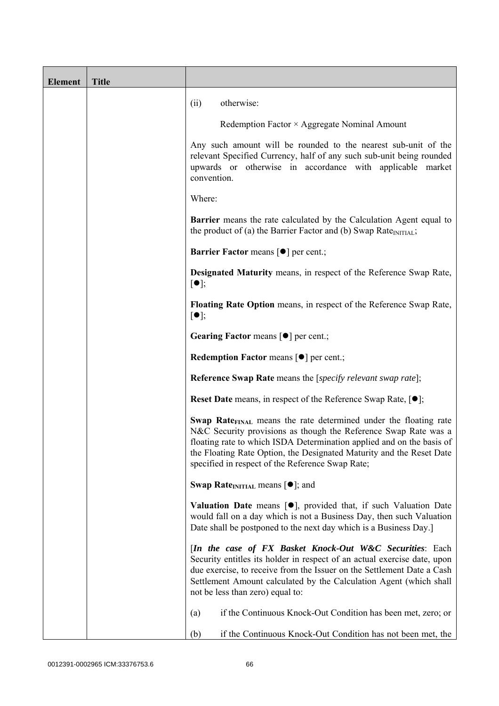| <b>Element</b> | <b>Title</b> |                                                                                                                                                                                                                                                                                                                                                             |
|----------------|--------------|-------------------------------------------------------------------------------------------------------------------------------------------------------------------------------------------------------------------------------------------------------------------------------------------------------------------------------------------------------------|
|                |              | otherwise:<br>(ii)                                                                                                                                                                                                                                                                                                                                          |
|                |              | Redemption Factor × Aggregate Nominal Amount                                                                                                                                                                                                                                                                                                                |
|                |              | Any such amount will be rounded to the nearest sub-unit of the<br>relevant Specified Currency, half of any such sub-unit being rounded<br>upwards or otherwise in accordance with applicable market<br>convention.                                                                                                                                          |
|                |              | Where:                                                                                                                                                                                                                                                                                                                                                      |
|                |              | Barrier means the rate calculated by the Calculation Agent equal to<br>the product of (a) the Barrier Factor and (b) Swap Rate $_{\text{INITIAL}}$ ;                                                                                                                                                                                                        |
|                |              | <b>Barrier Factor means [O] per cent.;</b>                                                                                                                                                                                                                                                                                                                  |
|                |              | <b>Designated Maturity means, in respect of the Reference Swap Rate,</b><br>$[\bullet]$ ;                                                                                                                                                                                                                                                                   |
|                |              | Floating Rate Option means, in respect of the Reference Swap Rate,<br>$[\bullet]$ ;                                                                                                                                                                                                                                                                         |
|                |              | Gearing Factor means [ $\bullet$ ] per cent.;                                                                                                                                                                                                                                                                                                               |
|                |              | Redemption Factor means [ $\bullet$ ] per cent.;                                                                                                                                                                                                                                                                                                            |
|                |              | <b>Reference Swap Rate</b> means the [specify relevant swap rate];                                                                                                                                                                                                                                                                                          |
|                |              | <b>Reset Date</b> means, in respect of the Reference Swap Rate, $[•]$ ;                                                                                                                                                                                                                                                                                     |
|                |              | <b>Swap Rate</b> <sub>FINAL</sub> means the rate determined under the floating rate<br>N&C Security provisions as though the Reference Swap Rate was a<br>floating rate to which ISDA Determination applied and on the basis of<br>the Floating Rate Option, the Designated Maturity and the Reset Date<br>specified in respect of the Reference Swap Rate; |
|                |              | <b>Swap Rate</b> <sub>INITIAL</sub> means $[\bullet]$ ; and                                                                                                                                                                                                                                                                                                 |
|                |              | <b>Valuation Date</b> means $[\bullet]$ , provided that, if such Valuation Date<br>would fall on a day which is not a Business Day, then such Valuation<br>Date shall be postponed to the next day which is a Business Day.]                                                                                                                                |
|                |              | [In the case of FX Basket Knock-Out W&C Securities: Each<br>Security entitles its holder in respect of an actual exercise date, upon<br>due exercise, to receive from the Issuer on the Settlement Date a Cash<br>Settlement Amount calculated by the Calculation Agent (which shall<br>not be less than zero) equal to:                                    |
|                |              | if the Continuous Knock-Out Condition has been met, zero; or<br>(a)                                                                                                                                                                                                                                                                                         |
|                |              | if the Continuous Knock-Out Condition has not been met, the<br>(b)                                                                                                                                                                                                                                                                                          |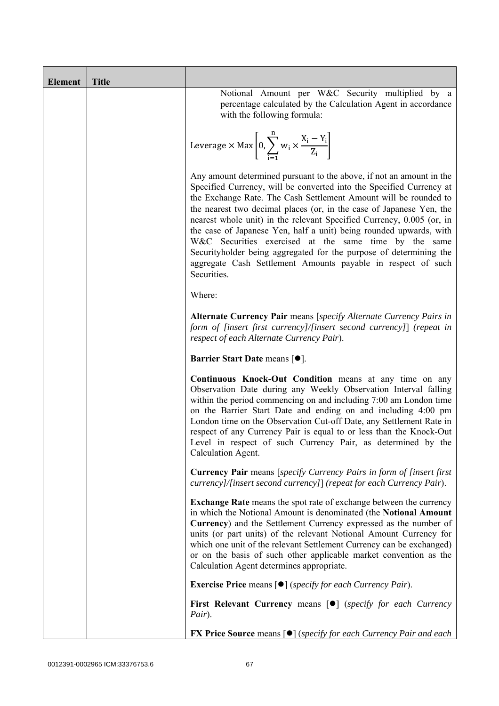| <b>Element</b> | <b>Title</b> |                                                                                                                                                                                                                                                                                                                                                                                                                                                                                                                                                                                                                                                       |
|----------------|--------------|-------------------------------------------------------------------------------------------------------------------------------------------------------------------------------------------------------------------------------------------------------------------------------------------------------------------------------------------------------------------------------------------------------------------------------------------------------------------------------------------------------------------------------------------------------------------------------------------------------------------------------------------------------|
|                |              | Notional Amount per W&C Security multiplied by a<br>percentage calculated by the Calculation Agent in accordance<br>with the following formula:                                                                                                                                                                                                                                                                                                                                                                                                                                                                                                       |
|                |              | Leverage $\times$ Max $\left  0, \sum_{i=1}^{n} w_i \times \frac{X_i - Y_i}{Z_i} \right $                                                                                                                                                                                                                                                                                                                                                                                                                                                                                                                                                             |
|                |              | Any amount determined pursuant to the above, if not an amount in the<br>Specified Currency, will be converted into the Specified Currency at<br>the Exchange Rate. The Cash Settlement Amount will be rounded to<br>the nearest two decimal places (or, in the case of Japanese Yen, the<br>nearest whole unit) in the relevant Specified Currency, 0.005 (or, in<br>the case of Japanese Yen, half a unit) being rounded upwards, with<br>W&C Securities exercised at the same time by the same<br>Securityholder being aggregated for the purpose of determining the<br>aggregate Cash Settlement Amounts payable in respect of such<br>Securities. |
|                |              | Where:                                                                                                                                                                                                                                                                                                                                                                                                                                                                                                                                                                                                                                                |
|                |              | Alternate Currency Pair means [specify Alternate Currency Pairs in<br>form of [insert first currency]/[insert second currency]] (repeat in<br>respect of each Alternate Currency Pair).                                                                                                                                                                                                                                                                                                                                                                                                                                                               |
|                |              | Barrier Start Date means [ $\bullet$ ].                                                                                                                                                                                                                                                                                                                                                                                                                                                                                                                                                                                                               |
|                |              | Continuous Knock-Out Condition means at any time on any<br>Observation Date during any Weekly Observation Interval falling<br>within the period commencing on and including 7:00 am London time<br>on the Barrier Start Date and ending on and including 4:00 pm<br>London time on the Observation Cut-off Date, any Settlement Rate in<br>respect of any Currency Pair is equal to or less than the Knock-Out<br>Level in respect of such Currency Pair, as determined by the<br>Calculation Agent.                                                                                                                                                  |
|                |              | <b>Currency Pair</b> means [specify Currency Pairs in form of [insert first]<br>currency]/[insert second currency]] (repeat for each Currency Pair).                                                                                                                                                                                                                                                                                                                                                                                                                                                                                                  |
|                |              | <b>Exchange Rate</b> means the spot rate of exchange between the currency<br>in which the Notional Amount is denominated (the Notional Amount<br>Currency) and the Settlement Currency expressed as the number of<br>units (or part units) of the relevant Notional Amount Currency for<br>which one unit of the relevant Settlement Currency can be exchanged)<br>or on the basis of such other applicable market convention as the<br>Calculation Agent determines appropriate.                                                                                                                                                                     |
|                |              | <b>Exercise Price</b> means $\lceil \bullet \rceil$ ( <i>specify for each Currency Pair</i> ).                                                                                                                                                                                                                                                                                                                                                                                                                                                                                                                                                        |
|                |              | <b>First Relevant Currency means [O]</b> (specify for each Currency<br>Pair).                                                                                                                                                                                                                                                                                                                                                                                                                                                                                                                                                                         |
|                |              | <b>FX Price Source means [<math>\bullet</math>]</b> (specify for each Currency Pair and each                                                                                                                                                                                                                                                                                                                                                                                                                                                                                                                                                          |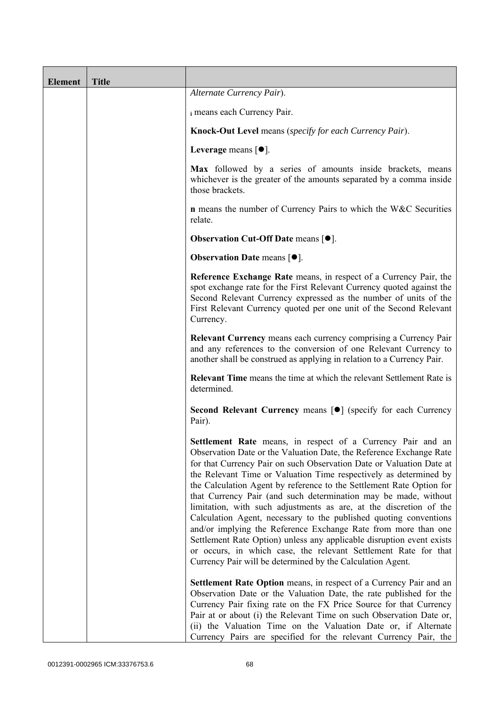| <b>Element</b> | <b>Title</b> |                                                                                                                                                                                                                                                                                                                                                                                                                                                                                                                                                                                                                                                                                                                                                                                                                                                   |
|----------------|--------------|---------------------------------------------------------------------------------------------------------------------------------------------------------------------------------------------------------------------------------------------------------------------------------------------------------------------------------------------------------------------------------------------------------------------------------------------------------------------------------------------------------------------------------------------------------------------------------------------------------------------------------------------------------------------------------------------------------------------------------------------------------------------------------------------------------------------------------------------------|
|                |              | Alternate Currency Pair).                                                                                                                                                                                                                                                                                                                                                                                                                                                                                                                                                                                                                                                                                                                                                                                                                         |
|                |              | i means each Currency Pair.                                                                                                                                                                                                                                                                                                                                                                                                                                                                                                                                                                                                                                                                                                                                                                                                                       |
|                |              | Knock-Out Level means (specify for each Currency Pair).                                                                                                                                                                                                                                                                                                                                                                                                                                                                                                                                                                                                                                                                                                                                                                                           |
|                |              | Leverage means $[•]$ .                                                                                                                                                                                                                                                                                                                                                                                                                                                                                                                                                                                                                                                                                                                                                                                                                            |
|                |              | Max followed by a series of amounts inside brackets, means<br>whichever is the greater of the amounts separated by a comma inside<br>those brackets.                                                                                                                                                                                                                                                                                                                                                                                                                                                                                                                                                                                                                                                                                              |
|                |              | <b>n</b> means the number of Currency Pairs to which the W&C Securities<br>relate.                                                                                                                                                                                                                                                                                                                                                                                                                                                                                                                                                                                                                                                                                                                                                                |
|                |              | <b>Observation Cut-Off Date means [<math>\bullet</math>].</b>                                                                                                                                                                                                                                                                                                                                                                                                                                                                                                                                                                                                                                                                                                                                                                                     |
|                |              | <b>Observation Date means <math>[•]</math>.</b>                                                                                                                                                                                                                                                                                                                                                                                                                                                                                                                                                                                                                                                                                                                                                                                                   |
|                |              | Reference Exchange Rate means, in respect of a Currency Pair, the<br>spot exchange rate for the First Relevant Currency quoted against the<br>Second Relevant Currency expressed as the number of units of the<br>First Relevant Currency quoted per one unit of the Second Relevant<br>Currency.                                                                                                                                                                                                                                                                                                                                                                                                                                                                                                                                                 |
|                |              | Relevant Currency means each currency comprising a Currency Pair<br>and any references to the conversion of one Relevant Currency to<br>another shall be construed as applying in relation to a Currency Pair.                                                                                                                                                                                                                                                                                                                                                                                                                                                                                                                                                                                                                                    |
|                |              | <b>Relevant Time</b> means the time at which the relevant Settlement Rate is<br>determined.                                                                                                                                                                                                                                                                                                                                                                                                                                                                                                                                                                                                                                                                                                                                                       |
|                |              | Second Relevant Currency means [ $\bullet$ ] (specify for each Currency<br>Pair).                                                                                                                                                                                                                                                                                                                                                                                                                                                                                                                                                                                                                                                                                                                                                                 |
|                |              | Settlement Rate means, in respect of a Currency Pair and an<br>Observation Date or the Valuation Date, the Reference Exchange Rate<br>for that Currency Pair on such Observation Date or Valuation Date at<br>the Relevant Time or Valuation Time respectively as determined by<br>the Calculation Agent by reference to the Settlement Rate Option for<br>that Currency Pair (and such determination may be made, without<br>limitation, with such adjustments as are, at the discretion of the<br>Calculation Agent, necessary to the published quoting conventions<br>and/or implying the Reference Exchange Rate from more than one<br>Settlement Rate Option) unless any applicable disruption event exists<br>or occurs, in which case, the relevant Settlement Rate for that<br>Currency Pair will be determined by the Calculation Agent. |
|                |              | <b>Settlement Rate Option</b> means, in respect of a Currency Pair and an<br>Observation Date or the Valuation Date, the rate published for the<br>Currency Pair fixing rate on the FX Price Source for that Currency<br>Pair at or about (i) the Relevant Time on such Observation Date or,<br>(ii) the Valuation Time on the Valuation Date or, if Alternate<br>Currency Pairs are specified for the relevant Currency Pair, the                                                                                                                                                                                                                                                                                                                                                                                                                |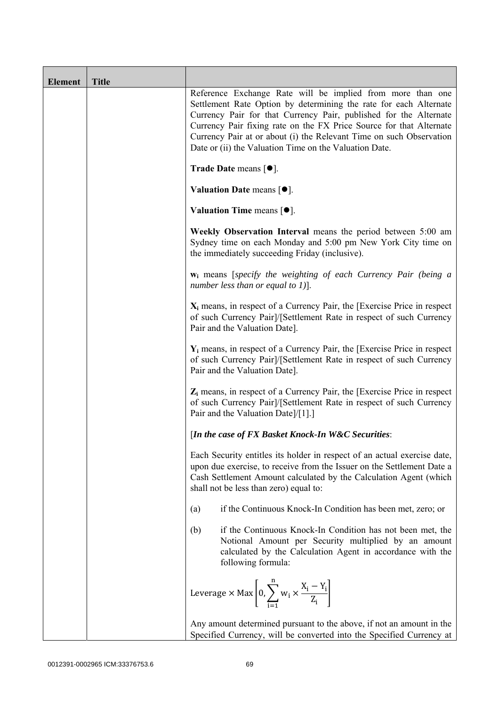| <b>Element</b> | <b>Title</b> |                                                                                                                                                                                                                                                                                                                                                                                                              |
|----------------|--------------|--------------------------------------------------------------------------------------------------------------------------------------------------------------------------------------------------------------------------------------------------------------------------------------------------------------------------------------------------------------------------------------------------------------|
|                |              | Reference Exchange Rate will be implied from more than one<br>Settlement Rate Option by determining the rate for each Alternate<br>Currency Pair for that Currency Pair, published for the Alternate<br>Currency Pair fixing rate on the FX Price Source for that Alternate<br>Currency Pair at or about (i) the Relevant Time on such Observation<br>Date or (ii) the Valuation Time on the Valuation Date. |
|                |              | <b>Trade Date means <math>\lceil \bullet \rceil</math>.</b>                                                                                                                                                                                                                                                                                                                                                  |
|                |              | Valuation Date means $[•]$ .                                                                                                                                                                                                                                                                                                                                                                                 |
|                |              | Valuation Time means $[•]$ .                                                                                                                                                                                                                                                                                                                                                                                 |
|                |              | Weekly Observation Interval means the period between 5:00 am<br>Sydney time on each Monday and 5:00 pm New York City time on<br>the immediately succeeding Friday (inclusive).                                                                                                                                                                                                                               |
|                |              | w <sub>i</sub> means [specify the weighting of each Currency Pair (being a<br>number less than or equal to 1)].                                                                                                                                                                                                                                                                                              |
|                |              | $X_i$ means, in respect of a Currency Pair, the [Exercise Price in respect<br>of such Currency Pair]/[Settlement Rate in respect of such Currency<br>Pair and the Valuation Date].                                                                                                                                                                                                                           |
|                |              | $Y_i$ means, in respect of a Currency Pair, the [Exercise Price in respect<br>of such Currency Pair]/[Settlement Rate in respect of such Currency<br>Pair and the Valuation Date].                                                                                                                                                                                                                           |
|                |              | $Z_i$ means, in respect of a Currency Pair, the [Exercise Price in respect<br>of such Currency Pair]/[Settlement Rate in respect of such Currency<br>Pair and the Valuation Date]/[1].]                                                                                                                                                                                                                      |
|                |              | [In the case of FX Basket Knock-In W&C Securities:                                                                                                                                                                                                                                                                                                                                                           |
|                |              | Each Security entitles its holder in respect of an actual exercise date,<br>upon due exercise, to receive from the Issuer on the Settlement Date a<br>Cash Settlement Amount calculated by the Calculation Agent (which<br>shall not be less than zero) equal to:                                                                                                                                            |
|                |              | if the Continuous Knock-In Condition has been met, zero; or<br>(a)                                                                                                                                                                                                                                                                                                                                           |
|                |              | if the Continuous Knock-In Condition has not been met, the<br>(b)<br>Notional Amount per Security multiplied by an amount<br>calculated by the Calculation Agent in accordance with the<br>following formula:                                                                                                                                                                                                |
|                |              | Leverage $\times$ Max $\left  0, \sum_{i=1}^{n} w_i \times \frac{X_i - Y_i}{Z_i} \right $                                                                                                                                                                                                                                                                                                                    |
|                |              | Any amount determined pursuant to the above, if not an amount in the<br>Specified Currency, will be converted into the Specified Currency at                                                                                                                                                                                                                                                                 |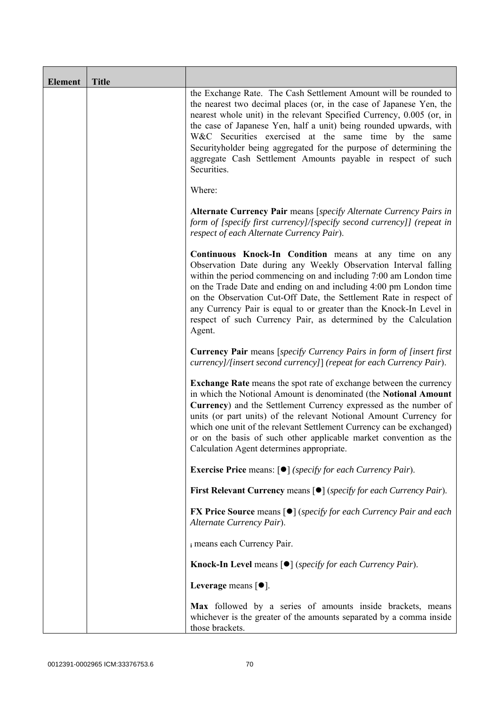| <b>Element</b> | <b>Title</b> |                                                                                                                                                                                                                                                                                                                                                                                                                                                                                                       |
|----------------|--------------|-------------------------------------------------------------------------------------------------------------------------------------------------------------------------------------------------------------------------------------------------------------------------------------------------------------------------------------------------------------------------------------------------------------------------------------------------------------------------------------------------------|
|                |              | the Exchange Rate. The Cash Settlement Amount will be rounded to<br>the nearest two decimal places (or, in the case of Japanese Yen, the<br>nearest whole unit) in the relevant Specified Currency, 0.005 (or, in<br>the case of Japanese Yen, half a unit) being rounded upwards, with<br>W&C Securities exercised at the same time by the same<br>Securityholder being aggregated for the purpose of determining the<br>aggregate Cash Settlement Amounts payable in respect of such<br>Securities. |
|                |              | Where:                                                                                                                                                                                                                                                                                                                                                                                                                                                                                                |
|                |              | Alternate Currency Pair means [specify Alternate Currency Pairs in<br>form of [specify first currency]/[specify second currency]] (repeat in<br>respect of each Alternate Currency Pair).                                                                                                                                                                                                                                                                                                             |
|                |              | Continuous Knock-In Condition means at any time on any<br>Observation Date during any Weekly Observation Interval falling<br>within the period commencing on and including 7:00 am London time<br>on the Trade Date and ending on and including 4:00 pm London time<br>on the Observation Cut-Off Date, the Settlement Rate in respect of<br>any Currency Pair is equal to or greater than the Knock-In Level in<br>respect of such Currency Pair, as determined by the Calculation<br>Agent.         |
|                |              | <b>Currency Pair</b> means [specify Currency Pairs in form of [insert first<br>currency]/[insert second currency]] (repeat for each Currency Pair).                                                                                                                                                                                                                                                                                                                                                   |
|                |              | <b>Exchange Rate</b> means the spot rate of exchange between the currency<br>in which the Notional Amount is denominated (the Notional Amount<br>Currency) and the Settlement Currency expressed as the number of<br>units (or part units) of the relevant Notional Amount Currency for<br>which one unit of the relevant Settlement Currency can be exchanged)<br>or on the basis of such other applicable market convention as the<br>Calculation Agent determines appropriate.                     |
|                |              | <b>Exercise Price</b> means: [ $\bullet$ ] (specify for each Currency Pair).                                                                                                                                                                                                                                                                                                                                                                                                                          |
|                |              | <b>First Relevant Currency means [<math>\bullet</math>]</b> ( <i>specify for each Currency Pair</i> ).                                                                                                                                                                                                                                                                                                                                                                                                |
|                |              | <b>FX Price Source means [<math>\bullet</math>]</b> (specify for each Currency Pair and each<br>Alternate Currency Pair).                                                                                                                                                                                                                                                                                                                                                                             |
|                |              | i means each Currency Pair.                                                                                                                                                                                                                                                                                                                                                                                                                                                                           |
|                |              | <b>Knock-In Level means <math>\lceil \bullet \rceil</math> (specify for each Currency Pair).</b>                                                                                                                                                                                                                                                                                                                                                                                                      |
|                |              | Leverage means $[•]$ .                                                                                                                                                                                                                                                                                                                                                                                                                                                                                |
|                |              | Max followed by a series of amounts inside brackets, means<br>whichever is the greater of the amounts separated by a comma inside<br>those brackets.                                                                                                                                                                                                                                                                                                                                                  |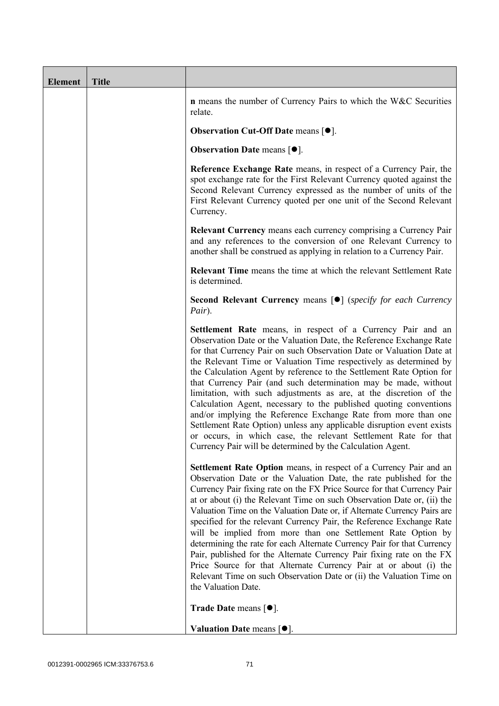| <b>Element</b> | <b>Title</b> |                                                                                                                                                                                                                                                                                                                                                                                                                                                                                                                                                                                                                                                                                                                                                                                                                                                   |
|----------------|--------------|---------------------------------------------------------------------------------------------------------------------------------------------------------------------------------------------------------------------------------------------------------------------------------------------------------------------------------------------------------------------------------------------------------------------------------------------------------------------------------------------------------------------------------------------------------------------------------------------------------------------------------------------------------------------------------------------------------------------------------------------------------------------------------------------------------------------------------------------------|
|                |              | <b>n</b> means the number of Currency Pairs to which the W&C Securities<br>relate.                                                                                                                                                                                                                                                                                                                                                                                                                                                                                                                                                                                                                                                                                                                                                                |
|                |              | <b>Observation Cut-Off Date means <math>[•]</math>.</b>                                                                                                                                                                                                                                                                                                                                                                                                                                                                                                                                                                                                                                                                                                                                                                                           |
|                |              | <b>Observation Date means <math>\lceil \bullet \rceil</math>.</b>                                                                                                                                                                                                                                                                                                                                                                                                                                                                                                                                                                                                                                                                                                                                                                                 |
|                |              | Reference Exchange Rate means, in respect of a Currency Pair, the<br>spot exchange rate for the First Relevant Currency quoted against the<br>Second Relevant Currency expressed as the number of units of the<br>First Relevant Currency quoted per one unit of the Second Relevant<br>Currency.                                                                                                                                                                                                                                                                                                                                                                                                                                                                                                                                                 |
|                |              | <b>Relevant Currency</b> means each currency comprising a Currency Pair<br>and any references to the conversion of one Relevant Currency to<br>another shall be construed as applying in relation to a Currency Pair.                                                                                                                                                                                                                                                                                                                                                                                                                                                                                                                                                                                                                             |
|                |              | <b>Relevant Time</b> means the time at which the relevant Settlement Rate<br>is determined.                                                                                                                                                                                                                                                                                                                                                                                                                                                                                                                                                                                                                                                                                                                                                       |
|                |              | <b>Second Relevant Currency means [O]</b> (specify for each Currency<br>Pair).                                                                                                                                                                                                                                                                                                                                                                                                                                                                                                                                                                                                                                                                                                                                                                    |
|                |              | Settlement Rate means, in respect of a Currency Pair and an<br>Observation Date or the Valuation Date, the Reference Exchange Rate<br>for that Currency Pair on such Observation Date or Valuation Date at<br>the Relevant Time or Valuation Time respectively as determined by<br>the Calculation Agent by reference to the Settlement Rate Option for<br>that Currency Pair (and such determination may be made, without<br>limitation, with such adjustments as are, at the discretion of the<br>Calculation Agent, necessary to the published quoting conventions<br>and/or implying the Reference Exchange Rate from more than one<br>Settlement Rate Option) unless any applicable disruption event exists<br>or occurs, in which case, the relevant Settlement Rate for that<br>Currency Pair will be determined by the Calculation Agent. |
|                |              | Settlement Rate Option means, in respect of a Currency Pair and an<br>Observation Date or the Valuation Date, the rate published for the<br>Currency Pair fixing rate on the FX Price Source for that Currency Pair<br>at or about (i) the Relevant Time on such Observation Date or, (ii) the<br>Valuation Time on the Valuation Date or, if Alternate Currency Pairs are<br>specified for the relevant Currency Pair, the Reference Exchange Rate<br>will be implied from more than one Settlement Rate Option by<br>determining the rate for each Alternate Currency Pair for that Currency<br>Pair, published for the Alternate Currency Pair fixing rate on the FX<br>Price Source for that Alternate Currency Pair at or about (i) the<br>Relevant Time on such Observation Date or (ii) the Valuation Time on<br>the Valuation Date.       |
|                |              | <b>Trade Date means <math>\lceil \bullet \rceil</math>.</b>                                                                                                                                                                                                                                                                                                                                                                                                                                                                                                                                                                                                                                                                                                                                                                                       |
|                |              | Valuation Date means $[•]$ .                                                                                                                                                                                                                                                                                                                                                                                                                                                                                                                                                                                                                                                                                                                                                                                                                      |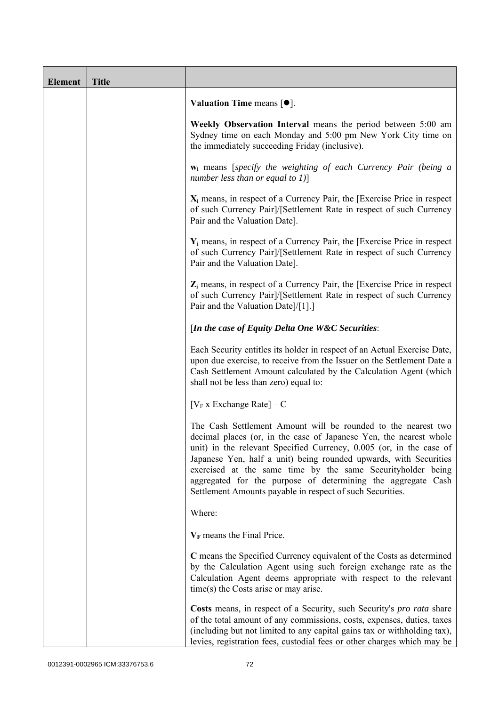| <b>Element</b> | <b>Title</b> |                                                                                                                                                                                                                                                                                                                                                                                                                                                                             |
|----------------|--------------|-----------------------------------------------------------------------------------------------------------------------------------------------------------------------------------------------------------------------------------------------------------------------------------------------------------------------------------------------------------------------------------------------------------------------------------------------------------------------------|
|                |              | Valuation Time means $[\bullet].$                                                                                                                                                                                                                                                                                                                                                                                                                                           |
|                |              | Weekly Observation Interval means the period between 5:00 am<br>Sydney time on each Monday and 5:00 pm New York City time on<br>the immediately succeeding Friday (inclusive).                                                                                                                                                                                                                                                                                              |
|                |              | $w_i$ means [specify the weighting of each Currency Pair (being a<br>number less than or equal to $1$ )]                                                                                                                                                                                                                                                                                                                                                                    |
|                |              | $X_i$ means, in respect of a Currency Pair, the [Exercise Price in respect<br>of such Currency Pair]/[Settlement Rate in respect of such Currency<br>Pair and the Valuation Date].                                                                                                                                                                                                                                                                                          |
|                |              | $Y_i$ means, in respect of a Currency Pair, the [Exercise Price in respect]<br>of such Currency Pair]/[Settlement Rate in respect of such Currency<br>Pair and the Valuation Date].                                                                                                                                                                                                                                                                                         |
|                |              | $Z_i$ means, in respect of a Currency Pair, the [Exercise Price in respect<br>of such Currency Pair]/[Settlement Rate in respect of such Currency<br>Pair and the Valuation Date]/[1].]                                                                                                                                                                                                                                                                                     |
|                |              | [In the case of Equity Delta One W&C Securities:                                                                                                                                                                                                                                                                                                                                                                                                                            |
|                |              | Each Security entitles its holder in respect of an Actual Exercise Date,<br>upon due exercise, to receive from the Issuer on the Settlement Date a<br>Cash Settlement Amount calculated by the Calculation Agent (which<br>shall not be less than zero) equal to:                                                                                                                                                                                                           |
|                |              | [ $V_F$ x Exchange Rate] – C                                                                                                                                                                                                                                                                                                                                                                                                                                                |
|                |              | The Cash Settlement Amount will be rounded to the nearest two<br>decimal places (or, in the case of Japanese Yen, the nearest whole<br>unit) in the relevant Specified Currency, 0.005 (or, in the case of<br>Japanese Yen, half a unit) being rounded upwards, with Securities<br>exercised at the same time by the same Securityholder being<br>aggregated for the purpose of determining the aggregate Cash<br>Settlement Amounts payable in respect of such Securities. |
|                |              | Where:                                                                                                                                                                                                                                                                                                                                                                                                                                                                      |
|                |              | $V_F$ means the Final Price.                                                                                                                                                                                                                                                                                                                                                                                                                                                |
|                |              | C means the Specified Currency equivalent of the Costs as determined<br>by the Calculation Agent using such foreign exchange rate as the<br>Calculation Agent deems appropriate with respect to the relevant<br>$time(s)$ the Costs arise or may arise.                                                                                                                                                                                                                     |
|                |              | Costs means, in respect of a Security, such Security's <i>pro rata</i> share<br>of the total amount of any commissions, costs, expenses, duties, taxes<br>(including but not limited to any capital gains tax or withholding tax),<br>levies, registration fees, custodial fees or other charges which may be                                                                                                                                                               |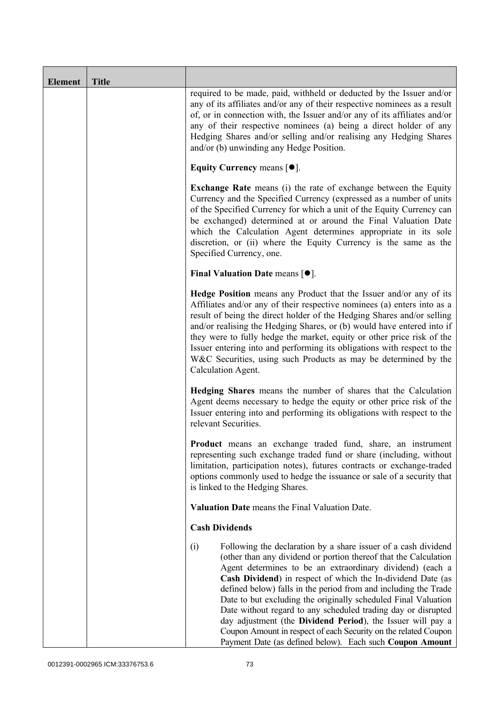| <b>Element</b> | <b>Title</b> |                                                                                                                                                                                                                                                                                                                                                                                                                                                                                                                                                                                                                                                                           |
|----------------|--------------|---------------------------------------------------------------------------------------------------------------------------------------------------------------------------------------------------------------------------------------------------------------------------------------------------------------------------------------------------------------------------------------------------------------------------------------------------------------------------------------------------------------------------------------------------------------------------------------------------------------------------------------------------------------------------|
|                |              | required to be made, paid, withheld or deducted by the Issuer and/or<br>any of its affiliates and/or any of their respective nominees as a result<br>of, or in connection with, the Issuer and/or any of its affiliates and/or<br>any of their respective nominees (a) being a direct holder of any<br>Hedging Shares and/or selling and/or realising any Hedging Shares<br>and/or (b) unwinding any Hedge Position.                                                                                                                                                                                                                                                      |
|                |              | Equity Currency means $[\bullet].$                                                                                                                                                                                                                                                                                                                                                                                                                                                                                                                                                                                                                                        |
|                |              | <b>Exchange Rate</b> means (i) the rate of exchange between the Equity<br>Currency and the Specified Currency (expressed as a number of units<br>of the Specified Currency for which a unit of the Equity Currency can<br>be exchanged) determined at or around the Final Valuation Date<br>which the Calculation Agent determines appropriate in its sole<br>discretion, or (ii) where the Equity Currency is the same as the<br>Specified Currency, one.                                                                                                                                                                                                                |
|                |              | Final Valuation Date means $[•]$ .                                                                                                                                                                                                                                                                                                                                                                                                                                                                                                                                                                                                                                        |
|                |              | Hedge Position means any Product that the Issuer and/or any of its<br>Affiliates and/or any of their respective nominees (a) enters into as a<br>result of being the direct holder of the Hedging Shares and/or selling<br>and/or realising the Hedging Shares, or (b) would have entered into if<br>they were to fully hedge the market, equity or other price risk of the<br>Issuer entering into and performing its obligations with respect to the<br>W&C Securities, using such Products as may be determined by the<br>Calculation Agent.                                                                                                                           |
|                |              | Hedging Shares means the number of shares that the Calculation<br>Agent deems necessary to hedge the equity or other price risk of the<br>Issuer entering into and performing its obligations with respect to the<br>relevant Securities.                                                                                                                                                                                                                                                                                                                                                                                                                                 |
|                |              | Product means an exchange traded fund, share, an instrument<br>representing such exchange traded fund or share (including, without<br>limitation, participation notes), futures contracts or exchange-traded<br>options commonly used to hedge the issuance or sale of a security that<br>is linked to the Hedging Shares.                                                                                                                                                                                                                                                                                                                                                |
|                |              | Valuation Date means the Final Valuation Date.                                                                                                                                                                                                                                                                                                                                                                                                                                                                                                                                                                                                                            |
|                |              | <b>Cash Dividends</b>                                                                                                                                                                                                                                                                                                                                                                                                                                                                                                                                                                                                                                                     |
|                |              | Following the declaration by a share issuer of a cash dividend<br>(i)<br>(other than any dividend or portion thereof that the Calculation<br>Agent determines to be an extraordinary dividend) (each a<br>Cash Dividend) in respect of which the In-dividend Date (as<br>defined below) falls in the period from and including the Trade<br>Date to but excluding the originally scheduled Final Valuation<br>Date without regard to any scheduled trading day or disrupted<br>day adjustment (the Dividend Period), the Issuer will pay a<br>Coupon Amount in respect of each Security on the related Coupon<br>Payment Date (as defined below). Each such Coupon Amount |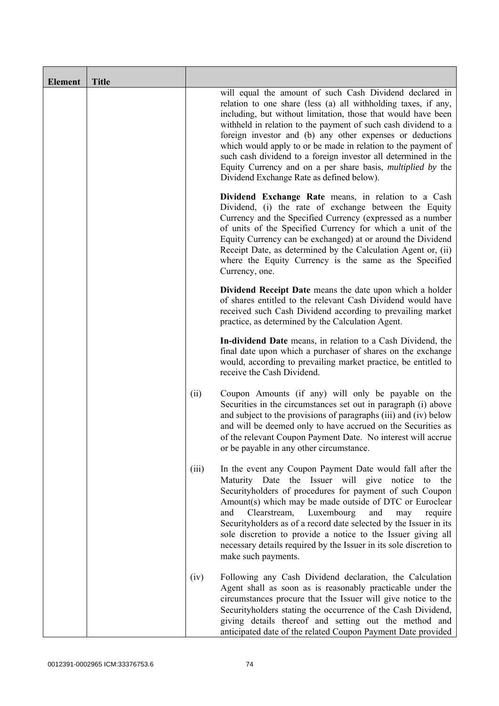| <b>Element</b> | <b>Title</b> |       |                                                                                                                                                                                                                                                                                                                                                                                                                                                                                                                                                                                 |
|----------------|--------------|-------|---------------------------------------------------------------------------------------------------------------------------------------------------------------------------------------------------------------------------------------------------------------------------------------------------------------------------------------------------------------------------------------------------------------------------------------------------------------------------------------------------------------------------------------------------------------------------------|
|                |              |       | will equal the amount of such Cash Dividend declared in<br>relation to one share (less (a) all withholding taxes, if any,<br>including, but without limitation, those that would have been<br>withheld in relation to the payment of such cash dividend to a<br>foreign investor and (b) any other expenses or deductions<br>which would apply to or be made in relation to the payment of<br>such cash dividend to a foreign investor all determined in the<br>Equity Currency and on a per share basis, <i>multiplied by</i> the<br>Dividend Exchange Rate as defined below). |
|                |              |       | Dividend Exchange Rate means, in relation to a Cash<br>Dividend, (i) the rate of exchange between the Equity<br>Currency and the Specified Currency (expressed as a number<br>of units of the Specified Currency for which a unit of the<br>Equity Currency can be exchanged) at or around the Dividend<br>Receipt Date, as determined by the Calculation Agent or, (ii)<br>where the Equity Currency is the same as the Specified<br>Currency, one.                                                                                                                            |
|                |              |       | Dividend Receipt Date means the date upon which a holder<br>of shares entitled to the relevant Cash Dividend would have<br>received such Cash Dividend according to prevailing market<br>practice, as determined by the Calculation Agent.                                                                                                                                                                                                                                                                                                                                      |
|                |              |       | In-dividend Date means, in relation to a Cash Dividend, the<br>final date upon which a purchaser of shares on the exchange<br>would, according to prevailing market practice, be entitled to<br>receive the Cash Dividend.                                                                                                                                                                                                                                                                                                                                                      |
|                |              | (ii)  | Coupon Amounts (if any) will only be payable on the<br>Securities in the circumstances set out in paragraph (i) above<br>and subject to the provisions of paragraphs (iii) and (iv) below<br>and will be deemed only to have accrued on the Securities as<br>of the relevant Coupon Payment Date. No interest will accrue<br>or be payable in any other circumstance.                                                                                                                                                                                                           |
|                |              | (iii) | In the event any Coupon Payment Date would fall after the<br>Maturity Date the Issuer will give notice to the<br>Securityholders of procedures for payment of such Coupon<br>Amount(s) which may be made outside of DTC or Euroclear<br>Luxembourg<br>and<br>Clearstream,<br>and<br>require<br>may<br>Securityholders as of a record date selected by the Issuer in its<br>sole discretion to provide a notice to the Issuer giving all<br>necessary details required by the Issuer in its sole discretion to<br>make such payments.                                            |
|                |              | (iv)  | Following any Cash Dividend declaration, the Calculation<br>Agent shall as soon as is reasonably practicable under the<br>circumstances procure that the Issuer will give notice to the<br>Securityholders stating the occurrence of the Cash Dividend,<br>giving details thereof and setting out the method and<br>anticipated date of the related Coupon Payment Date provided                                                                                                                                                                                                |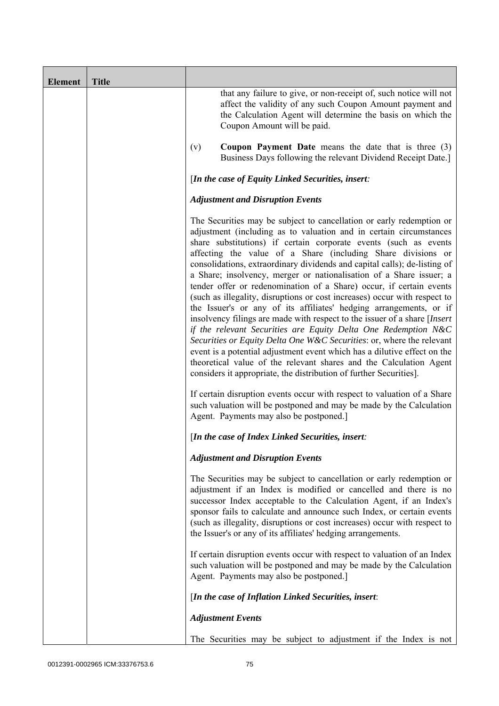| <b>Element</b> | <b>Title</b> |                                                                                                                                                                                                                                                                                                                                                                                                                                                                                                                                                                                                                                                                                                                                                                                                                                                                                                                                                                                                                                                                                                              |
|----------------|--------------|--------------------------------------------------------------------------------------------------------------------------------------------------------------------------------------------------------------------------------------------------------------------------------------------------------------------------------------------------------------------------------------------------------------------------------------------------------------------------------------------------------------------------------------------------------------------------------------------------------------------------------------------------------------------------------------------------------------------------------------------------------------------------------------------------------------------------------------------------------------------------------------------------------------------------------------------------------------------------------------------------------------------------------------------------------------------------------------------------------------|
|                |              | that any failure to give, or non-receipt of, such notice will not<br>affect the validity of any such Coupon Amount payment and<br>the Calculation Agent will determine the basis on which the<br>Coupon Amount will be paid.                                                                                                                                                                                                                                                                                                                                                                                                                                                                                                                                                                                                                                                                                                                                                                                                                                                                                 |
|                |              | <b>Coupon Payment Date</b> means the date that is three $(3)$<br>(v)<br>Business Days following the relevant Dividend Receipt Date.]                                                                                                                                                                                                                                                                                                                                                                                                                                                                                                                                                                                                                                                                                                                                                                                                                                                                                                                                                                         |
|                |              | [In the case of Equity Linked Securities, insert:                                                                                                                                                                                                                                                                                                                                                                                                                                                                                                                                                                                                                                                                                                                                                                                                                                                                                                                                                                                                                                                            |
|                |              | <b>Adjustment and Disruption Events</b>                                                                                                                                                                                                                                                                                                                                                                                                                                                                                                                                                                                                                                                                                                                                                                                                                                                                                                                                                                                                                                                                      |
|                |              | The Securities may be subject to cancellation or early redemption or<br>adjustment (including as to valuation and in certain circumstances<br>share substitutions) if certain corporate events (such as events<br>affecting the value of a Share (including Share divisions or<br>consolidations, extraordinary dividends and capital calls); de-listing of<br>a Share; insolvency, merger or nationalisation of a Share issuer; a<br>tender offer or redenomination of a Share) occur, if certain events<br>(such as illegality, disruptions or cost increases) occur with respect to<br>the Issuer's or any of its affiliates' hedging arrangements, or if<br>insolvency filings are made with respect to the issuer of a share [Insert<br>if the relevant Securities are Equity Delta One Redemption N&C<br>Securities or Equity Delta One W&C Securities: or, where the relevant<br>event is a potential adjustment event which has a dilutive effect on the<br>theoretical value of the relevant shares and the Calculation Agent<br>considers it appropriate, the distribution of further Securities]. |
|                |              | If certain disruption events occur with respect to valuation of a Share<br>such valuation will be postponed and may be made by the Calculation<br>Agent. Payments may also be postponed.                                                                                                                                                                                                                                                                                                                                                                                                                                                                                                                                                                                                                                                                                                                                                                                                                                                                                                                     |
|                |              | [In the case of Index Linked Securities, insert:                                                                                                                                                                                                                                                                                                                                                                                                                                                                                                                                                                                                                                                                                                                                                                                                                                                                                                                                                                                                                                                             |
|                |              | <b>Adjustment and Disruption Events</b>                                                                                                                                                                                                                                                                                                                                                                                                                                                                                                                                                                                                                                                                                                                                                                                                                                                                                                                                                                                                                                                                      |
|                |              | The Securities may be subject to cancellation or early redemption or<br>adjustment if an Index is modified or cancelled and there is no<br>successor Index acceptable to the Calculation Agent, if an Index's<br>sponsor fails to calculate and announce such Index, or certain events<br>(such as illegality, disruptions or cost increases) occur with respect to<br>the Issuer's or any of its affiliates' hedging arrangements.                                                                                                                                                                                                                                                                                                                                                                                                                                                                                                                                                                                                                                                                          |
|                |              | If certain disruption events occur with respect to valuation of an Index<br>such valuation will be postponed and may be made by the Calculation<br>Agent. Payments may also be postponed.]                                                                                                                                                                                                                                                                                                                                                                                                                                                                                                                                                                                                                                                                                                                                                                                                                                                                                                                   |
|                |              | [In the case of Inflation Linked Securities, insert:                                                                                                                                                                                                                                                                                                                                                                                                                                                                                                                                                                                                                                                                                                                                                                                                                                                                                                                                                                                                                                                         |
|                |              | <b>Adjustment Events</b>                                                                                                                                                                                                                                                                                                                                                                                                                                                                                                                                                                                                                                                                                                                                                                                                                                                                                                                                                                                                                                                                                     |
|                |              | The Securities may be subject to adjustment if the Index is not                                                                                                                                                                                                                                                                                                                                                                                                                                                                                                                                                                                                                                                                                                                                                                                                                                                                                                                                                                                                                                              |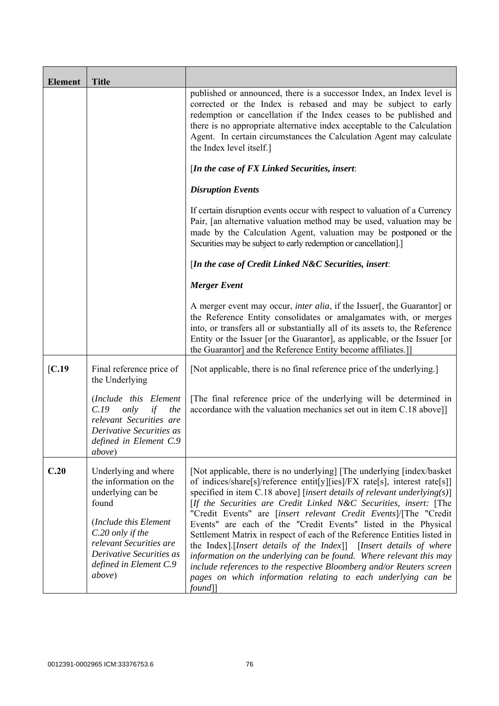| <b>Element</b> | <b>Title</b>                                                                                                                                                                                                         |                                                                                                                                                                                                                                                                                                                                                                                                                                                                                                                                                                                                                                                                                                                                                                                                                            |
|----------------|----------------------------------------------------------------------------------------------------------------------------------------------------------------------------------------------------------------------|----------------------------------------------------------------------------------------------------------------------------------------------------------------------------------------------------------------------------------------------------------------------------------------------------------------------------------------------------------------------------------------------------------------------------------------------------------------------------------------------------------------------------------------------------------------------------------------------------------------------------------------------------------------------------------------------------------------------------------------------------------------------------------------------------------------------------|
|                |                                                                                                                                                                                                                      | published or announced, there is a successor Index, an Index level is<br>corrected or the Index is rebased and may be subject to early<br>redemption or cancellation if the Index ceases to be published and<br>there is no appropriate alternative index acceptable to the Calculation<br>Agent. In certain circumstances the Calculation Agent may calculate<br>the Index level itself.]                                                                                                                                                                                                                                                                                                                                                                                                                                 |
|                |                                                                                                                                                                                                                      | [In the case of FX Linked Securities, insert:                                                                                                                                                                                                                                                                                                                                                                                                                                                                                                                                                                                                                                                                                                                                                                              |
|                |                                                                                                                                                                                                                      | <b>Disruption Events</b>                                                                                                                                                                                                                                                                                                                                                                                                                                                                                                                                                                                                                                                                                                                                                                                                   |
|                |                                                                                                                                                                                                                      | If certain disruption events occur with respect to valuation of a Currency<br>Pair, [an alternative valuation method may be used, valuation may be<br>made by the Calculation Agent, valuation may be postponed or the<br>Securities may be subject to early redemption or cancellation].]                                                                                                                                                                                                                                                                                                                                                                                                                                                                                                                                 |
|                |                                                                                                                                                                                                                      | [In the case of Credit Linked N&C Securities, insert:                                                                                                                                                                                                                                                                                                                                                                                                                                                                                                                                                                                                                                                                                                                                                                      |
|                |                                                                                                                                                                                                                      | <b>Merger Event</b>                                                                                                                                                                                                                                                                                                                                                                                                                                                                                                                                                                                                                                                                                                                                                                                                        |
|                |                                                                                                                                                                                                                      | A merger event may occur, <i>inter alia</i> , if the Issuer[, the Guarantor] or<br>the Reference Entity consolidates or amalgamates with, or merges<br>into, or transfers all or substantially all of its assets to, the Reference<br>Entity or the Issuer [or the Guarantor], as applicable, or the Issuer [or<br>the Guarantor] and the Reference Entity become affiliates.]]                                                                                                                                                                                                                                                                                                                                                                                                                                            |
| [C.19]         | Final reference price of<br>the Underlying                                                                                                                                                                           | [Not applicable, there is no final reference price of the underlying.]                                                                                                                                                                                                                                                                                                                                                                                                                                                                                                                                                                                                                                                                                                                                                     |
|                | (Include this Element<br>C.19<br>only<br>the<br>if<br>relevant Securities are<br>Derivative Securities as<br>defined in Element C.9<br><i>above</i> )                                                                | [The final reference price of the underlying will be determined in<br>accordance with the valuation mechanics set out in item C.18 above]]                                                                                                                                                                                                                                                                                                                                                                                                                                                                                                                                                                                                                                                                                 |
| C.20           | Underlying and where<br>the information on the<br>underlying can be<br>found<br>(Include this Element<br>C.20 only if the<br>relevant Securities are<br>Derivative Securities as<br>defined in Element C.9<br>above) | [Not applicable, there is no underlying] [The underlying [index/basket]<br>of indices/share[s]/reference entit[y][ies]/FX rate[s], interest rate[s]]<br>specified in item C.18 above] [insert details of relevant underlying(s)]<br>[If the Securities are Credit Linked N&C Securities, insert: [The<br>"Credit Events" are [insert relevant Credit Events]/[The "Credit<br>Events" are each of the "Credit Events" listed in the Physical<br>Settlement Matrix in respect of each of the Reference Entities listed in<br>the Index].[Insert details of the Index]] [Insert details of where<br>information on the underlying can be found. Where relevant this may<br>include references to the respective Bloomberg and/or Reuters screen<br>pages on which information relating to each underlying can be<br>$found$ ] |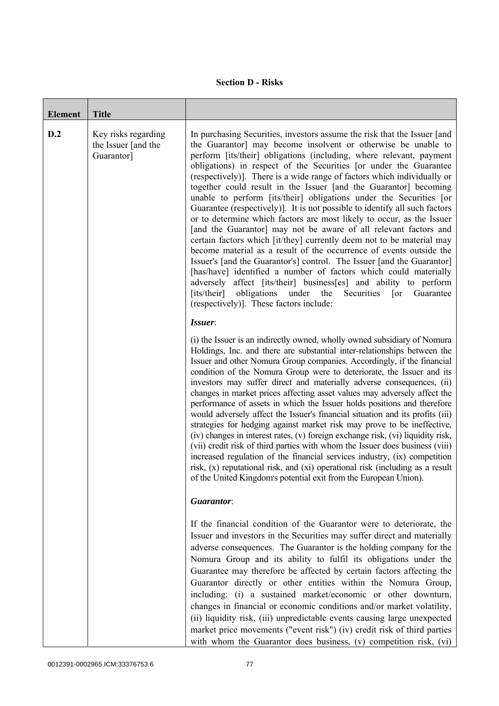## **Section D - Risks**

| <b>Element</b> | <b>Title</b>                                             |                                                                                                                                                                                                                                                                                                                                                                                                                                                                                                                                                                                                                                                                                                                                                                                                                                                                                                                                                                                                                                                                                                                                                                                                                                           |
|----------------|----------------------------------------------------------|-------------------------------------------------------------------------------------------------------------------------------------------------------------------------------------------------------------------------------------------------------------------------------------------------------------------------------------------------------------------------------------------------------------------------------------------------------------------------------------------------------------------------------------------------------------------------------------------------------------------------------------------------------------------------------------------------------------------------------------------------------------------------------------------------------------------------------------------------------------------------------------------------------------------------------------------------------------------------------------------------------------------------------------------------------------------------------------------------------------------------------------------------------------------------------------------------------------------------------------------|
| D.2            | Key risks regarding<br>the Issuer [and the<br>Guarantor] | In purchasing Securities, investors assume the risk that the Issuer [and<br>the Guarantor] may become insolvent or otherwise be unable to<br>perform [its/their] obligations (including, where relevant, payment<br>obligations) in respect of the Securities [or under the Guarantee<br>(respectively)]. There is a wide range of factors which individually or<br>together could result in the Issuer [and the Guarantor] becoming<br>unable to perform [its/their] obligations under the Securities [or<br>Guarantee (respectively). It is not possible to identify all such factors<br>or to determine which factors are most likely to occur, as the Issuer<br>[and the Guarantor] may not be aware of all relevant factors and<br>certain factors which [it/they] currently deem not to be material may<br>become material as a result of the occurrence of events outside the<br>Issuer's [and the Guarantor's] control. The Issuer [and the Guarantor]<br>[has/have] identified a number of factors which could materially<br>adversely affect [its/their] business[es] and ability to perform<br>[its/their]<br>obligations<br>under<br>the<br>Securities<br>Guarantee<br>$\lceil$ or<br>(respectively)]. These factors include: |
|                |                                                          | Issuer:<br>(i) the Issuer is an indirectly owned, wholly owned subsidiary of Nomura<br>Holdings, Inc. and there are substantial inter-relationships between the<br>Issuer and other Nomura Group companies. Accordingly, if the financial<br>condition of the Nomura Group were to deteriorate, the Issuer and its<br>investors may suffer direct and materially adverse consequences, (ii)<br>changes in market prices affecting asset values may adversely affect the<br>performance of assets in which the Issuer holds positions and therefore<br>would adversely affect the Issuer's financial situation and its profits (iii)<br>strategies for hedging against market risk may prove to be ineffective,<br>(iv) changes in interest rates, (v) foreign exchange risk, (vi) liquidity risk,<br>(vii) credit risk of third parties with whom the Issuer does business (viii)<br>increased regulation of the financial services industry, (ix) competition<br>risk, (x) reputational risk, and (xi) operational risk (including as a result<br>of the United Kingdom's potential exit from the European Union).                                                                                                                       |
|                |                                                          | Guarantor:                                                                                                                                                                                                                                                                                                                                                                                                                                                                                                                                                                                                                                                                                                                                                                                                                                                                                                                                                                                                                                                                                                                                                                                                                                |
|                |                                                          | If the financial condition of the Guarantor were to deteriorate, the<br>Issuer and investors in the Securities may suffer direct and materially<br>adverse consequences. The Guarantor is the holding company for the<br>Nomura Group and its ability to fulfil its obligations under the<br>Guarantee may therefore be affected by certain factors affecting the<br>Guarantor directly or other entities within the Nomura Group,<br>including: (i) a sustained market/economic or other downturn,<br>changes in financial or economic conditions and/or market volatility,<br>(ii) liquidity risk, (iii) unpredictable events causing large unexpected<br>market price movements ("event risk") (iv) credit risk of third parties<br>with whom the Guarantor does business, (v) competition risk, (vi)                                                                                                                                                                                                                                                                                                                                                                                                                                  |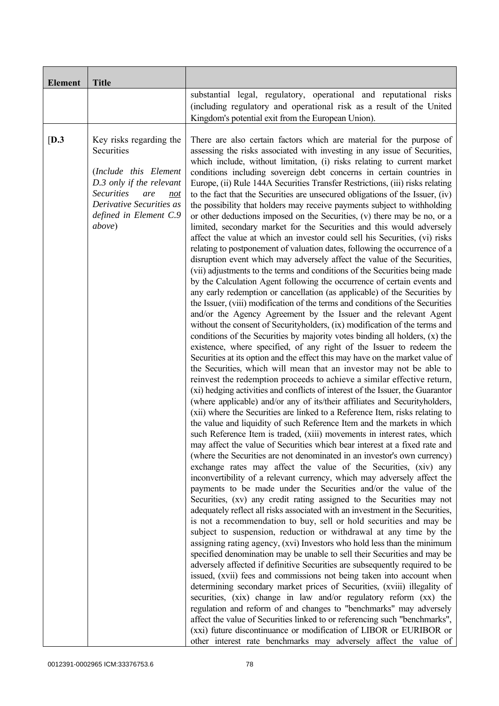| <b>Element</b> | <b>Title</b>                                                                                                                                                                                  |                                                                                                                                                                                                                                                                                                                                                                                                                                                                                                                                                                                                                                                                                                                                                                                                                                                                                                                                                                                                                                                                                                                                                                                                                                                                                                                                                                                                                                                                                                                                                                                                                                                                                                                                                                                                                                                                                                                                                                                                                                                                                                                                                                                                                                                                                                                                                                                                                                                                                                                                                                                                                                                                                                                                                                                                                                                                                                                                                                                                                                                                                                                                                                                                                                                                                                                                                                                                                                                                                                                                                                                                                                                                             |
|----------------|-----------------------------------------------------------------------------------------------------------------------------------------------------------------------------------------------|-----------------------------------------------------------------------------------------------------------------------------------------------------------------------------------------------------------------------------------------------------------------------------------------------------------------------------------------------------------------------------------------------------------------------------------------------------------------------------------------------------------------------------------------------------------------------------------------------------------------------------------------------------------------------------------------------------------------------------------------------------------------------------------------------------------------------------------------------------------------------------------------------------------------------------------------------------------------------------------------------------------------------------------------------------------------------------------------------------------------------------------------------------------------------------------------------------------------------------------------------------------------------------------------------------------------------------------------------------------------------------------------------------------------------------------------------------------------------------------------------------------------------------------------------------------------------------------------------------------------------------------------------------------------------------------------------------------------------------------------------------------------------------------------------------------------------------------------------------------------------------------------------------------------------------------------------------------------------------------------------------------------------------------------------------------------------------------------------------------------------------------------------------------------------------------------------------------------------------------------------------------------------------------------------------------------------------------------------------------------------------------------------------------------------------------------------------------------------------------------------------------------------------------------------------------------------------------------------------------------------------------------------------------------------------------------------------------------------------------------------------------------------------------------------------------------------------------------------------------------------------------------------------------------------------------------------------------------------------------------------------------------------------------------------------------------------------------------------------------------------------------------------------------------------------------------------------------------------------------------------------------------------------------------------------------------------------------------------------------------------------------------------------------------------------------------------------------------------------------------------------------------------------------------------------------------------------------------------------------------------------------------------------------------------------|
|                |                                                                                                                                                                                               | substantial legal, regulatory, operational and reputational risks<br>(including regulatory and operational risk as a result of the United<br>Kingdom's potential exit from the European Union).                                                                                                                                                                                                                                                                                                                                                                                                                                                                                                                                                                                                                                                                                                                                                                                                                                                                                                                                                                                                                                                                                                                                                                                                                                                                                                                                                                                                                                                                                                                                                                                                                                                                                                                                                                                                                                                                                                                                                                                                                                                                                                                                                                                                                                                                                                                                                                                                                                                                                                                                                                                                                                                                                                                                                                                                                                                                                                                                                                                                                                                                                                                                                                                                                                                                                                                                                                                                                                                                             |
| [D.3]          | Key risks regarding the<br>Securities<br>(Include this Element<br>D.3 only if the relevant<br><b>Securities</b><br>are<br>not<br>Derivative Securities as<br>defined in Element C.9<br>above) | There are also certain factors which are material for the purpose of<br>assessing the risks associated with investing in any issue of Securities,<br>which include, without limitation, (i) risks relating to current market<br>conditions including sovereign debt concerns in certain countries in<br>Europe, (ii) Rule 144A Securities Transfer Restrictions, (iii) risks relating<br>to the fact that the Securities are unsecured obligations of the Issuer, (iv)<br>the possibility that holders may receive payments subject to withholding<br>or other deductions imposed on the Securities, (v) there may be no, or a<br>limited, secondary market for the Securities and this would adversely<br>affect the value at which an investor could sell his Securities, (vi) risks<br>relating to postponement of valuation dates, following the occurrence of a<br>disruption event which may adversely affect the value of the Securities,<br>(vii) adjustments to the terms and conditions of the Securities being made<br>by the Calculation Agent following the occurrence of certain events and<br>any early redemption or cancellation (as applicable) of the Securities by<br>the Issuer, (viii) modification of the terms and conditions of the Securities<br>and/or the Agency Agreement by the Issuer and the relevant Agent<br>without the consent of Securityholders, (ix) modification of the terms and<br>conditions of the Securities by majority votes binding all holders, $(x)$ the<br>existence, where specified, of any right of the Issuer to redeem the<br>Securities at its option and the effect this may have on the market value of<br>the Securities, which will mean that an investor may not be able to<br>reinvest the redemption proceeds to achieve a similar effective return,<br>(xi) hedging activities and conflicts of interest of the Issuer, the Guarantor<br>(where applicable) and/or any of its/their affiliates and Securityholders,<br>(xii) where the Securities are linked to a Reference Item, risks relating to<br>the value and liquidity of such Reference Item and the markets in which<br>such Reference Item is traded, (xiii) movements in interest rates, which<br>may affect the value of Securities which bear interest at a fixed rate and<br>(where the Securities are not denominated in an investor's own currency)<br>exchange rates may affect the value of the Securities, (xiv) any<br>inconvertibility of a relevant currency, which may adversely affect the<br>payments to be made under the Securities and/or the value of the<br>Securities, (xv) any credit rating assigned to the Securities may not<br>adequately reflect all risks associated with an investment in the Securities,<br>is not a recommendation to buy, sell or hold securities and may be<br>subject to suspension, reduction or withdrawal at any time by the<br>assigning rating agency, (xvi) Investors who hold less than the minimum<br>specified denomination may be unable to sell their Securities and may be<br>adversely affected if definitive Securities are subsequently required to be<br>issued, (xvii) fees and commissions not being taken into account when<br>determining secondary market prices of Securities, (xviii) illegality of<br>securities, (xix) change in law and/or regulatory reform (xx) the<br>regulation and reform of and changes to "benchmarks" may adversely<br>affect the value of Securities linked to or referencing such "benchmarks",<br>(xxi) future discontinuance or modification of LIBOR or EURIBOR or<br>other interest rate benchmarks may adversely affect the value of |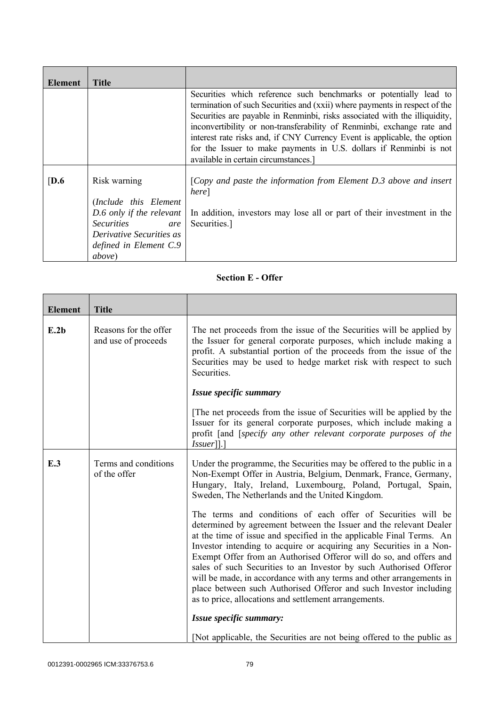| Element          | <b>Title</b>                                                                                                                                                                   |                                                                                                                                                                                                                                                                                                                                                                                                                                                                                                   |
|------------------|--------------------------------------------------------------------------------------------------------------------------------------------------------------------------------|---------------------------------------------------------------------------------------------------------------------------------------------------------------------------------------------------------------------------------------------------------------------------------------------------------------------------------------------------------------------------------------------------------------------------------------------------------------------------------------------------|
|                  |                                                                                                                                                                                | Securities which reference such benchmarks or potentially lead to<br>termination of such Securities and (xxii) where payments in respect of the<br>Securities are payable in Renminbi, risks associated with the illiquidity,<br>inconvertibility or non-transferability of Renminbi, exchange rate and<br>interest rate risks and, if CNY Currency Event is applicable, the option<br>for the Issuer to make payments in U.S. dollars if Renminbi is not<br>available in certain circumstances.] |
| $\overline{D.6}$ | Risk warning<br>(Include this Element<br>$D.6$ only if the relevant<br><i>Securities</i><br>are<br><i>Derivative Securities as</i><br>defined in Element C.9<br><i>above</i> ) | [Copy and paste the information from Element $D.3$ above and insert<br>here]<br>In addition, investors may lose all or part of their investment in the<br>Securities.]                                                                                                                                                                                                                                                                                                                            |

## **Section E - Offer**

| <b>Element</b> | <b>Title</b>                                 |                                                                                                                                                                                                                                                                                                                                                                                                                                                                                                                                                                                                                                     |
|----------------|----------------------------------------------|-------------------------------------------------------------------------------------------------------------------------------------------------------------------------------------------------------------------------------------------------------------------------------------------------------------------------------------------------------------------------------------------------------------------------------------------------------------------------------------------------------------------------------------------------------------------------------------------------------------------------------------|
| E.2b           | Reasons for the offer<br>and use of proceeds | The net proceeds from the issue of the Securities will be applied by<br>the Issuer for general corporate purposes, which include making a<br>profit. A substantial portion of the proceeds from the issue of the<br>Securities may be used to hedge market risk with respect to such<br>Securities.                                                                                                                                                                                                                                                                                                                                 |
|                |                                              | Issue specific summary                                                                                                                                                                                                                                                                                                                                                                                                                                                                                                                                                                                                              |
|                |                                              | The net proceeds from the issue of Securities will be applied by the<br>Issuer for its general corporate purposes, which include making a<br>profit [and [specify any other relevant corporate purposes of the<br>$ Issuer $ ].]                                                                                                                                                                                                                                                                                                                                                                                                    |
| E.3            | Terms and conditions<br>of the offer         | Under the programme, the Securities may be offered to the public in a<br>Non-Exempt Offer in Austria, Belgium, Denmark, France, Germany,<br>Hungary, Italy, Ireland, Luxembourg, Poland, Portugal, Spain,<br>Sweden, The Netherlands and the United Kingdom.                                                                                                                                                                                                                                                                                                                                                                        |
|                |                                              | The terms and conditions of each offer of Securities will be<br>determined by agreement between the Issuer and the relevant Dealer<br>at the time of issue and specified in the applicable Final Terms. An<br>Investor intending to acquire or acquiring any Securities in a Non-<br>Exempt Offer from an Authorised Offeror will do so, and offers and<br>sales of such Securities to an Investor by such Authorised Offeror<br>will be made, in accordance with any terms and other arrangements in<br>place between such Authorised Offeror and such Investor including<br>as to price, allocations and settlement arrangements. |
|                |                                              | Issue specific summary:                                                                                                                                                                                                                                                                                                                                                                                                                                                                                                                                                                                                             |
|                |                                              | [Not applicable, the Securities are not being offered to the public as                                                                                                                                                                                                                                                                                                                                                                                                                                                                                                                                                              |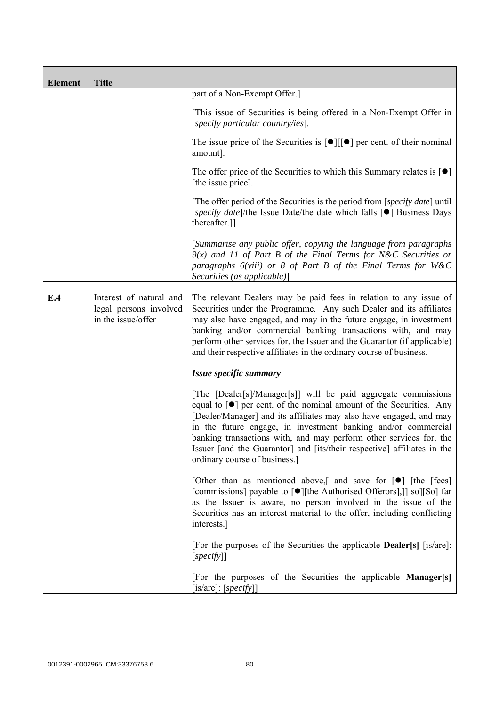| <b>Element</b> | <b>Title</b>                                                            |                                                                                                                                                                                                                                                                                                                                                                                                                                                                                    |
|----------------|-------------------------------------------------------------------------|------------------------------------------------------------------------------------------------------------------------------------------------------------------------------------------------------------------------------------------------------------------------------------------------------------------------------------------------------------------------------------------------------------------------------------------------------------------------------------|
|                |                                                                         | part of a Non-Exempt Offer.]                                                                                                                                                                                                                                                                                                                                                                                                                                                       |
|                |                                                                         | [This issue of Securities is being offered in a Non-Exempt Offer in<br>[specify particular country/ies].                                                                                                                                                                                                                                                                                                                                                                           |
|                |                                                                         | The issue price of the Securities is $[\bullet]$ [ $[\bullet]$ ] per cent. of their nominal<br>amount].                                                                                                                                                                                                                                                                                                                                                                            |
|                |                                                                         | The offer price of the Securities to which this Summary relates is $\lceil \bullet \rceil$<br>[the issue price].                                                                                                                                                                                                                                                                                                                                                                   |
|                |                                                                         | [The offer period of the Securities is the period from [specify date] until<br>[specify date]/the Issue Date/the date which falls [●] Business Days<br>thereafter.]]                                                                                                                                                                                                                                                                                                               |
|                |                                                                         | [Summarise any public offer, copying the language from paragraphs<br>$9(x)$ and 11 of Part B of the Final Terms for N&C Securities or<br>paragraphs 6(viii) or 8 of Part B of the Final Terms for W&C<br>Securities (as applicable)]                                                                                                                                                                                                                                               |
| E.4            | Interest of natural and<br>legal persons involved<br>in the issue/offer | The relevant Dealers may be paid fees in relation to any issue of<br>Securities under the Programme. Any such Dealer and its affiliates<br>may also have engaged, and may in the future engage, in investment<br>banking and/or commercial banking transactions with, and may<br>perform other services for, the Issuer and the Guarantor (if applicable)<br>and their respective affiliates in the ordinary course of business.                                                   |
|                |                                                                         | Issue specific summary                                                                                                                                                                                                                                                                                                                                                                                                                                                             |
|                |                                                                         | [The [Dealer[s]/Manager[s]] will be paid aggregate commissions<br>equal to $\lceil \bullet \rceil$ per cent. of the nominal amount of the Securities. Any<br>[Dealer/Manager] and its affiliates may also have engaged, and may<br>in the future engage, in investment banking and/or commercial<br>banking transactions with, and may perform other services for, the<br>Issuer [and the Guarantor] and [its/their respective] affiliates in the<br>ordinary course of business.] |
|                |                                                                         | [Other than as mentioned above,] and save for $\lceil \bullet \rceil$ [the [fees]<br>[commissions] payable to [●][the Authorised Offerors],]] so][So] far<br>as the Issuer is aware, no person involved in the issue of the<br>Securities has an interest material to the offer, including conflicting<br>interests.]                                                                                                                                                              |
|                |                                                                         | [For the purposes of the Securities the applicable <b>Dealer</b> [s] [is/are]:<br>[specify]                                                                                                                                                                                                                                                                                                                                                                                        |
|                |                                                                         | [For the purposes of the Securities the applicable Manager[s]<br>$[$ is/are]: $[$ <i>specify</i> $]$ ]                                                                                                                                                                                                                                                                                                                                                                             |